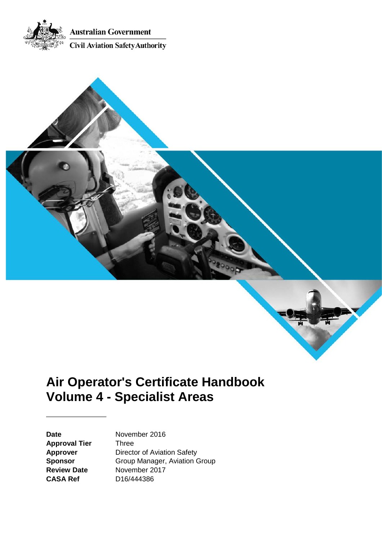





# **Air Operator's Certificate Handbook Volume 4 - Specialist Areas**

**Approval Tier** Three

Date **November 2016 Approver** Director of Aviation Safety **Sponsor** Group Manager, Aviation Group **Review Date** November 2017<br> **CASA Ref** D16/444386 **CASA Ref** D16/444386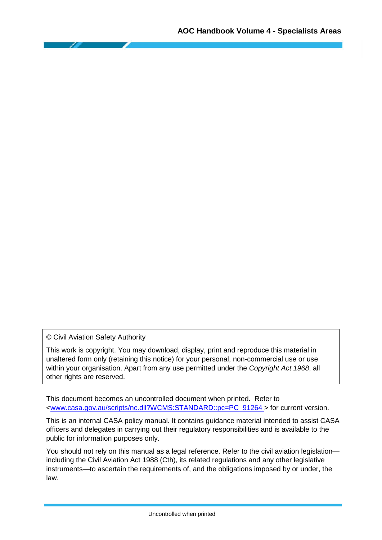© Civil Aviation Safety Authority

This work is copyright. You may download, display, print and reproduce this material in unaltered form only (retaining this notice) for your personal, non-commercial use or use within your organisation. Apart from any use permitted under the *Copyright Act 1968*, all other rights are reserved.

This document becomes an uncontrolled document when printed. Refer to [<www.casa.gov.au/scripts/nc.dll?WCMS:STANDARD::pc=PC\\_91264 >](http://casa.gov.au/scripts/nc.dll?WCMS:STANDARD::pc=PC_91264%20) for current version.

This is an internal CASA policy manual. It contains guidance material intended to assist CASA officers and delegates in carrying out their regulatory responsibilities and is available to the public for information purposes only.

You should not rely on this manual as a legal reference. Refer to the civil aviation legislation including the Civil Aviation Act 1988 (Cth), its related regulations and any other legislative instruments—to ascertain the requirements of, and the obligations imposed by or under, the law.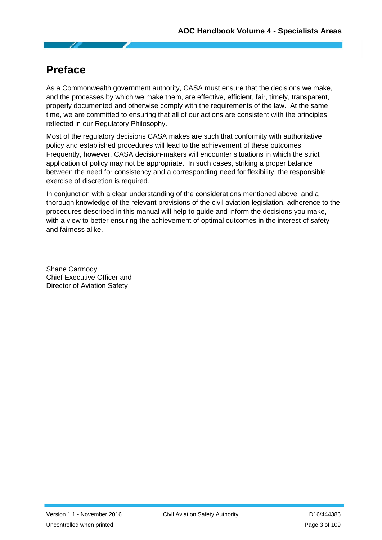# <span id="page-2-0"></span>**Preface**

As a Commonwealth government authority, CASA must ensure that the decisions we make, and the processes by which we make them, are effective, efficient, fair, timely, transparent, properly documented and otherwise comply with the requirements of the law. At the same time, we are committed to ensuring that all of our actions are consistent with the principles reflected in our Regulatory Philosophy.

Most of the regulatory decisions CASA makes are such that conformity with authoritative policy and established procedures will lead to the achievement of these outcomes. Frequently, however, CASA decision-makers will encounter situations in which the strict application of policy may not be appropriate. In such cases, striking a proper balance between the need for consistency and a corresponding need for flexibility, the responsible exercise of discretion is required.

In conjunction with a clear understanding of the considerations mentioned above, and a thorough knowledge of the relevant provisions of the civil aviation legislation, adherence to the procedures described in this manual will help to guide and inform the decisions you make, with a view to better ensuring the achievement of optimal outcomes in the interest of safety and fairness alike.

Shane Carmody Chief Executive Officer and Director of Aviation Safety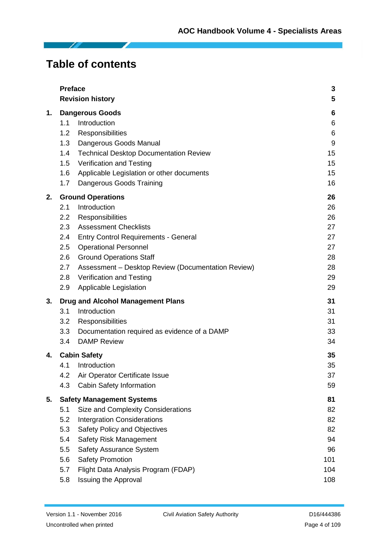**Table of contents**

|    | <b>Preface</b>           | <b>Revision history</b>                            | 3<br>5          |
|----|--------------------------|----------------------------------------------------|-----------------|
| 1. | <b>Dangerous Goods</b>   |                                                    |                 |
|    | 1.1                      | Introduction                                       | 6<br>6          |
|    | 1.2                      | Responsibilities                                   | $6\phantom{1}6$ |
|    | 1.3                      | Dangerous Goods Manual                             | 9               |
|    | 1.4                      | <b>Technical Desktop Documentation Review</b>      | 15              |
|    | 1.5                      | Verification and Testing                           | 15              |
|    | 1.6                      | Applicable Legislation or other documents          | 15              |
|    | 1.7                      | Dangerous Goods Training                           | 16              |
| 2. | <b>Ground Operations</b> | 26                                                 |                 |
|    | 2.1                      | Introduction                                       | 26              |
|    | 2.2                      | Responsibilities                                   | 26              |
|    | 2.3                      | <b>Assessment Checklists</b>                       | 27              |
|    | 2.4                      | <b>Entry Control Requirements - General</b>        | 27              |
|    | 2.5                      | <b>Operational Personnel</b>                       | 27              |
|    | 2.6                      | <b>Ground Operations Staff</b>                     | 28              |
|    | 2.7                      | Assessment - Desktop Review (Documentation Review) | 28              |
|    | 2.8                      | Verification and Testing                           | 29              |
|    | 2.9                      | Applicable Legislation                             | 29              |
| 3. |                          | <b>Drug and Alcohol Management Plans</b>           | 31              |
|    | 3.1                      | Introduction                                       | 31              |
|    | 3.2                      | Responsibilities                                   | 31              |
|    | 3.3                      | Documentation required as evidence of a DAMP       | 33              |
|    | 3.4                      | <b>DAMP Review</b>                                 | 34              |
| 4. |                          | <b>Cabin Safety</b>                                | 35              |
|    | 4.1                      | Introduction                                       | 35              |
|    | 4.2                      | Air Operator Certificate Issue                     | 37              |
|    | 4.3                      | <b>Cabin Safety Information</b>                    | 59              |
| 5. |                          | <b>Safety Management Systems</b>                   | 81              |
|    | 5.1                      | Size and Complexity Considerations                 | 82              |
|    | 5.2                      | <b>Intergration Considerations</b>                 | 82              |
|    | 5.3                      | <b>Safety Policy and Objectives</b>                | 82              |
|    | 5.4                      | <b>Safety Risk Management</b>                      | 94              |
|    | 5.5                      | Safety Assurance System                            | 96              |
|    | 5.6                      | <b>Safety Promotion</b>                            | 101             |
|    | 5.7                      | Flight Data Analysis Program (FDAP)                | 104             |
|    | 5.8                      | Issuing the Approval                               | 108             |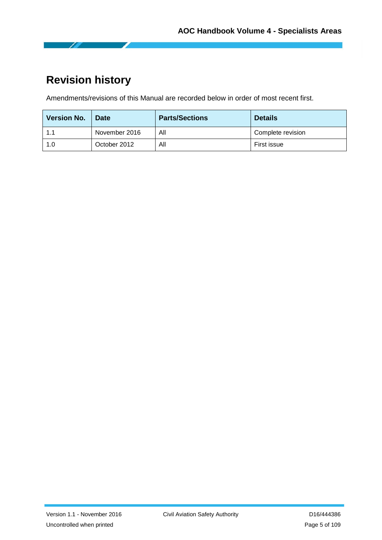# <span id="page-4-0"></span>**Revision history**

Amendments/revisions of this Manual are recorded below in order of most recent first.

| <b>Version No.</b> | <b>Date</b>   | <b>Parts/Sections</b> | <b>Details</b>    |
|--------------------|---------------|-----------------------|-------------------|
| 1.1                | November 2016 | All                   | Complete revision |
| 1.0                | October 2012  | All                   | First issue       |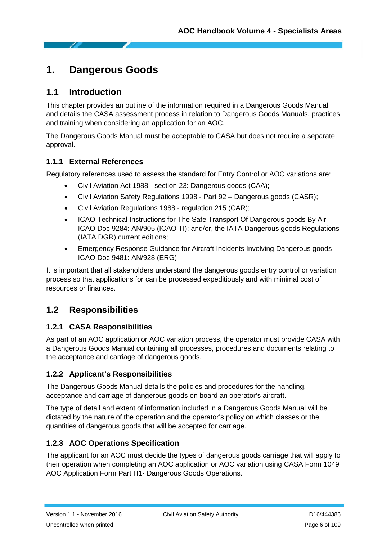# <span id="page-5-0"></span>**1. Dangerous Goods**

# <span id="page-5-1"></span>**1.1 Introduction**

This chapter provides an outline of the information required in a Dangerous Goods Manual and details the CASA assessment process in relation to Dangerous Goods Manuals, practices and training when considering an application for an AOC.

The Dangerous Goods Manual must be acceptable to CASA but does not require a separate approval.

## **1.1.1 External References**

Regulatory references used to assess the standard for Entry Control or AOC variations are:

- Civil Aviation Act 1988 section 23: Dangerous goods (CAA);
- Civil Aviation Safety Regulations 1998 Part 92 Dangerous goods (CASR);
- Civil Aviation Regulations 1988 regulation 215 (CAR);
- ICAO Technical Instructions for The Safe Transport Of Dangerous goods By Air ICAO Doc 9284: AN/905 (ICAO TI); and/or, the IATA Dangerous goods Regulations (IATA DGR) current editions;
- Emergency Response Guidance for Aircraft Incidents Involving Dangerous goods ICAO Doc 9481: AN/928 (ERG)

It is important that all stakeholders understand the dangerous goods entry control or variation process so that applications for can be processed expeditiously and with minimal cost of resources or finances.

# <span id="page-5-2"></span>**1.2 Responsibilities**

### **1.2.1 CASA Responsibilities**

As part of an AOC application or AOC variation process, the operator must provide CASA with a Dangerous Goods Manual containing all processes, procedures and documents relating to the acceptance and carriage of dangerous goods.

# **1.2.2 Applicant's Responsibilities**

The Dangerous Goods Manual details the policies and procedures for the handling, acceptance and carriage of dangerous goods on board an operator's aircraft.

The type of detail and extent of information included in a Dangerous Goods Manual will be dictated by the nature of the operation and the operator's policy on which classes or the quantities of dangerous goods that will be accepted for carriage.

# **1.2.3 AOC Operations Specification**

The applicant for an AOC must decide the types of dangerous goods carriage that will apply to their operation when completing an AOC application or AOC variation using CASA Form 1049 AOC Application Form Part H1- Dangerous Goods Operations.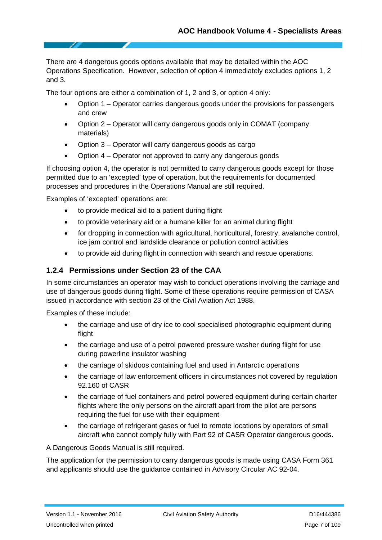There are 4 dangerous goods options available that may be detailed within the AOC Operations Specification. However, selection of option 4 immediately excludes options 1, 2 and 3.

The four options are either a combination of 1, 2 and 3, or option 4 only:

- Option 1 Operator carries dangerous goods under the provisions for passengers and crew
- Option 2 Operator will carry dangerous goods only in COMAT (company materials)
- Option 3 Operator will carry dangerous goods as cargo
- Option 4 Operator not approved to carry any dangerous goods

If choosing option 4, the operator is not permitted to carry dangerous goods except for those permitted due to an 'excepted' type of operation, but the requirements for documented processes and procedures in the Operations Manual are still required.

Examples of 'excepted' operations are:

- to provide medical aid to a patient during flight
- to provide veterinary aid or a humane killer for an animal during flight
- for dropping in connection with agricultural, horticultural, forestry, avalanche control, ice jam control and landslide clearance or pollution control activities
- to provide aid during flight in connection with search and rescue operations.

### **1.2.4 Permissions under Section 23 of the CAA**

In some circumstances an operator may wish to conduct operations involving the carriage and use of dangerous goods during flight. Some of these operations require permission of CASA issued in accordance with section 23 of the Civil Aviation Act 1988.

Examples of these include:

- the carriage and use of dry ice to cool specialised photographic equipment during flight
- the carriage and use of a petrol powered pressure washer during flight for use during powerline insulator washing
- the carriage of skidoos containing fuel and used in Antarctic operations
- the carriage of law enforcement officers in circumstances not covered by regulation 92.160 of CASR
- the carriage of fuel containers and petrol powered equipment during certain charter flights where the only persons on the aircraft apart from the pilot are persons requiring the fuel for use with their equipment
- the carriage of refrigerant gases or fuel to remote locations by operators of small aircraft who cannot comply fully with Part 92 of CASR Operator dangerous goods.

A Dangerous Goods Manual is still required.

The application for the permission to carry dangerous goods is made using CASA Form 361 and applicants should use the guidance contained in Advisory Circular AC 92-04.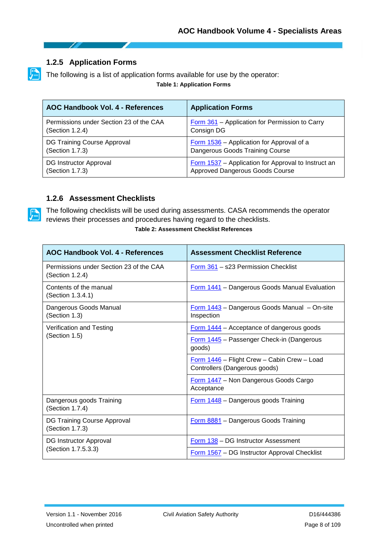

分

# **1.2.5 Application Forms**

The following is a list of application forms available for use by the operator:

**Table 1: Application Forms**

| AOC Handbook Vol. 4 - References        | <b>Application Forms</b>                            |
|-----------------------------------------|-----------------------------------------------------|
| Permissions under Section 23 of the CAA | Form 361 - Application for Permission to Carry      |
| (Section 1.2.4)                         | Consign DG                                          |
| DG Training Course Approval             | Form 1536 - Application for Approval of a           |
| (Section 1.7.3)                         | Dangerous Goods Training Course                     |
| DG Instructor Approval                  | Form 1537 - Application for Approval to Instruct an |
| (Section 1.7.3)                         | Approved Dangerous Goods Course                     |

## **1.2.6 Assessment Checklists**

The following checklists will be used during assessments. CASA recommends the operator reviews their processes and procedures having regard to the checklists.

| <b>AOC Handbook Vol. 4 - References</b>                    | <b>Assessment Checklist Reference</b>                                        |  |
|------------------------------------------------------------|------------------------------------------------------------------------------|--|
| Permissions under Section 23 of the CAA<br>(Section 1.2.4) | Form 361 - s23 Permission Checklist                                          |  |
| Contents of the manual<br>(Section 1.3.4.1)                | Form 1441 - Dangerous Goods Manual Evaluation                                |  |
| Dangerous Goods Manual<br>(Section 1.3)                    | Form $1443$ – Dangerous Goods Manual – On-site<br>Inspection                 |  |
| Verification and Testing                                   | Form $1444$ – Acceptance of dangerous goods                                  |  |
| (Section 1.5)                                              | Form 1445 - Passenger Check-in (Dangerous<br>goods)                          |  |
|                                                            | Form 1446 - Flight Crew - Cabin Crew - Load<br>Controllers (Dangerous goods) |  |
|                                                            | Form 1447 - Non Dangerous Goods Cargo<br>Acceptance                          |  |
| Dangerous goods Training<br>(Section 1.7.4)                | Form 1448 - Dangerous goods Training                                         |  |
| DG Training Course Approval<br>(Section 1.7.3)             | Form 8881 - Dangerous Goods Training                                         |  |
| DG Instructor Approval                                     | Form 138 – DG Instructor Assessment                                          |  |
| (Section 1.7.5.3.3)                                        | <b>Form 1567 - DG Instructor Approval Checklist</b>                          |  |

#### **Table 2: Assessment Checklist References**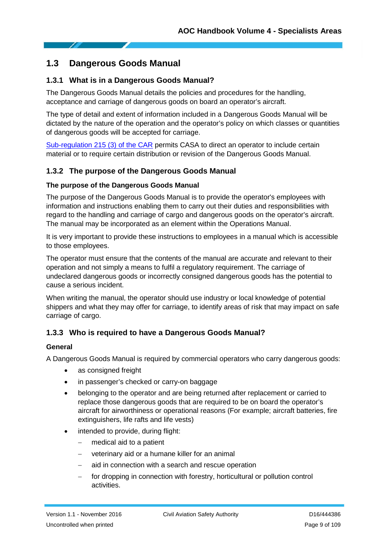# <span id="page-8-0"></span>**1.3 Dangerous Goods Manual**

### **1.3.1 What is in a Dangerous Goods Manual?**

The Dangerous Goods Manual details the policies and procedures for the handling, acceptance and carriage of dangerous goods on board an operator's aircraft.

The type of detail and extent of information included in a Dangerous Goods Manual will be dictated by the nature of the operation and the operator's policy on which classes or quantities of dangerous goods will be accepted for carriage.

[Sub-regulation 215 \(3\) of the CAR](https://www.casa.gov.au/rules-and-regulations/landing-page/current-rules) permits CASA to direct an operator to include certain material or to require certain distribution or revision of the Dangerous Goods Manual.

### **1.3.2 The purpose of the Dangerous Goods Manual**

#### **The purpose of the Dangerous Goods Manual**

The purpose of the Dangerous Goods Manual is to provide the operator's employees with information and instructions enabling them to carry out their duties and responsibilities with regard to the handling and carriage of cargo and dangerous goods on the operator's aircraft. The manual may be incorporated as an element within the Operations Manual.

It is very important to provide these instructions to employees in a manual which is accessible to those employees.

The operator must ensure that the contents of the manual are accurate and relevant to their operation and not simply a means to fulfil a regulatory requirement. The carriage of undeclared dangerous goods or incorrectly consigned dangerous goods has the potential to cause a serious incident.

When writing the manual, the operator should use industry or local knowledge of potential shippers and what they may offer for carriage, to identify areas of risk that may impact on safe carriage of cargo.

### **1.3.3 Who is required to have a Dangerous Goods Manual?**

#### **General**

A Dangerous Goods Manual is required by commercial operators who carry dangerous goods:

- as consigned freight
- in passenger's checked or carry-on baggage
- belonging to the operator and are being returned after replacement or carried to replace those dangerous goods that are required to be on board the operator's aircraft for airworthiness or operational reasons (For example; aircraft batteries, fire extinguishers, life rafts and life vests)
- intended to provide, during flight:
	- − medical aid to a patient
	- veterinary aid or a humane killer for an animal
	- aid in connection with a search and rescue operation
	- for dropping in connection with forestry, horticultural or pollution control activities.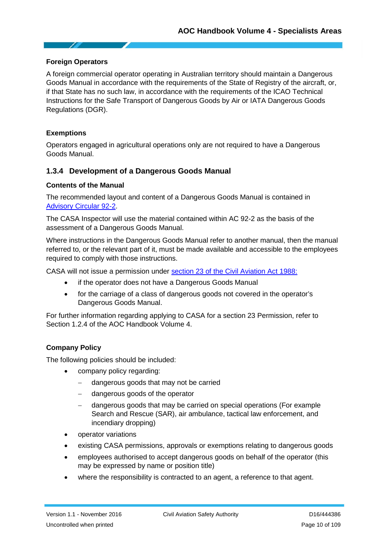#### **Foreign Operators**

A foreign commercial operator operating in Australian territory should maintain a Dangerous Goods Manual in accordance with the requirements of the State of Registry of the aircraft, or, if that State has no such law, in accordance with the requirements of the ICAO Technical Instructions for the Safe Transport of Dangerous Goods by Air or IATA Dangerous Goods Regulations (DGR).

#### **Exemptions**

Operators engaged in agricultural operations only are not required to have a Dangerous Goods Manual.

#### **1.3.4 Development of a Dangerous Goods Manual**

#### **Contents of the Manual**

The recommended layout and content of a Dangerous Goods Manual is contained in Advisory [Circular 92-2.](https://www.casa.gov.au/standard-page/casr-part-92-consignment-and-carriage-dangerous-goods)

The CASA Inspector will use the material contained within AC 92-2 as the basis of the assessment of a Dangerous Goods Manual.

Where instructions in the Dangerous Goods Manual refer to another manual, then the manual referred to, or the relevant part of it, must be made available and accessible to the employees required to comply with those instructions.

CASA will not issue a permission under [section 23 of the Civil Aviation Act 1988:](https://www.casa.gov.au/rules-and-regulations/landing-page/current-rules)

- if the operator does not have a Dangerous Goods Manual
- for the carriage of a class of dangerous goods not covered in the operator's Dangerous Goods Manual.

For further information regarding applying to CASA for a section 23 Permission, refer to Section 1.2.4 of the AOC Handbook Volume 4.

#### **Company Policy**

The following policies should be included:

- company policy regarding:
	- − dangerous goods that may not be carried
	- − dangerous goods of the operator
	- − dangerous goods that may be carried on special operations (For example Search and Rescue (SAR), air ambulance, tactical law enforcement, and incendiary dropping)
- operator variations
- existing CASA permissions, approvals or exemptions relating to dangerous goods
- employees authorised to accept dangerous goods on behalf of the operator (this may be expressed by name or position title)
- where the responsibility is contracted to an agent, a reference to that agent.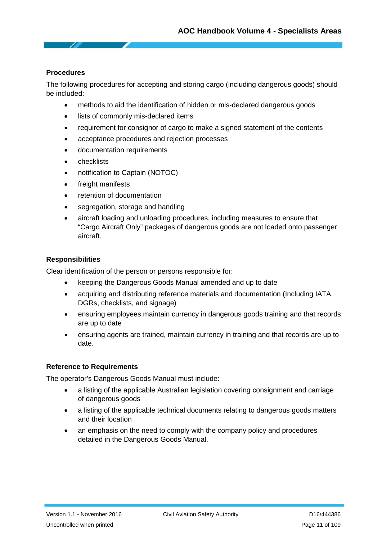#### **Procedures**

The following procedures for accepting and storing cargo (including dangerous goods) should be included:

- methods to aid the identification of hidden or mis-declared dangerous goods
- lists of commonly mis-declared items
- requirement for consignor of cargo to make a signed statement of the contents
- acceptance procedures and rejection processes
- documentation requirements
- checklists
- notification to Captain (NOTOC)
- freight manifests
- retention of documentation
- segregation, storage and handling
- aircraft loading and unloading procedures, including measures to ensure that "Cargo Aircraft Only" packages of dangerous goods are not loaded onto passenger aircraft.

#### **Responsibilities**

Clear identification of the person or persons responsible for:

- keeping the Dangerous Goods Manual amended and up to date
- acquiring and distributing reference materials and documentation (Including IATA, DGRs, checklists, and signage)
- ensuring employees maintain currency in dangerous goods training and that records are up to date
- ensuring agents are trained, maintain currency in training and that records are up to date.

#### **Reference to Requirements**

The operator's Dangerous Goods Manual must include:

- a listing of the applicable Australian legislation covering consignment and carriage of dangerous goods
- a listing of the applicable technical documents relating to dangerous goods matters and their location
- an emphasis on the need to comply with the company policy and procedures detailed in the Dangerous Goods Manual.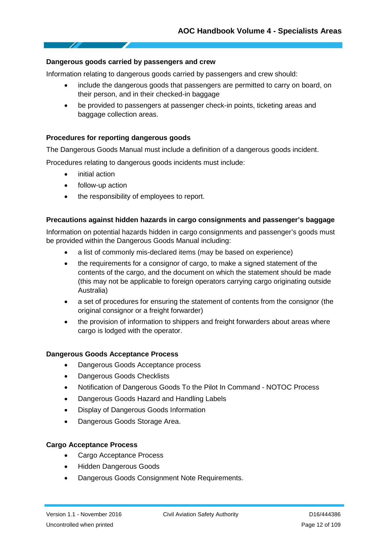#### **Dangerous goods carried by passengers and crew**

Information relating to dangerous goods carried by passengers and crew should:

- include the dangerous goods that passengers are permitted to carry on board, on their person, and in their checked-in baggage
- be provided to passengers at passenger check-in points, ticketing areas and baggage collection areas.

#### **Procedures for reporting dangerous goods**

The Dangerous Goods Manual must include a definition of a dangerous goods incident.

Procedures relating to dangerous goods incidents must include:

- initial action
- follow-up action
- the responsibility of employees to report.

#### **Precautions against hidden hazards in cargo consignments and passenger's baggage**

Information on potential hazards hidden in cargo consignments and passenger's goods must be provided within the Dangerous Goods Manual including:

- a list of commonly mis-declared items (may be based on experience)
- the requirements for a consignor of cargo, to make a signed statement of the contents of the cargo, and the document on which the statement should be made (this may not be applicable to foreign operators carrying cargo originating outside Australia)
- a set of procedures for ensuring the statement of contents from the consignor (the original consignor or a freight forwarder)
- the provision of information to shippers and freight forwarders about areas where cargo is lodged with the operator.

#### **Dangerous Goods Acceptance Process**

- Dangerous Goods Acceptance process
- Dangerous Goods Checklists
- Notification of Dangerous Goods To the Pilot In Command NOTOC Process
- Dangerous Goods Hazard and Handling Labels
- Display of Dangerous Goods Information
- Dangerous Goods Storage Area.

#### **Cargo Acceptance Process**

- Cargo Acceptance Process
- Hidden Dangerous Goods
- Dangerous Goods Consignment Note Requirements.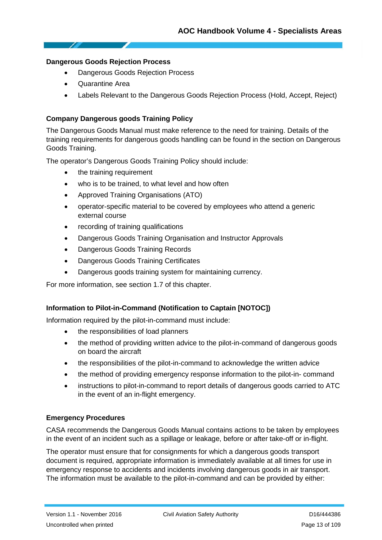#### **Dangerous Goods Rejection Process**

- Dangerous Goods Rejection Process
- Quarantine Area
- Labels Relevant to the Dangerous Goods Rejection Process (Hold, Accept, Reject)

#### **Company Dangerous goods Training Policy**

The Dangerous Goods Manual must make reference to the need for training. Details of the training requirements for dangerous goods handling can be found in the section on Dangerous Goods Training.

The operator's Dangerous Goods Training Policy should include:

- the training requirement
- who is to be trained, to what level and how often
- Approved Training Organisations (ATO)
- operator-specific material to be covered by employees who attend a generic external course
- recording of training qualifications
- Dangerous Goods Training Organisation and Instructor Approvals
- Dangerous Goods Training Records
- Dangerous Goods Training Certificates
- Dangerous goods training system for maintaining currency.

For more information, see section 1.7 of this chapter.

#### **Information to Pilot-in-Command (Notification to Captain [NOTOC])**

Information required by the pilot-in-command must include:

- the responsibilities of load planners
- the method of providing written advice to the pilot-in-command of dangerous goods on board the aircraft
- the responsibilities of the pilot-in-command to acknowledge the written advice
- the method of providing emergency response information to the pilot-in- command
- instructions to pilot-in-command to report details of dangerous goods carried to ATC in the event of an in-flight emergency.

#### **Emergency Procedures**

CASA recommends the Dangerous Goods Manual contains actions to be taken by employees in the event of an incident such as a spillage or leakage, before or after take-off or in-flight.

The operator must ensure that for consignments for which a dangerous goods transport document is required, appropriate information is immediately available at all times for use in emergency response to accidents and incidents involving dangerous goods in air transport. The information must be available to the pilot-in-command and can be provided by either: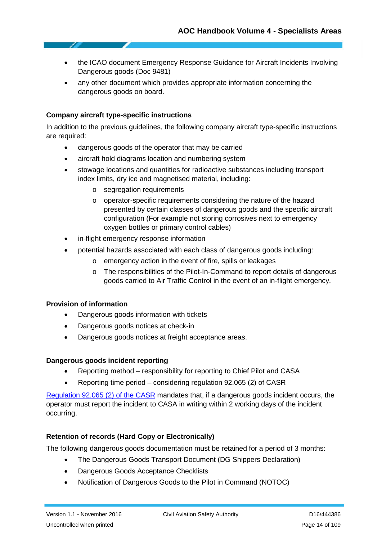- the ICAO document Emergency Response Guidance for Aircraft Incidents Involving Dangerous goods (Doc 9481)
- any other document which provides appropriate information concerning the dangerous goods on board.

#### **Company aircraft type-specific instructions**

In addition to the previous guidelines, the following company aircraft type-specific instructions are required:

- dangerous goods of the operator that may be carried
- aircraft hold diagrams location and numbering system
- stowage locations and quantities for radioactive substances including transport index limits, dry ice and magnetised material, including:
	- o segregation requirements
	- o operator-specific requirements considering the nature of the hazard presented by certain classes of dangerous goods and the specific aircraft configuration (For example not storing corrosives next to emergency oxygen bottles or primary control cables)
- in-flight emergency response information
- potential hazards associated with each class of dangerous goods including:
	- o emergency action in the event of fire, spills or leakages
	- o The responsibilities of the Pilot-In-Command to report details of dangerous goods carried to Air Traffic Control in the event of an in-flight emergency.

#### **Provision of information**

- Dangerous goods information with tickets
- Dangerous goods notices at check-in
- Dangerous goods notices at freight acceptance areas.

#### **Dangerous goods incident reporting**

- Reporting method responsibility for reporting to Chief Pilot and CASA
- Reporting time period considering regulation 92.065 (2) of CASR

[Regulation 92.065](https://www.casa.gov.au/standard-page/casr-part-92-consignment-and-carriage-dangerous-goods) (2) of the CASR mandates that, if a dangerous goods incident occurs, the operator must report the incident to CASA in writing within 2 working days of the incident occurring.

#### **Retention of records (Hard Copy or Electronically)**

The following dangerous goods documentation must be retained for a period of 3 months:

- The Dangerous Goods Transport Document (DG Shippers Declaration)
- Dangerous Goods Acceptance Checklists
- Notification of Dangerous Goods to the Pilot in Command (NOTOC)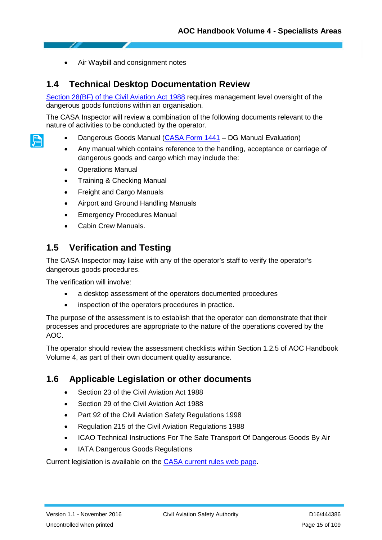• Air Waybill and consignment notes

# <span id="page-14-0"></span>**1.4 Technical Desktop Documentation Review**

[Section 28\(BF\) of the Civil Aviation Act 1988](https://www.casa.gov.au/rules-and-regulations/landing-page/current-rules) requires management level oversight of the dangerous goods functions within an organisation.

The CASA Inspector will review a combination of the following documents relevant to the nature of activities to be conducted by the operator.

- Dangerous Goods Manual [\(CASA Form 1441](http://casaconnect/manuals/oih/form1441.tr5) DG Manual Evaluation)
- Any manual which contains reference to the handling, acceptance or carriage of dangerous goods and cargo which may include the:
- Operations Manual
- Training & Checking Manual
- Freight and Cargo Manuals
- Airport and Ground Handling Manuals
- Emergency Procedures Manual
- Cabin Crew Manuals.

# <span id="page-14-1"></span>**1.5 Verification and Testing**

The CASA Inspector may liaise with any of the operator's staff to verify the operator's dangerous goods procedures.

The verification will involve:

- a desktop assessment of the operators documented procedures
- inspection of the operators procedures in practice.

The purpose of the assessment is to establish that the operator can demonstrate that their processes and procedures are appropriate to the nature of the operations covered by the AOC.

The operator should review the assessment checklists within Section 1.2.5 of AOC Handbook Volume 4, as part of their own document quality assurance.

# <span id="page-14-2"></span>**1.6 Applicable Legislation or other documents**

- Section 23 of the Civil Aviation Act 1988
- Section 29 of the Civil Aviation Act 1988
- Part 92 of the Civil Aviation Safety Regulations 1998
- Regulation 215 of the Civil Aviation Regulations 1988
- ICAO Technical Instructions For The Safe Transport Of Dangerous Goods By Air
- IATA Dangerous Goods Regulations

Current legislation is available on the [CASA current rules web page.](https://www.casa.gov.au/rules-and-regulations/landing-page/current-rules)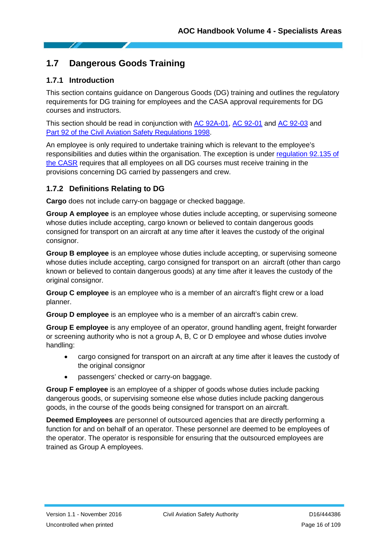# <span id="page-15-0"></span>**1.7 Dangerous Goods Training**

## **1.7.1 Introduction**

This section contains guidance on Dangerous Goods (DG) training and outlines the regulatory requirements for DG training for employees and the CASA approval requirements for DG courses and instructors.

This section should be read in conjunction with [AC 92A-01, AC 92-01](https://www.casa.gov.au/standard-page/casr-part-92-consignment-and-carriage-dangerous-goods) and [AC 92-03](https://www.casa.gov.au/standard-page/casr-part-92-consignment-and-carriage-dangerous-goods) and Part [92 of the Civil Aviation Safety Regulations 1998.](https://www.casa.gov.au/rules-and-regulations/landing-page/current-rules)

An employee is only required to undertake training which is relevant to the employee's responsibilities and duties within the organisation. The exception is under [regulation 92.135 of](https://www.casa.gov.au/rules-and-regulations/landing-page/current-rules)  [the CASR](https://www.casa.gov.au/rules-and-regulations/landing-page/current-rules) requires that all employees on all DG courses must receive training in the provisions concerning DG carried by passengers and crew.

### **1.7.2 Definitions Relating to DG**

**Cargo** does not include carry-on baggage or checked baggage.

**Group A employee** is an employee whose duties include accepting, or supervising someone whose duties include accepting, cargo known or believed to contain dangerous goods consigned for transport on an aircraft at any time after it leaves the custody of the original consignor.

**Group B employee** is an employee whose duties include accepting, or supervising someone whose duties include accepting, cargo consigned for transport on an aircraft (other than cargo known or believed to contain dangerous goods) at any time after it leaves the custody of the original consignor.

**Group C employee** is an employee who is a member of an aircraft's flight crew or a load planner.

**Group D employee** is an employee who is a member of an aircraft's cabin crew.

**Group E employee** is any employee of an operator, ground handling agent, freight forwarder or screening authority who is not a group A, B, C or D employee and whose duties involve handling:

- cargo consigned for transport on an aircraft at any time after it leaves the custody of the original consignor
- passengers' checked or carry-on baggage.

**Group F employee** is an employee of a shipper of goods whose duties include packing dangerous goods, or supervising someone else whose duties include packing dangerous goods, in the course of the goods being consigned for transport on an aircraft.

**Deemed Employees** are personnel of outsourced agencies that are directly performing a function for and on behalf of an operator. These personnel are deemed to be employees of the operator. The operator is responsible for ensuring that the outsourced employees are trained as Group A employees.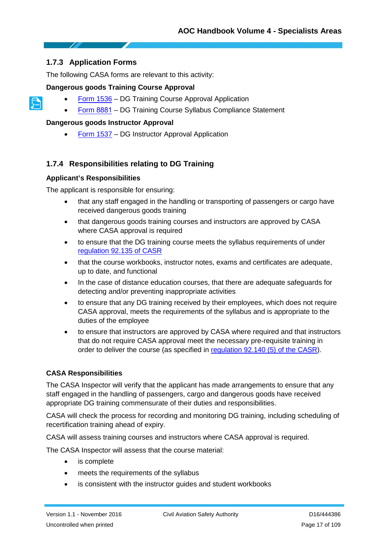## **1.7.3 Application Forms**

贻

The following CASA forms are relevant to this activity:

### **Dangerous goods Training Course Approval**

- [Form 1536](https://www.casa.gov.au/publications-and-resources/landing-page/forms-and-templates) DG Training Course Approval Application
- [Form](https://www.casa.gov.au/publications-and-resources/landing-page/forms-and-templates) 8881 DG Training Course Syllabus Compliance Statement

#### **Dangerous goods Instructor Approval**

• [Form 1537](https://www.casa.gov.au/publications-and-resources/landing-page/forms-and-templates) – DG Instructor Approval Application

## **1.7.4 Responsibilities relating to DG Training**

#### **Applicant's Responsibilities**

The applicant is responsible for ensuring:

- that any staff engaged in the handling or transporting of passengers or cargo have received dangerous goods training
- that dangerous goods training courses and instructors are approved by CASA where CASA approval is required
- to ensure that the DG training course meets the syllabus requirements of under [regulation 92.135 of CASR](https://www.casa.gov.au/rules-and-regulations/landing-page/current-rules)
- that the course workbooks, instructor notes, exams and certificates are adequate, up to date, and functional
- In the case of distance education courses, that there are adequate safeguards for detecting and/or preventing inappropriate activities
- to ensure that any DG training received by their employees, which does not require CASA approval, meets the requirements of the syllabus and is appropriate to the duties of the employee
- to ensure that instructors are approved by CASA where required and that instructors that do not require CASA approval meet the necessary pre-requisite training in order to deliver the course (as specified in [regulation 92.140 \(5\) of the CASR\)](https://www.casa.gov.au/standard-page/casr-part-92-consignment-and-carriage-dangerous-goods).

#### **CASA Responsibilities**

The CASA Inspector will verify that the applicant has made arrangements to ensure that any staff engaged in the handling of passengers, cargo and dangerous goods have received appropriate DG training commensurate of their duties and responsibilities.

CASA will check the process for recording and monitoring DG training, including scheduling of recertification training ahead of expiry.

CASA will assess training courses and instructors where CASA approval is required.

The CASA Inspector will assess that the course material:

- is complete
- meets the requirements of the syllabus
- is consistent with the instructor guides and student workbooks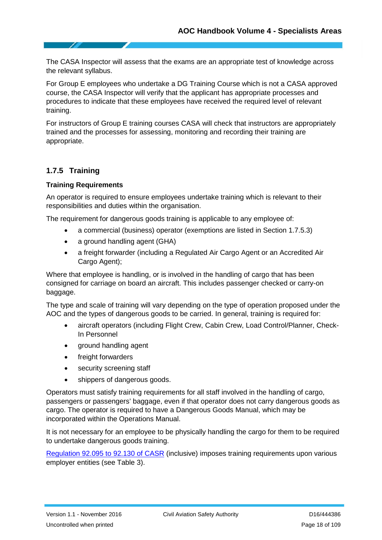The CASA Inspector will assess that the exams are an appropriate test of knowledge across the relevant syllabus.

For Group E employees who undertake a DG Training Course which is not a CASA approved course, the CASA Inspector will verify that the applicant has appropriate processes and procedures to indicate that these employees have received the required level of relevant training.

For instructors of Group E training courses CASA will check that instructors are appropriately trained and the processes for assessing, monitoring and recording their training are appropriate.

# **1.7.5 Training**

#### **Training Requirements**

An operator is required to ensure employees undertake training which is relevant to their responsibilities and duties within the organisation.

The requirement for dangerous goods training is applicable to any employee of:

- a commercial (business) operator (exemptions are listed in Section 1.7.5.3)
- a ground handling agent (GHA)
- a freight forwarder (including a Regulated Air Cargo Agent or an Accredited Air Cargo Agent);

Where that employee is handling, or is involved in the handling of cargo that has been consigned for carriage on board an aircraft. This includes passenger checked or carry-on baggage.

The type and scale of training will vary depending on the type of operation proposed under the AOC and the types of dangerous goods to be carried. In general, training is required for:

- aircraft operators (including Flight Crew, Cabin Crew, Load Control/Planner, Check-In Personnel
- ground handling agent
- freight forwarders
- security screening staff
- shippers of dangerous goods.

Operators must satisfy training requirements for all staff involved in the handling of cargo, passengers or passengers' baggage, even if that operator does not carry dangerous goods as cargo. The operator is required to have a Dangerous Goods Manual, which may be incorporated within the Operations Manual.

It is not necessary for an employee to be physically handling the cargo for them to be required to undertake dangerous goods training.

[Regulation 92.095 to 92.130 of CASR](https://www.casa.gov.au/rules-and-regulations/landing-page/current-rules) (inclusive) imposes training requirements upon various employer entities (see Table 3).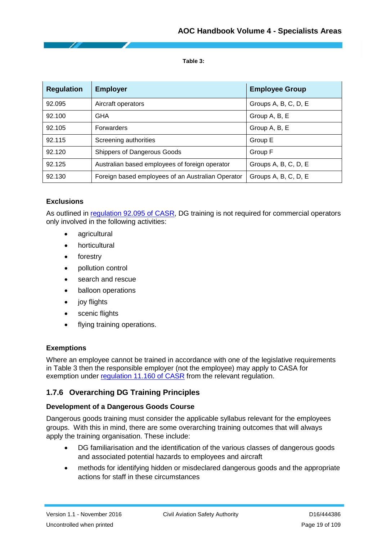**Table 3:** 

| <b>Regulation</b> | <b>Employer</b>                                   | <b>Employee Group</b> |
|-------------------|---------------------------------------------------|-----------------------|
| 92.095            | Aircraft operators                                | Groups A, B, C, D, E  |
| 92.100            | <b>GHA</b>                                        | Group A, B, E         |
| 92.105            | <b>Forwarders</b>                                 | Group A, B, E         |
| 92.115            | Screening authorities                             | Group E               |
| 92.120            | <b>Shippers of Dangerous Goods</b>                | Group F               |
| 92.125            | Australian based employees of foreign operator    | Groups A, B, C, D, E  |
| 92.130            | Foreign based employees of an Australian Operator | Groups A, B, C, D, E  |

### **Exclusions**

As outlined in [regulation 92.095 of CASR,](https://www.casa.gov.au/standard-page/casr-part-92-consignment-and-carriage-dangerous-goods) DG training is not required for commercial operators only involved in the following activities:

- agricultural
- **horticultural**
- **forestry**
- pollution control
- search and rescue
- balloon operations
- joy flights
- scenic flights
- flying training operations.

### **Exemptions**

Where an employee cannot be trained in accordance with one of the legislative requirements in Table 3 then the responsible employer (not the employee) may apply to CASA for exemption under [regulation 11.160 of CASR](https://www.casa.gov.au/rules-and-regulations/landing-page/current-rules) from the relevant regulation.

# **1.7.6 Overarching DG Training Principles**

#### **Development of a Dangerous Goods Course**

Dangerous goods training must consider the applicable syllabus relevant for the employees groups. With this in mind, there are some overarching training outcomes that will always apply the training organisation. These include:

- DG familiarisation and the identification of the various classes of dangerous goods and associated potential hazards to employees and aircraft
- methods for identifying hidden or misdeclared dangerous goods and the appropriate actions for staff in these circumstances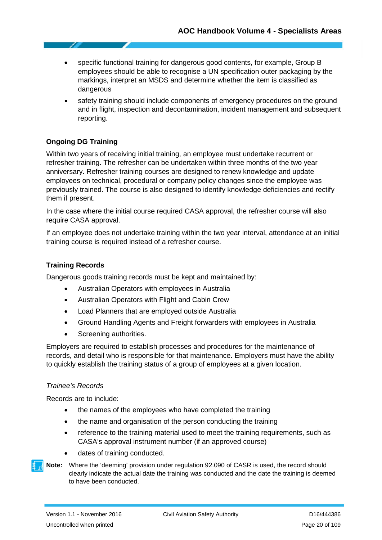- specific functional training for dangerous good contents, for example, Group B employees should be able to recognise a UN specification outer packaging by the markings, interpret an MSDS and determine whether the item is classified as dangerous
- safety training should include components of emergency procedures on the ground and in flight, inspection and decontamination, incident management and subsequent reporting.

### **Ongoing DG Training**

Within two years of receiving initial training, an employee must undertake recurrent or refresher training. The refresher can be undertaken within three months of the two year anniversary. Refresher training courses are designed to renew knowledge and update employees on technical, procedural or company policy changes since the employee was previously trained. The course is also designed to identify knowledge deficiencies and rectify them if present.

In the case where the initial course required CASA approval, the refresher course will also require CASA approval.

If an employee does not undertake training within the two year interval, attendance at an initial training course is required instead of a refresher course.

#### **Training Records**

Dangerous goods training records must be kept and maintained by:

- Australian Operators with employees in Australia
- Australian Operators with Flight and Cabin Crew
- Load Planners that are employed outside Australia
- Ground Handling Agents and Freight forwarders with employees in Australia
- Screening authorities.

Employers are required to establish processes and procedures for the maintenance of records, and detail who is responsible for that maintenance. Employers must have the ability to quickly establish the training status of a group of employees at a given location.

#### *Trainee's Records*

Records are to include:

- the names of the employees who have completed the training
- the name and organisation of the person conducting the training
- reference to the training material used to meet the training requirements, such as CASA's approval instrument number (if an approved course)
- dates of training conducted.

**Note:** Where the 'deeming' provision under regulation 92.090 of CASR is used, the record should clearly indicate the actual date the training was conducted and the date the training is deemed to have been conducted.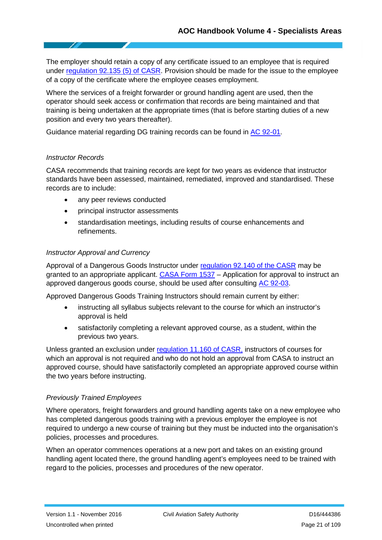The employer should retain a copy of any certificate issued to an employee that is required under [regulation 92.135 \(5\) of CASR.](https://www.casa.gov.au/rules-and-regulations/landing-page/current-rules) Provision should be made for the issue to the employee of a copy of the certificate where the employee ceases employment.

Where the services of a freight forwarder or ground handling agent are used, then the operator should seek access or confirmation that records are being maintained and that training is being undertaken at the appropriate times (that is before starting duties of a new position and every two years thereafter).

Guidance material regarding DG training records can be found in [AC 92-01.](https://www.casa.gov.au/standard-page/casr-part-92-consignment-and-carriage-dangerous-goods)

#### *Instructor Records*

CASA recommends that training records are kept for two years as evidence that instructor standards have been assessed, maintained, remediated, improved and standardised. These records are to include:

- any peer reviews conducted
- principal instructor assessments
- standardisation meetings, including results of course enhancements and refinements.

#### *Instructor Approval and Currency*

Approval of a Dangerous Goods Instructor under [regulation 92.140 of the CASR](https://www.casa.gov.au/rules-and-regulations/landing-page/current-rules) may be granted to an appropriate applicant. [CASA Form 1537](https://www.casa.gov.au/publications-and-resources/landing-page/forms-and-templates) - Application for approval to instruct an approved dangerous goods course, should be used after consulting [AC 92-03.](https://www.casa.gov.au/standard-page/casr-part-92-consignment-and-carriage-dangerous-goods)

Approved Dangerous Goods Training Instructors should remain current by either:

- instructing all syllabus subjects relevant to the course for which an instructor's approval is held
- satisfactorily completing a relevant approved course, as a student, within the previous two years.

Unless granted an exclusion under [regulation 11.160 of CASR,](https://www.casa.gov.au/rules-and-regulations/landing-page/current-rules) instructors of courses for which an approval is not required and who do not hold an approval from CASA to instruct an approved course, should have satisfactorily completed an appropriate approved course within the two years before instructing.

#### *Previously Trained Employees*

Where operators, freight forwarders and ground handling agents take on a new employee who has completed dangerous goods training with a previous employer the employee is not required to undergo a new course of training but they must be inducted into the organisation's policies, processes and procedures.

When an operator commences operations at a new port and takes on an existing ground handling agent located there, the ground handling agent's employees need to be trained with regard to the policies, processes and procedures of the new operator.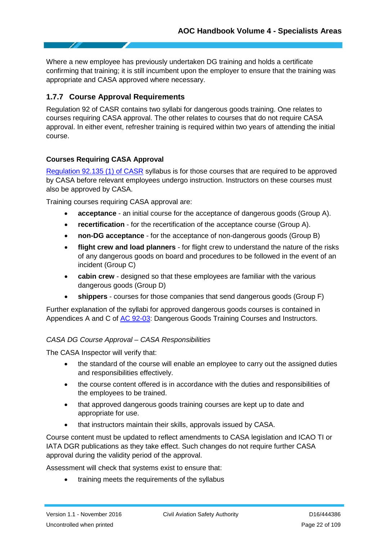Where a new employee has previously undertaken DG training and holds a certificate confirming that training; it is still incumbent upon the employer to ensure that the training was appropriate and CASA approved where necessary.

## **1.7.7 Course Approval Requirements**

Regulation 92 of CASR contains two syllabi for dangerous goods training. One relates to courses requiring CASA approval. The other relates to courses that do not require CASA approval. In either event, refresher training is required within two years of attending the initial course.

#### **Courses Requiring CASA Approval**

[Regulation 92.135 \(1\) of CASR](https://www.casa.gov.au/standard-page/casr-part-92-consignment-and-carriage-dangerous-goods) syllabus is for those courses that are required to be approved by CASA before relevant employees undergo instruction. Instructors on these courses must also be approved by CASA.

Training courses requiring CASA approval are:

- **acceptance** an initial course for the acceptance of dangerous goods (Group A).
- **recertification** for the recertification of the acceptance course (Group A).
- **non-DG acceptance** for the acceptance of non-dangerous goods (Group B)
- **flight crew and load planners** for flight crew to understand the nature of the risks of any dangerous goods on board and procedures to be followed in the event of an incident (Group C)
- **cabin crew** designed so that these employees are familiar with the various dangerous goods (Group D)
- **shippers** courses for those companies that send dangerous goods (Group F)

Further explanation of the syllabi for approved dangerous goods courses is contained in Appendices A and C of [AC 92-03:](https://www.casa.gov.au/standard-page/casr-part-92-consignment-and-carriage-dangerous-goods) Dangerous Goods Training Courses and Instructors.

#### *CASA DG Course Approval – CASA Responsibilities*

The CASA Inspector will verify that:

- the standard of the course will enable an employee to carry out the assigned duties and responsibilities effectively.
- the course content offered is in accordance with the duties and responsibilities of the employees to be trained.
- that approved dangerous goods training courses are kept up to date and appropriate for use.
- that instructors maintain their skills, approvals issued by CASA.

Course content must be updated to reflect amendments to CASA legislation and ICAO TI or IATA DGR publications as they take effect. Such changes do not require further CASA approval during the validity period of the approval.

Assessment will check that systems exist to ensure that:

• training meets the requirements of the syllabus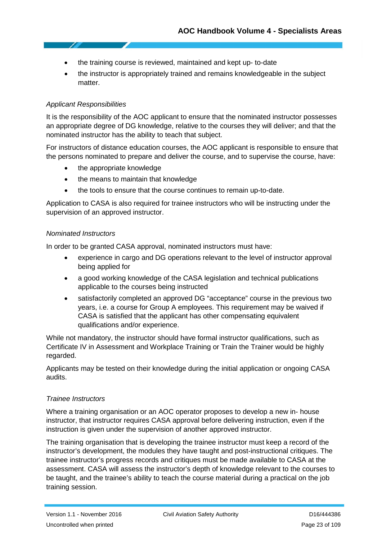- the training course is reviewed, maintained and kept up- to-date
- the instructor is appropriately trained and remains knowledgeable in the subject matter.

#### *Applicant Responsibilities*

It is the responsibility of the AOC applicant to ensure that the nominated instructor possesses an appropriate degree of DG knowledge, relative to the courses they will deliver; and that the nominated instructor has the ability to teach that subject.

For instructors of distance education courses, the AOC applicant is responsible to ensure that the persons nominated to prepare and deliver the course, and to supervise the course, have:

- the appropriate knowledge
- the means to maintain that knowledge
- the tools to ensure that the course continues to remain up-to-date.

Application to CASA is also required for trainee instructors who will be instructing under the supervision of an approved instructor.

#### *Nominated Instructors*

In order to be granted CASA approval, nominated instructors must have:

- experience in cargo and DG operations relevant to the level of instructor approval being applied for
- a good working knowledge of the CASA legislation and technical publications applicable to the courses being instructed
- satisfactorily completed an approved DG "acceptance" course in the previous two years, i.e. a course for Group A employees. This requirement may be waived if CASA is satisfied that the applicant has other compensating equivalent qualifications and/or experience.

While not mandatory, the instructor should have formal instructor qualifications, such as Certificate IV in Assessment and Workplace Training or Train the Trainer would be highly regarded.

Applicants may be tested on their knowledge during the initial application or ongoing CASA audits.

#### *Trainee Instructors*

Where a training organisation or an AOC operator proposes to develop a new in- house instructor, that instructor requires CASA approval before delivering instruction, even if the instruction is given under the supervision of another approved instructor.

The training organisation that is developing the trainee instructor must keep a record of the instructor's development, the modules they have taught and post-instructional critiques. The trainee instructor's progress records and critiques must be made available to CASA at the assessment. CASA will assess the instructor's depth of knowledge relevant to the courses to be taught, and the trainee's ability to teach the course material during a practical on the job training session.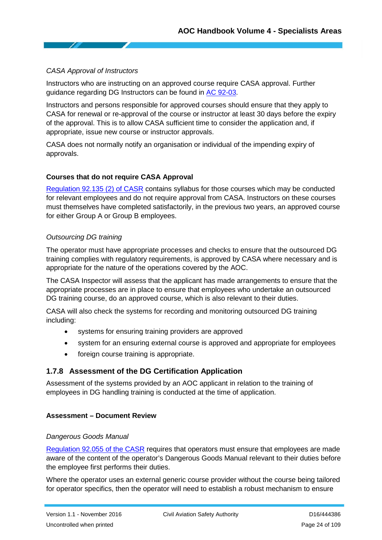### *CASA Approval of Instructors*

Instructors who are instructing on an approved course require CASA approval. Further guidance regarding DG Instructors can be found in [AC 92-03.](https://www.casa.gov.au/standard-page/casr-part-92-consignment-and-carriage-dangerous-goods)

Instructors and persons responsible for approved courses should ensure that they apply to CASA for renewal or re-approval of the course or instructor at least 30 days before the expiry of the approval. This is to allow CASA sufficient time to consider the application and, if appropriate, issue new course or instructor approvals.

CASA does not normally notify an organisation or individual of the impending expiry of approvals.

#### **Courses that do not require CASA Approval**

[Regulation 92.135 \(2\) of CASR](https://www.casa.gov.au/standard-page/casr-part-92-consignment-and-carriage-dangerous-goods) contains syllabus for those courses which may be conducted for relevant employees and do not require approval from CASA. Instructors on these courses must themselves have completed satisfactorily, in the previous two years, an approved course for either Group A or Group B employees.

#### *Outsourcing DG training*

The operator must have appropriate processes and checks to ensure that the outsourced DG training complies with regulatory requirements, is approved by CASA where necessary and is appropriate for the nature of the operations covered by the AOC.

The CASA Inspector will assess that the applicant has made arrangements to ensure that the appropriate processes are in place to ensure that employees who undertake an outsourced DG training course, do an approved course, which is also relevant to their duties.

CASA will also check the systems for recording and monitoring outsourced DG training including:

- systems for ensuring training providers are approved
- system for an ensuring external course is approved and appropriate for employees
- foreign course training is appropriate.

#### **1.7.8 Assessment of the DG Certification Application**

Assessment of the systems provided by an AOC applicant in relation to the training of employees in DG handling training is conducted at the time of application.

#### **Assessment – Document Review**

#### *Dangerous Goods Manual*

[Regulation 92.055 of the CASR](https://www.casa.gov.au/rules-and-regulations/landing-page/current-rules) requires that operators must ensure that employees are made aware of the content of the operator's Dangerous Goods Manual relevant to their duties before the employee first performs their duties.

Where the operator uses an external generic course provider without the course being tailored for operator specifics, then the operator will need to establish a robust mechanism to ensure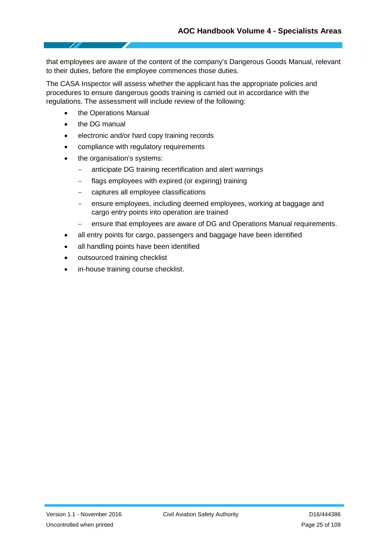that employees are aware of the content of the company's Dangerous Goods Manual, relevant to their duties, before the employee commences those duties.

The CASA Inspector will assess whether the applicant has the appropriate policies and procedures to ensure dangerous goods training is carried out in accordance with the regulations. The assessment will include review of the following:

- the Operations Manual
- the DG manual
- electronic and/or hard copy training records
- compliance with regulatory requirements
- the organisation's systems:
	- − anticipate DG training recertification and alert warnings
	- − flags employees with expired (or expiring) training
	- − captures all employee classifications
	- − ensure employees, including deemed employees, working at baggage and cargo entry points into operation are trained
	- ensure that employees are aware of DG and Operations Manual requirements.
- all entry points for cargo, passengers and baggage have been identified
- all handling points have been identified
- outsourced training checklist
- in-house training course checklist.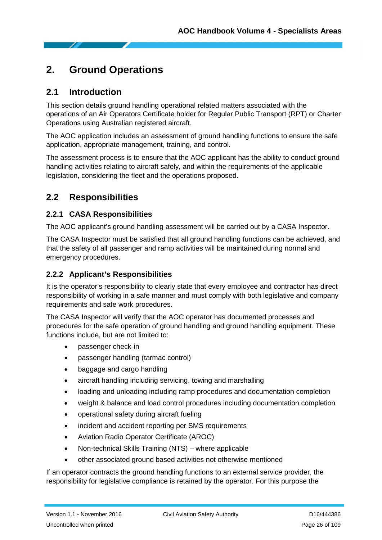# <span id="page-25-0"></span>**2. Ground Operations**

# <span id="page-25-1"></span>**2.1 Introduction**

This section details ground handling operational related matters associated with the operations of an Air Operators Certificate holder for Regular Public Transport (RPT) or Charter Operations using Australian registered aircraft.

The AOC application includes an assessment of ground handling functions to ensure the safe application, appropriate management, training, and control.

The assessment process is to ensure that the AOC applicant has the ability to conduct ground handling activities relating to aircraft safely, and within the requirements of the applicable legislation, considering the fleet and the operations proposed.

# <span id="page-25-2"></span>**2.2 Responsibilities**

# **2.2.1 CASA Responsibilities**

The AOC applicant's ground handling assessment will be carried out by a CASA Inspector.

The CASA Inspector must be satisfied that all ground handling functions can be achieved, and that the safety of all passenger and ramp activities will be maintained during normal and emergency procedures.

# **2.2.2 Applicant's Responsibilities**

It is the operator's responsibility to clearly state that every employee and contractor has direct responsibility of working in a safe manner and must comply with both legislative and company requirements and safe work procedures.

The CASA Inspector will verify that the AOC operator has documented processes and procedures for the safe operation of ground handling and ground handling equipment. These functions include, but are not limited to:

- passenger check-in
- passenger handling (tarmac control)
- baggage and cargo handling
- aircraft handling including servicing, towing and marshalling
- loading and unloading including ramp procedures and documentation completion
- weight & balance and load control procedures including documentation completion
- operational safety during aircraft fueling
- incident and accident reporting per SMS requirements
- Aviation Radio Operator Certificate (AROC)
- Non-technical Skills Training (NTS) where applicable
- other associated ground based activities not otherwise mentioned

If an operator contracts the ground handling functions to an external service provider, the responsibility for legislative compliance is retained by the operator. For this purpose the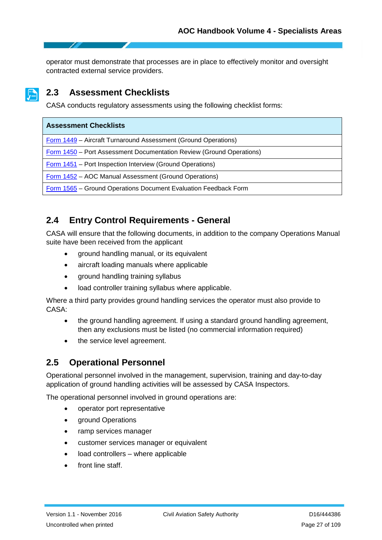operator must demonstrate that processes are in place to effectively monitor and oversight contracted external service providers.



# <span id="page-26-0"></span>**2.3 Assessment Checklists**

CASA conducts regulatory assessments using the following checklist forms:

| <b>Assessment Checklists</b>                                         |
|----------------------------------------------------------------------|
| Form 1449 - Aircraft Turnaround Assessment (Ground Operations)       |
| Form 1450 – Port Assessment Documentation Review (Ground Operations) |
| Form 1451 – Port Inspection Interview (Ground Operations)            |
| Form 1452 – AOC Manual Assessment (Ground Operations)                |
| Form 1565 - Ground Operations Document Evaluation Feedback Form      |

# <span id="page-26-1"></span>**2.4 Entry Control Requirements - General**

CASA will ensure that the following documents, in addition to the company Operations Manual suite have been received from the applicant

- ground handling manual, or its equivalent
- aircraft loading manuals where applicable
- ground handling training syllabus
- load controller training syllabus where applicable.

Where a third party provides ground handling services the operator must also provide to CASA:

- the ground handling agreement. If using a standard ground handling agreement, then any exclusions must be listed (no commercial information required)
- the service level agreement.

# <span id="page-26-2"></span>**2.5 Operational Personnel**

Operational personnel involved in the management, supervision, training and day-to-day application of ground handling activities will be assessed by CASA Inspectors.

The operational personnel involved in ground operations are:

- operator port representative
- ground Operations
- ramp services manager
- customer services manager or equivalent
- load controllers where applicable
- front line staff.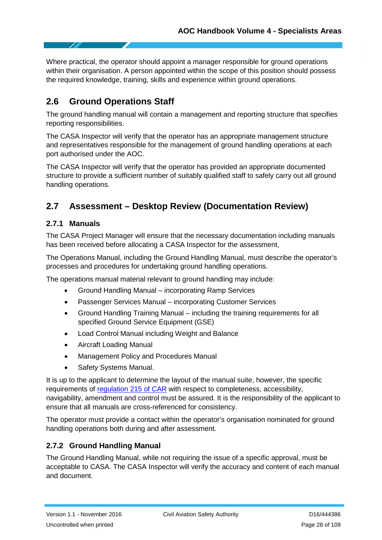Where practical, the operator should appoint a manager responsible for ground operations within their organisation. A person appointed within the scope of this position should possess the required knowledge, training, skills and experience within ground operations.

# <span id="page-27-0"></span>**2.6 Ground Operations Staff**

The ground handling manual will contain a management and reporting structure that specifies reporting responsibilities.

The CASA Inspector will verify that the operator has an appropriate management structure and representatives responsible for the management of ground handling operations at each port authorised under the AOC.

The CASA Inspector will verify that the operator has provided an appropriate documented structure to provide a sufficient number of suitably qualified staff to safely carry out all ground handling operations.

# <span id="page-27-1"></span>**2.7 Assessment – Desktop Review (Documentation Review)**

## **2.7.1 Manuals**

The CASA Project Manager will ensure that the necessary documentation including manuals has been received before allocating a CASA Inspector for the assessment,

The Operations Manual, including the Ground Handling Manual, must describe the operator's processes and procedures for undertaking ground handling operations.

The operations manual material relevant to ground handling may include:

- Ground Handling Manual incorporating Ramp Services
- Passenger Services Manual incorporating Customer Services
- Ground Handling Training Manual including the training requirements for all specified Ground Service Equipment (GSE)
- Load Control Manual including Weight and Balance
- Aircraft Loading Manual
- Management Policy and Procedures Manual
- Safety Systems Manual.

It is up to the applicant to determine the layout of the manual suite, however, the specific requirements of [regulation 215 of CAR](https://www.casa.gov.au/rules-and-regulations/landing-page/current-rules) with respect to completeness, accessibility, navigability, amendment and control must be assured. It is the responsibility of the applicant to ensure that all manuals are cross-referenced for consistency.

The operator must provide a contact within the operator's organisation nominated for ground handling operations both during and after assessment.

# **2.7.2 Ground Handling Manual**

The Ground Handling Manual, while not requiring the issue of a specific approval, must be acceptable to CASA. The CASA Inspector will verify the accuracy and content of each manual and document.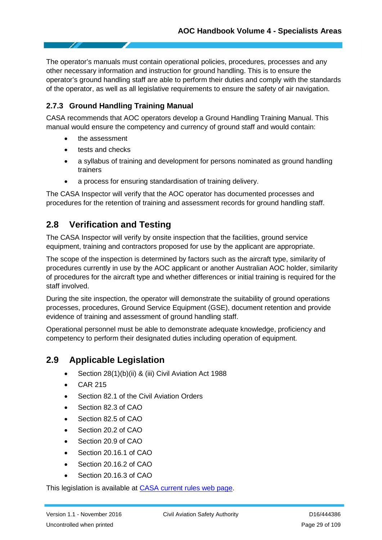The operator's manuals must contain operational policies, procedures, processes and any other necessary information and instruction for ground handling. This is to ensure the operator's ground handling staff are able to perform their duties and comply with the standards of the operator, as well as all legislative requirements to ensure the safety of air navigation.

# **2.7.3 Ground Handling Training Manual**

CASA recommends that AOC operators develop a Ground Handling Training Manual. This manual would ensure the competency and currency of ground staff and would contain:

- the assessment
- tests and checks
- a syllabus of training and development for persons nominated as ground handling trainers
- a process for ensuring standardisation of training delivery.

The CASA Inspector will verify that the AOC operator has documented processes and procedures for the retention of training and assessment records for ground handling staff.

# <span id="page-28-0"></span>**2.8 Verification and Testing**

The CASA Inspector will verify by onsite inspection that the facilities, ground service equipment, training and contractors proposed for use by the applicant are appropriate.

The scope of the inspection is determined by factors such as the aircraft type, similarity of procedures currently in use by the AOC applicant or another Australian AOC holder, similarity of procedures for the aircraft type and whether differences or initial training is required for the staff involved.

During the site inspection, the operator will demonstrate the suitability of ground operations processes, procedures, Ground Service Equipment (GSE), document retention and provide evidence of training and assessment of ground handling staff.

Operational personnel must be able to demonstrate adequate knowledge, proficiency and competency to perform their designated duties including operation of equipment.

# <span id="page-28-1"></span>**2.9 Applicable Legislation**

- Section 28(1)(b)(ii) & (iii) Civil Aviation Act 1988
- CAR 215
- Section 82.1 of the Civil Aviation Orders
- Section 82.3 of CAO
- Section 82.5 of CAO
- Section 20.2 of CAO
- Section 20.9 of CAO
- Section 20.16.1 of CAO
- Section 20.16.2 of CAO
- Section 20.16.3 of CAO

This legislation is available at [CASA current rules web page.](https://www.casa.gov.au/rules-and-regulations/landing-page/current-rules)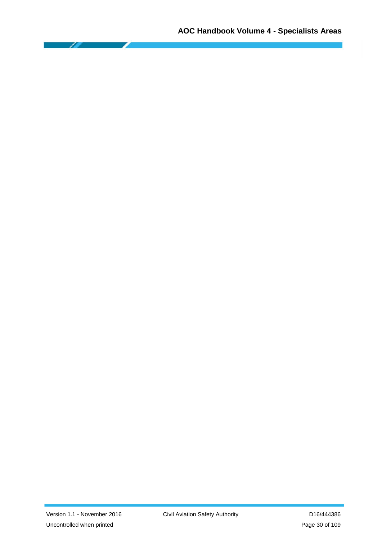75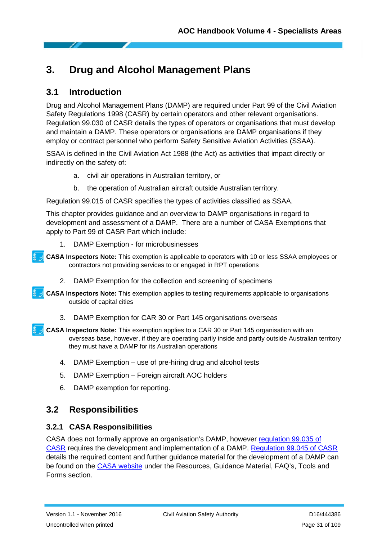# <span id="page-30-0"></span>**3. Drug and Alcohol Management Plans**

# <span id="page-30-1"></span>**3.1 Introduction**

Drug and Alcohol Management Plans (DAMP) are required under Part 99 of the Civil Aviation Safety Regulations 1998 (CASR) by certain operators and other relevant organisations. Regulation 99.030 of CASR details the types of operators or organisations that must develop and maintain a DAMP. These operators or organisations are DAMP organisations if they employ or contract personnel who perform Safety Sensitive Aviation Activities (SSAA).

SSAA is defined in the Civil Aviation Act 1988 (the Act) as activities that impact directly or indirectly on the safety of:

- a. civil air operations in Australian territory, or
- b. the operation of Australian aircraft outside Australian territory.

Regulation 99.015 of CASR specifies the types of activities classified as SSAA.

This chapter provides guidance and an overview to DAMP organisations in regard to development and assessment of a DAMP. There are a number of CASA Exemptions that apply to Part 99 of CASR Part which include:

- 1. DAMP Exemption for microbusinesses
- **CASA Inspectors Note:** This exemption is applicable to operators with 10 or less SSAA employees or contractors not providing services to or engaged in RPT operations
	- 2. DAMP Exemption for the collection and screening of specimens

**CASA Inspectors Note:** This exemption applies to testing requirements applicable to organisations outside of capital cities

3. DAMP Exemption for CAR 30 or Part 145 organisations overseas

**CASA Inspectors Note:** This exemption applies to a CAR 30 or Part 145 organisation with an overseas base, however, if they are operating partly inside and partly outside Australian territory they must have a DAMP for its Australian operations

- 4. DAMP Exemption use of pre-hiring drug and alcohol tests
- 5. DAMP Exemption Foreign aircraft AOC holders
- 6. DAMP exemption for reporting.

# <span id="page-30-2"></span>**3.2 Responsibilities**

### **3.2.1 CASA Responsibilities**

CASA does not formally approve an organisation's DAMP, however [regulation 99.035 of](https://www.casa.gov.au/standard-page/casr-part-99-drug-and-alcohol-management-plans-and-testing-0)  [CASR](https://www.casa.gov.au/standard-page/casr-part-99-drug-and-alcohol-management-plans-and-testing-0) requires the development and implementation of a DAMP. [Regulation 99.045 of CASR](https://www.casa.gov.au/standard-page/casr-part-99-drug-and-alcohol-management-plans-and-testing-0) details the required content and further guidance material for the development of a DAMP can be found on the [CASA website](https://www.casa.gov.au/safety-management/landing-page/drug-and-alcohol-management-plans) under the Resources, Guidance Material, FAQ's, Tools and Forms section.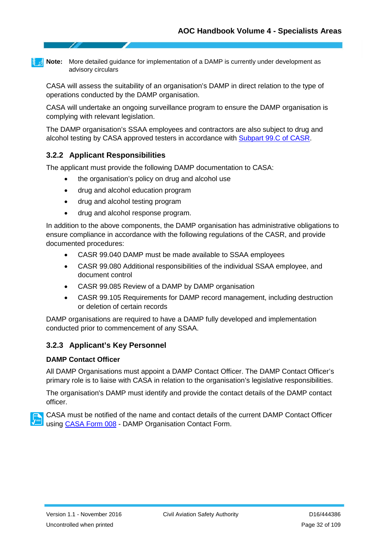**Note:** More detailed guidance for implementation of a DAMP is currently under development as advisory circulars

CASA will assess the suitability of an organisation's DAMP in direct relation to the type of operations conducted by the DAMP organisation.

CASA will undertake an ongoing surveillance program to ensure the DAMP organisation is complying with relevant legislation.

The DAMP organisation's SSAA employees and contractors are also subject to drug and alcohol testing by CASA approved testers in accordance with [Subpart 99.C of CASR.](https://www.casa.gov.au/standard-page/casr-part-99-drug-and-alcohol-management-plans-and-testing-0)

### **3.2.2 Applicant Responsibilities**

The applicant must provide the following DAMP documentation to CASA:

- the organisation's policy on drug and alcohol use
- drug and alcohol education program
- drug and alcohol testing program
- drug and alcohol response program.

In addition to the above components, the DAMP organisation has administrative obligations to ensure compliance in accordance with the following regulations of the CASR, and provide documented procedures:

- CASR 99.040 DAMP must be made available to SSAA employees
- CASR 99.080 Additional responsibilities of the individual SSAA employee, and document control
- CASR 99.085 Review of a DAMP by DAMP organisation
- CASR 99.105 Requirements for DAMP record management, including destruction or deletion of certain records

DAMP organisations are required to have a DAMP fully developed and implementation conducted prior to commencement of any SSAA.

#### **3.2.3 Applicant's Key Personnel**

#### **DAMP Contact Officer**

All DAMP Organisations must appoint a DAMP Contact Officer. The DAMP Contact Officer's primary role is to liaise with CASA in relation to the organisation's legislative responsibilities.

The organisation's DAMP must identify and provide the contact details of the DAMP contact officer.

CASA must be notified of the name and contact details of the current DAMP Contact Officer using [CASA Form 008](https://www.casa.gov.au/files/form008pdf) - DAMP Organisation Contact Form.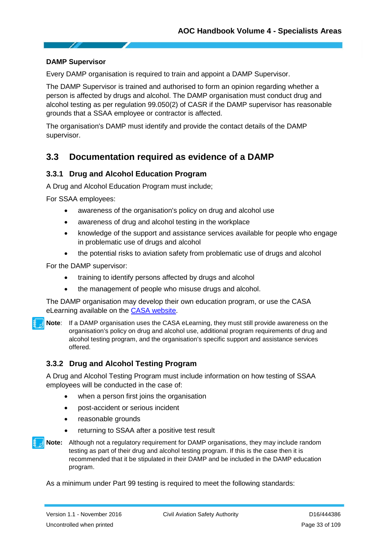#### **DAMP Supervisor**

Every DAMP organisation is required to train and appoint a DAMP Supervisor.

The DAMP Supervisor is trained and authorised to form an opinion regarding whether a person is affected by drugs and alcohol. The DAMP organisation must conduct drug and alcohol testing as per regulation 99.050(2) of CASR if the DAMP supervisor has reasonable grounds that a SSAA employee or contractor is affected.

The organisation's DAMP must identify and provide the contact details of the DAMP supervisor.

# <span id="page-32-0"></span>**3.3 Documentation required as evidence of a DAMP**

#### **3.3.1 Drug and Alcohol Education Program**

A Drug and Alcohol Education Program must include;

For SSAA employees:

- awareness of the organisation's policy on drug and alcohol use
- awareness of drug and alcohol testing in the workplace
- knowledge of the support and assistance services available for people who engage in problematic use of drugs and alcohol
- the potential risks to aviation safety from problematic use of drugs and alcohol

For the DAMP supervisor:

- training to identify persons affected by drugs and alcohol
- the management of people who misuse drugs and alcohol.

The DAMP organisation may develop their own education program, or use the CASA eLearning available on the [CASA website.](https://www.casa.gov.au/safety-management/landing-page/drug-and-alcohol-management-plans)

**Note**: If a DAMP organisation uses the CASA eLearning, they must still provide awareness on the organisation's policy on drug and alcohol use, additional program requirements of drug and alcohol testing program, and the organisation's specific support and assistance services offered.

### **3.3.2 Drug and Alcohol Testing Program**

A Drug and Alcohol Testing Program must include information on how testing of SSAA employees will be conducted in the case of:

- when a person first joins the organisation
- post-accident or serious incident
- reasonable grounds
- returning to SSAA after a positive test result

**Note:** Although not a regulatory requirement for DAMP organisations, they may include random testing as part of their drug and alcohol testing program. If this is the case then it is recommended that it be stipulated in their DAMP and be included in the DAMP education program.

As a minimum under Part 99 testing is required to meet the following standards: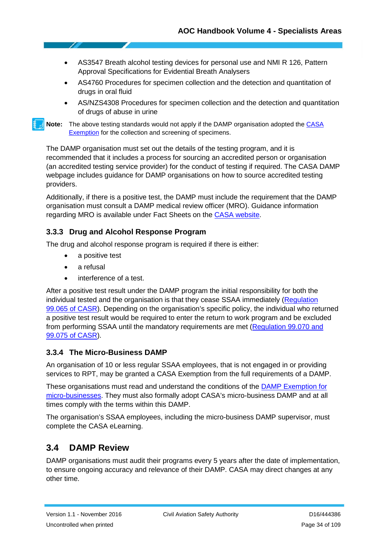- AS3547 Breath alcohol testing devices for personal use and NMI R 126, Pattern Approval Specifications for Evidential Breath Analysers
- AS4760 Procedures for specimen collection and the detection and quantitation of drugs in oral fluid
- AS/NZS4308 Procedures for specimen collection and the detection and quantitation of drugs of abuse in urine



**Note:** The above testing standards would not apply if the DAMP organisation adopted the [CASA](https://www.casa.gov.au/safety-management/landing-page/drug-and-alcohol-management-plans)  [Exemption](https://www.casa.gov.au/safety-management/landing-page/drug-and-alcohol-management-plans) for the collection and screening of specimens.

The DAMP organisation must set out the details of the testing program, and it is recommended that it includes a process for sourcing an accredited person or organisation (an accredited testing service provider) for the conduct of testing if required. The CASA DAMP webpage includes guidance for DAMP organisations on how to source accredited testing providers.

Additionally, if there is a positive test, the DAMP must include the requirement that the DAMP organisation must consult a DAMP medical review officer (MRO). Guidance information regarding MRO is available under Fact Sheets on the [CASA website.](https://www.casa.gov.au/safety-management/standard-page/fact-sheets)

# **3.3.3 Drug and Alcohol Response Program**

The drug and alcohol response program is required if there is either:

- a positive test
- a refusal
- interference of a test.

After a positive test result under the DAMP program the initial responsibility for both the individual tested and the organisation is that they cease SSAA immediately [\(Regulation](https://www.casa.gov.au/standard-page/casr-part-99-drug-and-alcohol-management-plans-and-testing-0)  [99.065 of CASR\)](https://www.casa.gov.au/standard-page/casr-part-99-drug-and-alcohol-management-plans-and-testing-0). Depending on the organisation's specific policy, the individual who returned a positive test result would be required to enter the return to work program and be excluded from performing SSAA until the mandatory requirements are met [\(Regulation 99.070 and](https://www.casa.gov.au/standard-page/casr-part-99-drug-and-alcohol-management-plans-and-testing-0)  [99.075 of CASR\)](https://www.casa.gov.au/standard-page/casr-part-99-drug-and-alcohol-management-plans-and-testing-0).

# **3.3.4 The Micro-Business DAMP**

An organisation of 10 or less regular SSAA employees, that is not engaged in or providing services to RPT, may be granted a CASA Exemption from the full requirements of a DAMP.

These organisations must read and understand the conditions of the [DAMP Exemption for](https://www.casa.gov.au/safety-management/standard-page/damp-exemption-micro-businesses)  [micro-businesses.](https://www.casa.gov.au/safety-management/standard-page/damp-exemption-micro-businesses) They must also formally adopt CASA's micro-business DAMP and at all times comply with the terms within this DAMP.

The organisation's SSAA employees, including the micro-business DAMP supervisor, must complete the CASA eLearning.

# <span id="page-33-0"></span>**3.4 DAMP Review**

DAMP organisations must audit their programs every 5 years after the date of implementation, to ensure ongoing accuracy and relevance of their DAMP. CASA may direct changes at any other time.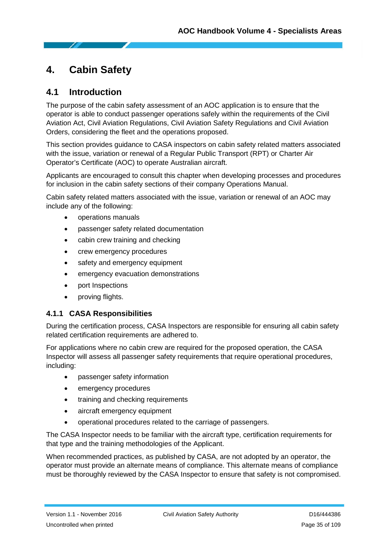# <span id="page-34-0"></span>**4. Cabin Safety**

# <span id="page-34-1"></span>**4.1 Introduction**

The purpose of the cabin safety assessment of an AOC application is to ensure that the operator is able to conduct passenger operations safely within the requirements of the Civil Aviation Act, Civil Aviation Regulations, Civil Aviation Safety Regulations and Civil Aviation Orders, considering the fleet and the operations proposed.

This section provides guidance to CASA inspectors on cabin safety related matters associated with the issue, variation or renewal of a Regular Public Transport (RPT) or Charter Air Operator's Certificate (AOC) to operate Australian aircraft.

Applicants are encouraged to consult this chapter when developing processes and procedures for inclusion in the cabin safety sections of their company Operations Manual.

Cabin safety related matters associated with the issue, variation or renewal of an AOC may include any of the following:

- operations manuals
- passenger safety related documentation
- cabin crew training and checking
- crew emergency procedures
- safety and emergency equipment
- emergency evacuation demonstrations
- port Inspections
- proving flights.

### **4.1.1 CASA Responsibilities**

During the certification process, CASA Inspectors are responsible for ensuring all cabin safety related certification requirements are adhered to.

For applications where no cabin crew are required for the proposed operation, the CASA Inspector will assess all passenger safety requirements that require operational procedures, including:

- passenger safety information
- emergency procedures
- training and checking requirements
- aircraft emergency equipment
- operational procedures related to the carriage of passengers.

The CASA Inspector needs to be familiar with the aircraft type, certification requirements for that type and the training methodologies of the Applicant.

When recommended practices, as published by CASA, are not adopted by an operator, the operator must provide an alternate means of compliance. This alternate means of compliance must be thoroughly reviewed by the CASA Inspector to ensure that safety is not compromised.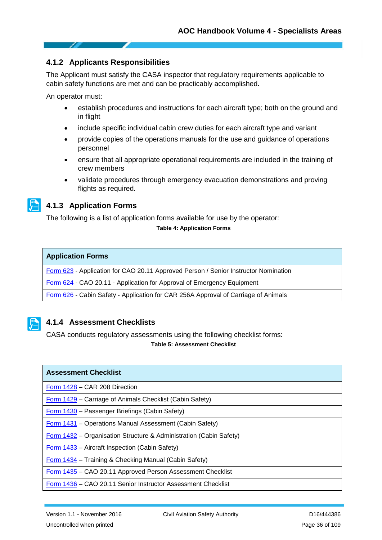### **4.1.2 Applicants Responsibilities**

The Applicant must satisfy the CASA inspector that regulatory requirements applicable to cabin safety functions are met and can be practicably accomplished.

An operator must:

- establish procedures and instructions for each aircraft type; both on the ground and in flight
- include specific individual cabin crew duties for each aircraft type and variant
- provide copies of the operations manuals for the use and guidance of operations personnel
- ensure that all appropriate operational requirements are included in the training of crew members
- validate procedures through emergency evacuation demonstrations and proving flights as required.



### **4.1.3 Application Forms**

The following is a list of application forms available for use by the operator:

#### **Table 4: Application Forms**

| <b>Application Forms</b>                                                            |
|-------------------------------------------------------------------------------------|
| Form 623 - Application for CAO 20.11 Approved Person / Senior Instructor Nomination |
| Form 624 - CAO 20.11 - Application for Approval of Emergency Equipment              |
| Form 626 - Cabin Safety - Application for CAR 256A Approval of Carriage of Animals  |



#### **4.1.4 Assessment Checklists**

CASA conducts regulatory assessments using the following checklist forms:

#### **Table 5: Assessment Checklist**

| <b>Assessment Checklist</b>                                        |
|--------------------------------------------------------------------|
| Form 1428 - CAR 208 Direction                                      |
| Form 1429 – Carriage of Animals Checklist (Cabin Safety)           |
| Form 1430 - Passenger Briefings (Cabin Safety)                     |
| Form 1431 – Operations Manual Assessment (Cabin Safety)            |
| Form 1432 – Organisation Structure & Administration (Cabin Safety) |
| Form 1433 – Aircraft Inspection (Cabin Safety)                     |
| Form 1434 – Training & Checking Manual (Cabin Safety)              |
| Form 1435 - CAO 20.11 Approved Person Assessment Checklist         |
| Form 1436 – CAO 20.11 Senior Instructor Assessment Checklist       |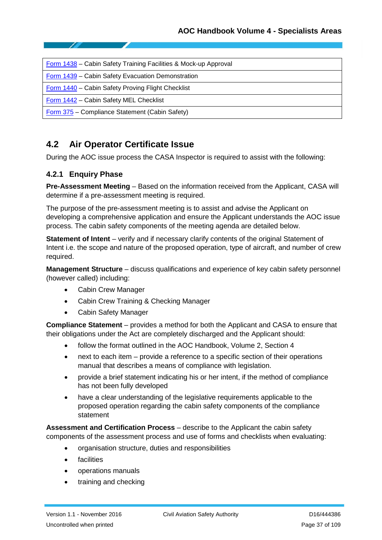|  | Form 1438 - Cabin Safety Training Facilities & Mock-up Approval |  |
|--|-----------------------------------------------------------------|--|
|  |                                                                 |  |

[Form 1439](http://casaconnect/manuals/oih/form1439.tr5) – Cabin Safety Evacuation Demonstration

[Form 1440](http://casaconnect/manuals/oih/form1440.tr5) – Cabin Safety Proving Flight Checklist

[Form 1442](https://www.casa.gov.au/publications-and-resources/landing-page/forms-and-templates) – Cabin Safety MEL Checklist

[Form 375](https://www.casa.gov.au/publications-and-resources/landing-page/forms-and-templates) – Compliance Statement (Cabin Safety)

# **4.2 Air Operator Certificate Issue**

During the AOC issue process the CASA Inspector is required to assist with the following:

# **4.2.1 Enquiry Phase**

**Pre-Assessment Meeting – Based on the information received from the Applicant, CASA will** determine if a pre-assessment meeting is required.

The purpose of the pre-assessment meeting is to assist and advise the Applicant on developing a comprehensive application and ensure the Applicant understands the AOC issue process. The cabin safety components of the meeting agenda are detailed below.

**Statement of Intent** – verify and if necessary clarify contents of the original Statement of Intent i.e. the scope and nature of the proposed operation, type of aircraft, and number of crew required.

**Management Structure** – discuss qualifications and experience of key cabin safety personnel (however called) including:

- Cabin Crew Manager
- Cabin Crew Training & Checking Manager
- Cabin Safety Manager

**Compliance Statement** – provides a method for both the Applicant and CASA to ensure that their obligations under the Act are completely discharged and the Applicant should:

- follow the format outlined in the AOC Handbook, Volume 2, Section 4
- next to each item provide a reference to a specific section of their operations manual that describes a means of compliance with legislation.
- provide a brief statement indicating his or her intent, if the method of compliance has not been fully developed
- have a clear understanding of the legislative requirements applicable to the proposed operation regarding the cabin safety components of the compliance statement

**Assessment and Certification Process** – describe to the Applicant the cabin safety components of the assessment process and use of forms and checklists when evaluating:

- organisation structure, duties and responsibilities
- facilities
- operations manuals
- training and checking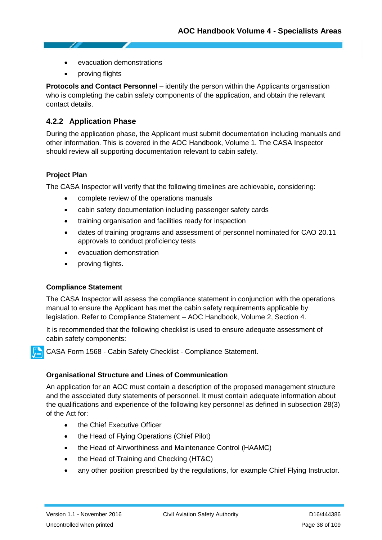- evacuation demonstrations
- proving flights

**Protocols and Contact Personnel** – identify the person within the Applicants organisation who is completing the cabin safety components of the application, and obtain the relevant contact details.

# **4.2.2 Application Phase**

During the application phase, the Applicant must submit documentation including manuals and other information. This is covered in the AOC Handbook, Volume 1. The CASA Inspector should review all supporting documentation relevant to cabin safety.

## **Project Plan**

The CASA Inspector will verify that the following timelines are achievable, considering:

- complete review of the operations manuals
- cabin safety documentation including passenger safety cards
- training organisation and facilities ready for inspection
- dates of training programs and assessment of personnel nominated for CAO 20.11 approvals to conduct proficiency tests
- evacuation demonstration
- proving flights.

## **Compliance Statement**

The CASA Inspector will assess the compliance statement in conjunction with the operations manual to ensure the Applicant has met the cabin safety requirements applicable by legislation. Refer to Compliance Statement – AOC Handbook, Volume 2, Section 4.

It is recommended that the following checklist is used to ensure adequate assessment of cabin safety components:

CASA Form 1568 - Cabin Safety Checklist - Compliance Statement.

## **Organisational Structure and Lines of Communication**

An application for an AOC must contain a description of the proposed management structure and the associated duty statements of personnel. It must contain adequate information about the qualifications and experience of the following key personnel as defined in subsection 28(3) of the Act for:

- the Chief Executive Officer
- the Head of Flying Operations (Chief Pilot)
- the Head of Airworthiness and Maintenance Control (HAAMC)
- the Head of Training and Checking (HT&C)
- any other position prescribed by the regulations, for example Chief Flying Instructor.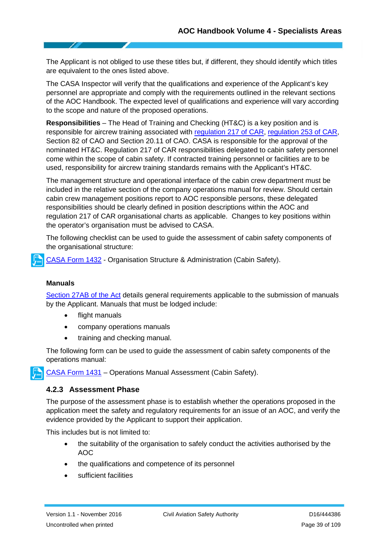The Applicant is not obliged to use these titles but, if different, they should identify which titles are equivalent to the ones listed above.

The CASA Inspector will verify that the qualifications and experience of the Applicant's key personnel are appropriate and comply with the requirements outlined in the relevant sections of the AOC Handbook. The expected level of qualifications and experience will vary according to the scope and nature of the proposed operations.

**Responsibilities** – The Head of Training and Checking (HT&C) is a key position and is responsible for aircrew training associated with [regulation 217 of CAR, regulation 253 of CAR,](https://www.casa.gov.au/landing-page/rules-and-regulations) Section 82 of CAO and Section 20.11 of CAO. CASA is responsible for the approval of the nominated HT&C. Regulation 217 of CAR responsibilities delegated to cabin safety personnel come within the scope of cabin safety. If contracted training personnel or facilities are to be used, responsibility for aircrew training standards remains with the Applicant's HT&C.

The management structure and operational interface of the cabin crew department must be included in the relative section of the company operations manual for review. Should certain cabin crew management positions report to AOC responsible persons, these delegated responsibilities should be clearly defined in position descriptions within the AOC and regulation 217 of CAR organisational charts as applicable. Changes to key positions within the operator's organisation must be advised to CASA.

The following checklist can be used to guide the assessment of cabin safety components of the organisational structure:

[CASA Form 1432](http://casaconnect/manuals/oih/form1432.tr5) - Organisation Structure & Administration (Cabin Safety).

#### **Manuals**

[Section 27AB of the Act](https://www.casa.gov.au/landing-page/rules-and-regulations) details general requirements applicable to the submission of manuals by the Applicant. Manuals that must be lodged include:

- flight manuals
- company operations manuals
- training and checking manual.

The following form can be used to guide the assessment of cabin safety components of the operations manual:

[CASA Form 1431](http://casaconnect/manuals/oih/form1431.tr5) – Operations Manual Assessment (Cabin Safety).

## **4.2.3 Assessment Phase**

The purpose of the assessment phase is to establish whether the operations proposed in the application meet the safety and regulatory requirements for an issue of an AOC, and verify the evidence provided by the Applicant to support their application.

This includes but is not limited to:

- the suitability of the organisation to safely conduct the activities authorised by the AOC
- the qualifications and competence of its personnel
- sufficient facilities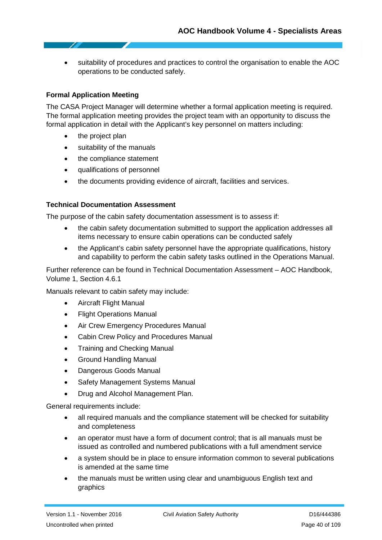• suitability of procedures and practices to control the organisation to enable the AOC operations to be conducted safely.

## **Formal Application Meeting**

The CASA Project Manager will determine whether a formal application meeting is required. The formal application meeting provides the project team with an opportunity to discuss the formal application in detail with the Applicant's key personnel on matters including:

- the project plan
- suitability of the manuals
- the compliance statement
- qualifications of personnel
- the documents providing evidence of aircraft, facilities and services.

# **Technical Documentation Assessment**

The purpose of the cabin safety documentation assessment is to assess if:

- the cabin safety documentation submitted to support the application addresses all items necessary to ensure cabin operations can be conducted safely
- the Applicant's cabin safety personnel have the appropriate qualifications, history and capability to perform the cabin safety tasks outlined in the Operations Manual.

Further reference can be found in Technical Documentation Assessment – AOC Handbook, Volume 1, Section 4.6.1

Manuals relevant to cabin safety may include:

- Aircraft Flight Manual
- Flight Operations Manual
- Air Crew Emergency Procedures Manual
- Cabin Crew Policy and Procedures Manual
- Training and Checking Manual
- Ground Handling Manual
- Dangerous Goods Manual
- Safety Management Systems Manual
- Drug and Alcohol Management Plan.

General requirements include:

- all required manuals and the compliance statement will be checked for suitability and completeness
- an operator must have a form of document control; that is all manuals must be issued as controlled and numbered publications with a full amendment service
- a system should be in place to ensure information common to several publications is amended at the same time
- the manuals must be written using clear and unambiguous English text and graphics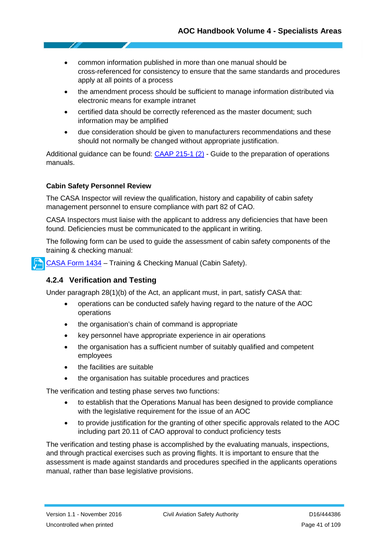- common information published in more than one manual should be cross-referenced for consistency to ensure that the same standards and procedures apply at all points of a process
- the amendment process should be sufficient to manage information distributed via electronic means for example intranet
- certified data should be correctly referenced as the master document; such information may be amplified
- due consideration should be given to manufacturers recommendations and these should not normally be changed without appropriate justification.

Additional guidance can be found: [CAAP 215-1](https://www.casa.gov.au/rules-and-regulations/standard-page/civil-aviation-advisory-publications) (2) - Guide to the preparation of operations manuals.

# **Cabin Safety Personnel Review**

The CASA Inspector will review the qualification, history and capability of cabin safety management personnel to ensure compliance with part 82 of CAO.

CASA Inspectors must liaise with the applicant to address any deficiencies that have been found. Deficiencies must be communicated to the applicant in writing.

The following form can be used to guide the assessment of cabin safety components of the training & checking manual:

[CASA Form 1434](http://casaconnect/manuals/oih/form1434.tr5) – Training & Checking Manual (Cabin Safety).

# **4.2.4 Verification and Testing**

Under paragraph 28(1)(b) of the Act, an applicant must, in part, satisfy CASA that:

- operations can be conducted safely having regard to the nature of the AOC operations
- the organisation's chain of command is appropriate
- key personnel have appropriate experience in air operations
- the organisation has a sufficient number of suitably qualified and competent employees
- the facilities are suitable
- the organisation has suitable procedures and practices

The verification and testing phase serves two functions:

- to establish that the Operations Manual has been designed to provide compliance with the legislative requirement for the issue of an AOC
- to provide justification for the granting of other specific approvals related to the AOC including part 20.11 of CAO approval to conduct proficiency tests

The verification and testing phase is accomplished by the evaluating manuals, inspections, and through practical exercises such as proving flights. It is important to ensure that the assessment is made against standards and procedures specified in the applicants operations manual, rather than base legislative provisions.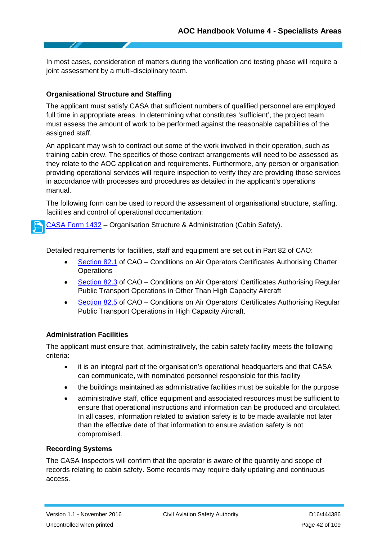In most cases, consideration of matters during the verification and testing phase will require a joint assessment by a multi-disciplinary team.

## **Organisational Structure and Staffing**

The applicant must satisfy CASA that sufficient numbers of qualified personnel are employed full time in appropriate areas. In determining what constitutes 'sufficient', the project team must assess the amount of work to be performed against the reasonable capabilities of the assigned staff.

An applicant may wish to contract out some of the work involved in their operation, such as training cabin crew. The specifics of those contract arrangements will need to be assessed as they relate to the AOC application and requirements. Furthermore, any person or organisation providing operational services will require inspection to verify they are providing those services in accordance with processes and procedures as detailed in the applicant's operations manual.

The following form can be used to record the assessment of organisational structure, staffing, facilities and control of operational documentation:

[CASA Form 1432](https://www.casa.gov.au/publications-and-resources/landing-page/forms-and-templates) – Organisation Structure & Administration (Cabin Safety).

Detailed requirements for facilities, staff and equipment are set out in Part 82 of CAO:

- [Section 82.1](https://www.legislation.gov.au/Browse/Results/ByTitle/LegislativeInstruments/InForce/Ci/37/civil%20aviation%20order%2082/Principal) of CAO Conditions on Air Operators Certificates Authorising Charter **Operations**
- [Section 82.3](https://www.legislation.gov.au/Browse/Results/ByTitle/LegislativeInstruments/InForce/Ci/37/civil%20aviation%20order%2082/Principal) of CAO Conditions on Air Operators' Certificates Authorising Regular Public Transport Operations in Other Than High Capacity Aircraft
- [Section 82.5](https://www.legislation.gov.au/Browse/Results/ByTitle/LegislativeInstruments/InForce/Ci/37/civil%20aviation%20order%2082/Principal) of CAO Conditions on Air Operators' Certificates Authorising Regular Public Transport Operations in High Capacity Aircraft.

## **Administration Facilities**

The applicant must ensure that, administratively, the cabin safety facility meets the following criteria:

- it is an integral part of the organisation's operational headquarters and that CASA can communicate, with nominated personnel responsible for this facility
- the buildings maintained as administrative facilities must be suitable for the purpose
- administrative staff, office equipment and associated resources must be sufficient to ensure that operational instructions and information can be produced and circulated. In all cases, information related to aviation safety is to be made available not later than the effective date of that information to ensure aviation safety is not compromised.

## **Recording Systems**

The CASA Inspectors will confirm that the operator is aware of the quantity and scope of records relating to cabin safety. Some records may require daily updating and continuous access.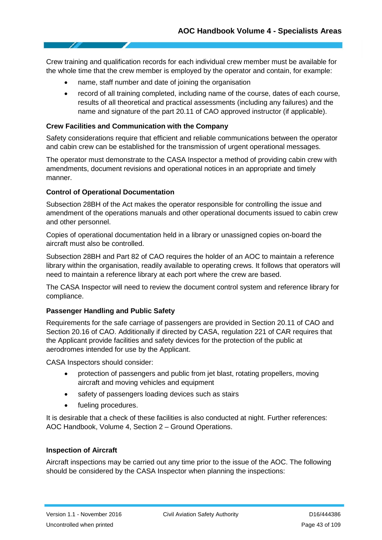Crew training and qualification records for each individual crew member must be available for the whole time that the crew member is employed by the operator and contain, for example:

- name, staff number and date of joining the organisation
- record of all training completed, including name of the course, dates of each course, results of all theoretical and practical assessments (including any failures) and the name and signature of the part 20.11 of CAO approved instructor (if applicable).

## **Crew Facilities and Communication with the Company**

Safety considerations require that efficient and reliable communications between the operator and cabin crew can be established for the transmission of urgent operational messages.

The operator must demonstrate to the CASA Inspector a method of providing cabin crew with amendments, document revisions and operational notices in an appropriate and timely manner.

## **Control of Operational Documentation**

Subsection 28BH of the Act makes the operator responsible for controlling the issue and amendment of the operations manuals and other operational documents issued to cabin crew and other personnel.

Copies of operational documentation held in a library or unassigned copies on-board the aircraft must also be controlled.

Subsection 28BH and Part 82 of CAO requires the holder of an AOC to maintain a reference library within the organisation, readily available to operating crews. It follows that operators will need to maintain a reference library at each port where the crew are based.

The CASA Inspector will need to review the document control system and reference library for compliance.

## **Passenger Handling and Public Safety**

Requirements for the safe carriage of passengers are provided in Section 20.11 of CAO and Section 20.16 of CAO. Additionally if directed by CASA, regulation 221 of CAR requires that the Applicant provide facilities and safety devices for the protection of the public at aerodromes intended for use by the Applicant.

CASA Inspectors should consider:

- protection of passengers and public from jet blast, rotating propellers, moving aircraft and moving vehicles and equipment
- safety of passengers loading devices such as stairs
- fueling procedures.

It is desirable that a check of these facilities is also conducted at night. Further references: AOC Handbook, Volume 4, Section 2 – Ground Operations.

## **Inspection of Aircraft**

Aircraft inspections may be carried out any time prior to the issue of the AOC. The following should be considered by the CASA Inspector when planning the inspections: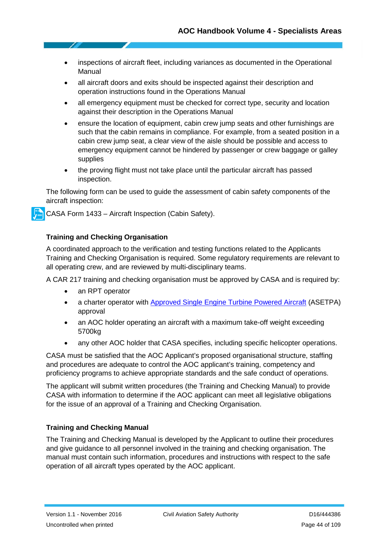- inspections of aircraft fleet, including variances as documented in the Operational Manual
- all aircraft doors and exits should be inspected against their description and operation instructions found in the Operations Manual
- all emergency equipment must be checked for correct type, security and location against their description in the Operations Manual
- ensure the location of equipment, cabin crew jump seats and other furnishings are such that the cabin remains in compliance. For example, from a seated position in a cabin crew jump seat, a clear view of the aisle should be possible and access to emergency equipment cannot be hindered by passenger or crew baggage or galley supplies
- the proving flight must not take place until the particular aircraft has passed inspection.

The following form can be used to guide the assessment of cabin safety components of the aircraft inspection:

CASA Form 1433 – Aircraft Inspection (Cabin Safety).

## **Training and Checking Organisation**

A coordinated approach to the verification and testing functions related to the Applicants Training and Checking Organisation is required. Some regulatory requirements are relevant to all operating crew, and are reviewed by multi-disciplinary teams.

A CAR 217 training and checking organisation must be approved by CASA and is required by:

- an RPT operator
- a charter operator with [Approved Single Engine Turbine Powered Aircraft](https://www.casa.gov.au/file/95391/download?token=9PZU-V-K) (ASETPA) approval
- an AOC holder operating an aircraft with a maximum take-off weight exceeding 5700kg
- any other AOC holder that CASA specifies, including specific helicopter operations.

CASA must be satisfied that the AOC Applicant's proposed organisational structure, staffing and procedures are adequate to control the AOC applicant's training, competency and proficiency programs to achieve appropriate standards and the safe conduct of operations.

The applicant will submit written procedures (the Training and Checking Manual) to provide CASA with information to determine if the AOC applicant can meet all legislative obligations for the issue of an approval of a Training and Checking Organisation.

## **Training and Checking Manual**

The Training and Checking Manual is developed by the Applicant to outline their procedures and give guidance to all personnel involved in the training and checking organisation. The manual must contain such information, procedures and instructions with respect to the safe operation of all aircraft types operated by the AOC applicant.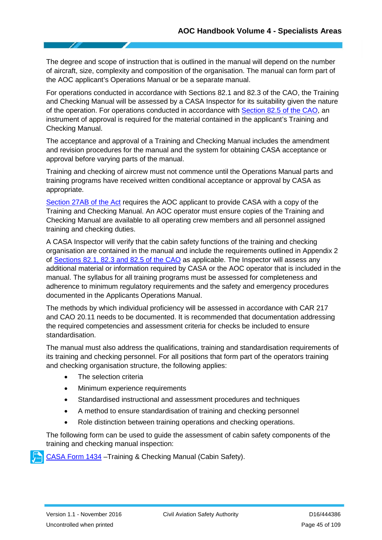The degree and scope of instruction that is outlined in the manual will depend on the number of aircraft, size, complexity and composition of the organisation. The manual can form part of the AOC applicant's Operations Manual or be a separate manual.

For operations conducted in accordance with Sections 82.1 and 82.3 of the CAO, the Training and Checking Manual will be assessed by a CASA Inspector for its suitability given the nature of the operation. For operations conducted in accordance with [Section 82.5 of the CAO,](https://www.casa.gov.au/landing-page/rules-and-regulations) an instrument of approval is required for the material contained in the applicant's Training and Checking Manual.

The acceptance and approval of a Training and Checking Manual includes the amendment and revision procedures for the manual and the system for obtaining CASA acceptance or approval before varying parts of the manual.

Training and checking of aircrew must not commence until the Operations Manual parts and training programs have received written conditional acceptance or approval by CASA as appropriate.

[Section 27AB of the Act](https://www.casa.gov.au/landing-page/rules-and-regulations) requires the AOC applicant to provide CASA with a copy of the Training and Checking Manual. An AOC operator must ensure copies of the Training and Checking Manual are available to all operating crew members and all personnel assigned training and checking duties.

A CASA Inspector will verify that the cabin safety functions of the training and checking organisation are contained in the manual and include the requirements outlined in Appendix 2 of [Sections 82.1, 82.3 and 82.5 of the CAO](https://www.casa.gov.au/landing-page/rules-and-regulations) as applicable. The Inspector will assess any additional material or information required by CASA or the AOC operator that is included in the manual. The syllabus for all training programs must be assessed for completeness and adherence to minimum regulatory requirements and the safety and emergency procedures documented in the Applicants Operations Manual.

The methods by which individual proficiency will be assessed in accordance with CAR 217 and CAO 20.11 needs to be documented. It is recommended that documentation addressing the required competencies and assessment criteria for checks be included to ensure standardisation.

The manual must also address the qualifications, training and standardisation requirements of its training and checking personnel. For all positions that form part of the operators training and checking organisation structure, the following applies:

- The selection criteria
- Minimum experience requirements
- Standardised instructional and assessment procedures and techniques
- A method to ensure standardisation of training and checking personnel
- Role distinction between training operations and checking operations.

The following form can be used to guide the assessment of cabin safety components of the training and checking manual inspection:

[CASA Form 1434](http://casaconnect/manuals/oih/form1434.tr5) –Training & Checking Manual (Cabin Safety).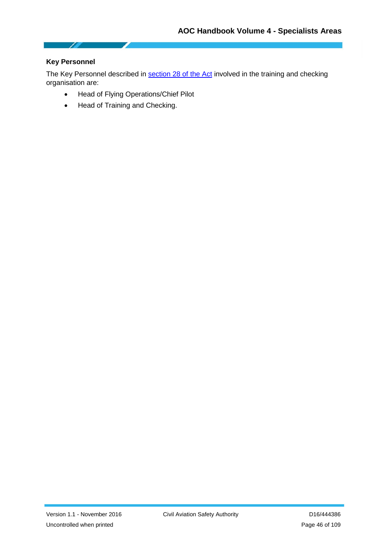# **Key Personnel**

1

The Key Personnel described in section [28 of the Act](https://www.casa.gov.au/rules-and-regulations/landing-page/current-rules) involved in the training and checking organisation are:

- Head of Flying Operations/Chief Pilot
- Head of Training and Checking.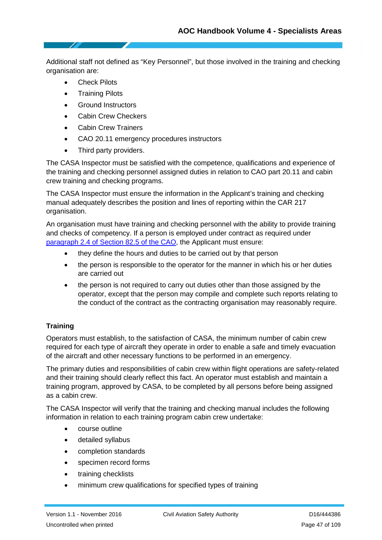Additional staff not defined as "Key Personnel", but those involved in the training and checking organisation are:

- **Check Pilots**
- Training Pilots
- Ground Instructors
- Cabin Crew Checkers
- Cabin Crew Trainers
- CAO 20.11 emergency procedures instructors
- Third party providers.

The CASA Inspector must be satisfied with the competence, qualifications and experience of the training and checking personnel assigned duties in relation to CAO part 20.11 and cabin crew training and checking programs.

The CASA Inspector must ensure the information in the Applicant's training and checking manual adequately describes the position and lines of reporting within the CAR 217 organisation.

An organisation must have training and checking personnel with the ability to provide training and checks of competency. If a person is employed under contract as required under [paragraph 2.4 of Section 82.5 of the CAO,](https://www.casa.gov.au/landing-page/rules-and-regulations) the Applicant must ensure:

- they define the hours and duties to be carried out by that person
- the person is responsible to the operator for the manner in which his or her duties are carried out
- the person is not required to carry out duties other than those assigned by the operator, except that the person may compile and complete such reports relating to the conduct of the contract as the contracting organisation may reasonably require.

# **Training**

Operators must establish, to the satisfaction of CASA, the minimum number of cabin crew required for each type of aircraft they operate in order to enable a safe and timely evacuation of the aircraft and other necessary functions to be performed in an emergency.

The primary duties and responsibilities of cabin crew within flight operations are safety-related and their training should clearly reflect this fact. An operator must establish and maintain a training program, approved by CASA, to be completed by all persons before being assigned as a cabin crew.

The CASA Inspector will verify that the training and checking manual includes the following information in relation to each training program cabin crew undertake:

- course outline
- detailed syllabus
- completion standards
- specimen record forms
- training checklists
- minimum crew qualifications for specified types of training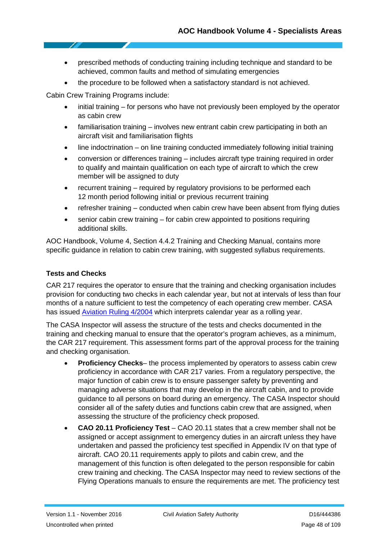- prescribed methods of conducting training including technique and standard to be achieved, common faults and method of simulating emergencies
- the procedure to be followed when a satisfactory standard is not achieved.

Cabin Crew Training Programs include:

- initial training for persons who have not previously been employed by the operator as cabin crew
- familiarisation training involves new entrant cabin crew participating in both an aircraft visit and familiarisation flights
- line indoctrination on line training conducted immediately following initial training
- conversion or differences training includes aircraft type training required in order to qualify and maintain qualification on each type of aircraft to which the crew member will be assigned to duty
- recurrent training required by regulatory provisions to be performed each 12 month period following initial or previous recurrent training
- refresher training conducted when cabin crew have been absent from flying duties
- senior cabin crew training for cabin crew appointed to positions requiring additional skills.

AOC Handbook, Volume 4, Section 4.4.2 Training and Checking Manual, contains more specific guidance in relation to cabin crew training, with suggested syllabus requirements.

## **Tests and Checks**

CAR 217 requires the operator to ensure that the training and checking organisation includes provision for conducting two checks in each calendar year, but not at intervals of less than four months of a nature sufficient to test the competency of each operating crew member. CASA has issued [Aviation Ruling 4/2004](https://www.casa.gov.au/rules-and-regulations/standard-page/aviation-rulings) which interprets calendar year as a rolling year.

The CASA Inspector will assess the structure of the tests and checks documented in the training and checking manual to ensure that the operator's program achieves, as a minimum, the CAR 217 requirement. This assessment forms part of the approval process for the training and checking organisation.

- **Proficiency Checks** the process implemented by operators to assess cabin crew proficiency in accordance with CAR 217 varies. From a regulatory perspective, the major function of cabin crew is to ensure passenger safety by preventing and managing adverse situations that may develop in the aircraft cabin, and to provide guidance to all persons on board during an emergency. The CASA Inspector should consider all of the safety duties and functions cabin crew that are assigned, when assessing the structure of the proficiency check proposed.
- **CAO 20.11 Proficiency Test** CAO 20.11 states that a crew member shall not be assigned or accept assignment to emergency duties in an aircraft unless they have undertaken and passed the proficiency test specified in Appendix IV on that type of aircraft. CAO 20.11 requirements apply to pilots and cabin crew, and the management of this function is often delegated to the person responsible for cabin crew training and checking. The CASA Inspector may need to review sections of the Flying Operations manuals to ensure the requirements are met. The proficiency test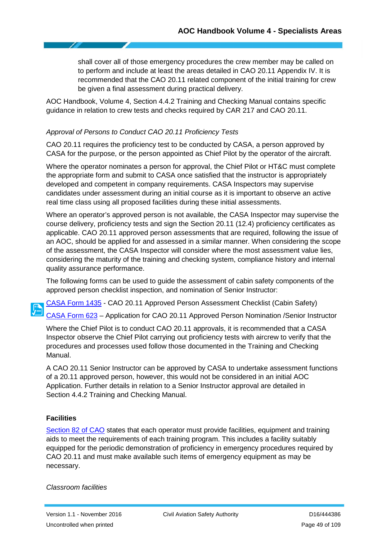shall cover all of those emergency procedures the crew member may be called on to perform and include at least the areas detailed in CAO 20.11 Appendix IV. It is recommended that the CAO 20.11 related component of the initial training for crew be given a final assessment during practical delivery.

AOC Handbook, Volume 4, Section 4.4.2 Training and Checking Manual contains specific guidance in relation to crew tests and checks required by CAR 217 and CAO 20.11.

# *Approval of Persons to Conduct CAO 20.11 Proficiency Tests*

CAO 20.11 requires the proficiency test to be conducted by CASA, a person approved by CASA for the purpose, or the person appointed as Chief Pilot by the operator of the aircraft.

Where the operator nominates a person for approval, the Chief Pilot or HT&C must complete the appropriate form and submit to CASA once satisfied that the instructor is appropriately developed and competent in company requirements. CASA Inspectors may supervise candidates under assessment during an initial course as it is important to observe an active real time class using all proposed facilities during these initial assessments.

Where an operator's approved person is not available, the CASA Inspector may supervise the course delivery, proficiency tests and sign the Section 20.11 (12.4) proficiency certificates as applicable. CAO 20.11 approved person assessments that are required, following the issue of an AOC, should be applied for and assessed in a similar manner. When considering the scope of the assessment, the CASA Inspector will consider where the most assessment value lies, considering the maturity of the training and checking system, compliance history and internal quality assurance performance.

The following forms can be used to guide the assessment of cabin safety components of the approved person checklist inspection, and nomination of Senior Instructor:

[CASA Form 1435](http://casaconnect/manuals/oih/form1435.tr5) - CAO 20.11 Approved Person Assessment Checklist (Cabin Safety)

[CASA Form 623](https://www.casa.gov.au/publications-and-resources/landing-page/forms-and-templates) – Application for CAO 20.11 Approved Person Nomination /Senior Instructor

Where the Chief Pilot is to conduct CAO 20.11 approvals, it is recommended that a CASA Inspector observe the Chief Pilot carrying out proficiency tests with aircrew to verify that the procedures and processes used follow those documented in the Training and Checking Manual.

A CAO 20.11 Senior Instructor can be approved by CASA to undertake assessment functions of a 20.11 approved person, however, this would not be considered in an initial AOC Application. Further details in relation to a Senior Instructor approval are detailed in Section 4.4.2 Training and Checking Manual.

## **Facilities**

[Section 82 of CAO](https://www.casa.gov.au/rules-and-regulations/landing-page/current-rules) states that each operator must provide facilities, equipment and training aids to meet the requirements of each training program. This includes a facility suitably equipped for the periodic demonstration of proficiency in emergency procedures required by CAO 20.11 and must make available such items of emergency equipment as may be necessary.

*Classroom facilities*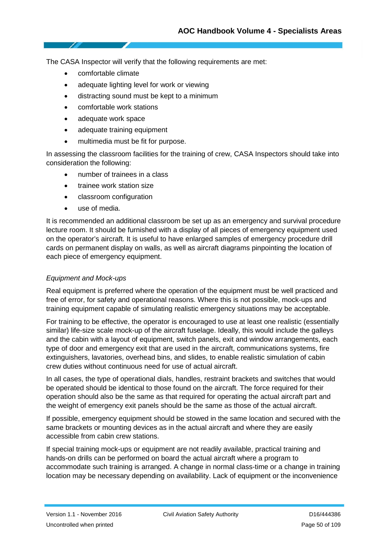The CASA Inspector will verify that the following requirements are met:

- comfortable climate
- adequate lighting level for work or viewing
- distracting sound must be kept to a minimum
- comfortable work stations
- adequate work space
- adequate training equipment
- multimedia must be fit for purpose.

In assessing the classroom facilities for the training of crew, CASA Inspectors should take into consideration the following:

- number of trainees in a class
- trainee work station size
- classroom configuration
- use of media.

It is recommended an additional classroom be set up as an emergency and survival procedure lecture room. It should be furnished with a display of all pieces of emergency equipment used on the operator's aircraft. It is useful to have enlarged samples of emergency procedure drill cards on permanent display on walls, as well as aircraft diagrams pinpointing the location of each piece of emergency equipment.

#### *Equipment and Mock-ups*

Real equipment is preferred where the operation of the equipment must be well practiced and free of error, for safety and operational reasons. Where this is not possible, mock-ups and training equipment capable of simulating realistic emergency situations may be acceptable.

For training to be effective, the operator is encouraged to use at least one realistic (essentially similar) life-size scale mock-up of the aircraft fuselage. Ideally, this would include the galleys and the cabin with a layout of equipment, switch panels, exit and window arrangements, each type of door and emergency exit that are used in the aircraft, communications systems, fire extinguishers, lavatories, overhead bins, and slides, to enable realistic simulation of cabin crew duties without continuous need for use of actual aircraft.

In all cases, the type of operational dials, handles, restraint brackets and switches that would be operated should be identical to those found on the aircraft. The force required for their operation should also be the same as that required for operating the actual aircraft part and the weight of emergency exit panels should be the same as those of the actual aircraft.

If possible, emergency equipment should be stowed in the same location and secured with the same brackets or mounting devices as in the actual aircraft and where they are easily accessible from cabin crew stations.

If special training mock-ups or equipment are not readily available, practical training and hands-on drills can be performed on board the actual aircraft where a program to accommodate such training is arranged. A change in normal class-time or a change in training location may be necessary depending on availability. Lack of equipment or the inconvenience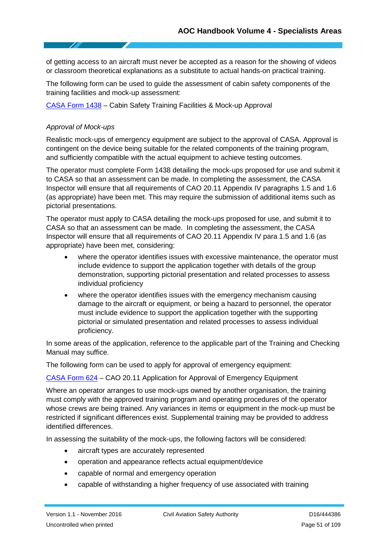of getting access to an aircraft must never be accepted as a reason for the showing of videos or classroom theoretical explanations as a substitute to actual hands-on practical training.

The following form can be used to guide the assessment of cabin safety components of the training facilities and mock-up assessment:

[CASA Form 1438](http://casaconnecttest/manuals/oih/form1438.tr5) – Cabin Safety Training Facilities & Mock-up Approval

## *Approval of Mock-ups*

Realistic mock-ups of emergency equipment are subject to the approval of CASA. Approval is contingent on the device being suitable for the related components of the training program, and sufficiently compatible with the actual equipment to achieve testing outcomes.

The operator must complete Form 1438 detailing the mock-ups proposed for use and submit it to CASA so that an assessment can be made. In completing the assessment, the CASA Inspector will ensure that all requirements of CAO 20.11 Appendix IV paragraphs 1.5 and 1.6 (as appropriate) have been met. This may require the submission of additional items such as pictorial presentations.

The operator must apply to CASA detailing the mock-ups proposed for use, and submit it to CASA so that an assessment can be made. In completing the assessment, the CASA Inspector will ensure that all requirements of CAO 20.11 Appendix IV para 1.5 and 1.6 (as appropriate) have been met, considering:

- where the operator identifies issues with excessive maintenance, the operator must include evidence to support the application together with details of the group demonstration, supporting pictorial presentation and related processes to assess individual proficiency
- where the operator identifies issues with the emergency mechanism causing damage to the aircraft or equipment, or being a hazard to personnel, the operator must include evidence to support the application together with the supporting pictorial or simulated presentation and related processes to assess individual proficiency.

In some areas of the application, reference to the applicable part of the Training and Checking Manual may suffice.

The following form can be used to apply for approval of emergency equipment:

[CASA Form 624](https://www.casa.gov.au/files/form624pdf) – CAO 20.11 Application for Approval of Emergency Equipment

Where an operator arranges to use mock-ups owned by another organisation, the training must comply with the approved training program and operating procedures of the operator whose crews are being trained. Any variances in items or equipment in the mock-up must be restricted if significant differences exist. Supplemental training may be provided to address identified differences.

In assessing the suitability of the mock-ups, the following factors will be considered:

- aircraft types are accurately represented
- operation and appearance reflects actual equipment/device
- capable of normal and emergency operation
- capable of withstanding a higher frequency of use associated with training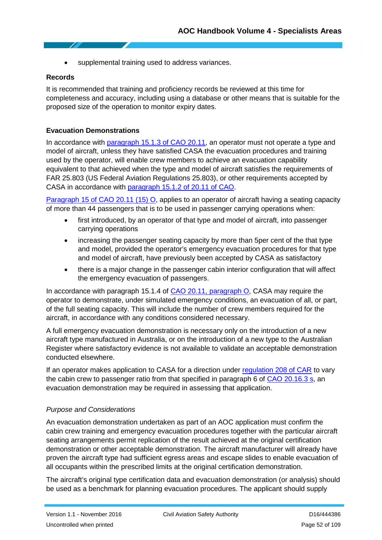supplemental training used to address variances.

## **Records**

It is recommended that training and proficiency records be reviewed at this time for completeness and accuracy, including using a database or other means that is suitable for the proposed size of the operation to monitor expiry dates.

## **Evacuation Demonstrations**

In accordance with [paragraph 15.1.3 of CAO 20.11,](https://www.casa.gov.au/rules-and-regulations/landing-page/current-rules) an operator must not operate a type and model of aircraft, unless they have satisfied CASA the evacuation procedures and training used by the operator, will enable crew members to achieve an evacuation capability equivalent to that achieved when the type and model of aircraft satisfies the requirements of FAR 25.803 (US Federal Aviation Regulations 25.803), or other requirements accepted by CASA in accordance with [paragraph 15.1.2 of 20.11 of CAO.](https://www.casa.gov.au/rules-and-regulations/landing-page/current-rules)

[Paragraph 15 of CAO 20.11 \(15\) O,](https://www.casa.gov.au/rules-and-regulations/landing-page/current-rules) applies to an operator of aircraft having a seating capacity of more than 44 passengers that is to be used in passenger carrying operations when:

- first introduced, by an operator of that type and model of aircraft, into passenger carrying operations
- increasing the passenger seating capacity by more than 5 per cent of the that type and model, provided the operator's emergency evacuation procedures for that type and model of aircraft, have previously been accepted by CASA as satisfactory
- there is a major change in the passenger cabin interior configuration that will affect the emergency evacuation of passengers.

In accordance with paragraph 15.1.4 of [CAO 20.11, paragraph O,](https://www.casa.gov.au/rules-and-regulations/landing-page/current-rules) CASA may require the operator to demonstrate, under simulated emergency conditions, an evacuation of all, or part, of the full seating capacity. This will include the number of crew members required for the aircraft, in accordance with any conditions considered necessary.

A full emergency evacuation demonstration is necessary only on the introduction of a new aircraft type manufactured in Australia, or on the introduction of a new type to the Australian Register where satisfactory evidence is not available to validate an acceptable demonstration conducted elsewhere.

If an operator makes application to CASA for a direction under [regulation 208 of CAR](https://www.casa.gov.au/rules-and-regulations/landing-page/current-rules) to vary the cabin crew to passenger ratio from that specified in paragraph 6 of CAO [20.16.3 s,](https://www.casa.gov.au/rules-and-regulations/landing-page/current-rules) an evacuation demonstration may be required in assessing that application.

## *Purpose and Considerations*

An evacuation demonstration undertaken as part of an AOC application must confirm the cabin crew training and emergency evacuation procedures together with the particular aircraft seating arrangements permit replication of the result achieved at the original certification demonstration or other acceptable demonstration. The aircraft manufacturer will already have proven the aircraft type had sufficient egress areas and escape slides to enable evacuation of all occupants within the prescribed limits at the original certification demonstration.

The aircraft's original type certification data and evacuation demonstration (or analysis) should be used as a benchmark for planning evacuation procedures. The applicant should supply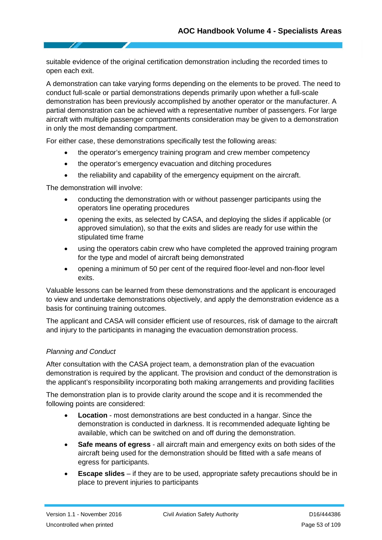suitable evidence of the original certification demonstration including the recorded times to open each exit.

A demonstration can take varying forms depending on the elements to be proved. The need to conduct full-scale or partial demonstrations depends primarily upon whether a full-scale demonstration has been previously accomplished by another operator or the manufacturer. A partial demonstration can be achieved with a representative number of passengers. For large aircraft with multiple passenger compartments consideration may be given to a demonstration in only the most demanding compartment.

For either case, these demonstrations specifically test the following areas:

- the operator's emergency training program and crew member competency
- the operator's emergency evacuation and ditching procedures
- the reliability and capability of the emergency equipment on the aircraft.

The demonstration will involve:

- conducting the demonstration with or without passenger participants using the operators line operating procedures
- opening the exits, as selected by CASA, and deploying the slides if applicable (or approved simulation), so that the exits and slides are ready for use within the stipulated time frame
- using the operators cabin crew who have completed the approved training program for the type and model of aircraft being demonstrated
- opening a minimum of 50 per cent of the required floor-level and non-floor level exits.

Valuable lessons can be learned from these demonstrations and the applicant is encouraged to view and undertake demonstrations objectively, and apply the demonstration evidence as a basis for continuing training outcomes.

The applicant and CASA will consider efficient use of resources, risk of damage to the aircraft and injury to the participants in managing the evacuation demonstration process.

## *Planning and Conduct*

After consultation with the CASA project team, a demonstration plan of the evacuation demonstration is required by the applicant. The provision and conduct of the demonstration is the applicant's responsibility incorporating both making arrangements and providing facilities

The demonstration plan is to provide clarity around the scope and it is recommended the following points are considered:

- **Location** most demonstrations are best conducted in a hangar. Since the demonstration is conducted in darkness. It is recommended adequate lighting be available, which can be switched on and off during the demonstration.
- **Safe means of egress** all aircraft main and emergency exits on both sides of the aircraft being used for the demonstration should be fitted with a safe means of egress for participants.
- **Escape slides** if they are to be used, appropriate safety precautions should be in place to prevent injuries to participants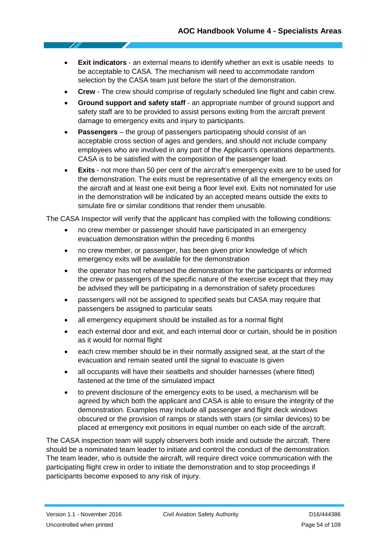- **Exit indicators** an external means to identify whether an exit is usable needs to be acceptable to CASA. The mechanism will need to accommodate random selection by the CASA team just before the start of the demonstration.
- **Crew** The crew should comprise of regularly scheduled line flight and cabin crew.
- **Ground support and safety staff** an appropriate number of ground support and safety staff are to be provided to assist persons exiting from the aircraft prevent damage to emergency exits and injury to participants.
- **Passengers** the group of passengers participating should consist of an acceptable cross section of ages and genders, and should not include company employees who are involved in any part of the Applicant's operations departments. CASA is to be satisfied with the composition of the passenger load.
- **Exits** not more than 50 per cent of the aircraft's emergency exits are to be used for the demonstration. The exits must be representative of all the emergency exits on the aircraft and at least one exit being a floor level exit. Exits not nominated for use in the demonstration will be indicated by an accepted means outside the exits to simulate fire or similar conditions that render them unusable.

The CASA Inspector will verify that the applicant has complied with the following conditions:

- no crew member or passenger should have participated in an emergency evacuation demonstration within the preceding 6 months
- no crew member, or passenger, has been given prior knowledge of which emergency exits will be available for the demonstration
- the operator has not rehearsed the demonstration for the participants or informed the crew or passengers of the specific nature of the exercise except that they may be advised they will be participating in a demonstration of safety procedures
- passengers will not be assigned to specified seats but CASA may require that passengers be assigned to particular seats
- all emergency equipment should be installed as for a normal flight
- each external door and exit, and each internal door or curtain, should be in position as it would for normal flight
- each crew member should be in their normally assigned seat, at the start of the evacuation and remain seated until the signal to evacuate is given
- all occupants will have their seatbelts and shoulder harnesses (where fitted) fastened at the time of the simulated impact
- to prevent disclosure of the emergency exits to be used, a mechanism will be agreed by which both the applicant and CASA is able to ensure the integrity of the demonstration. Examples may include all passenger and flight deck windows obscured or the provision of ramps or stands with stairs (or similar devices) to be placed at emergency exit positions in equal number on each side of the aircraft.

The CASA inspection team will supply observers both inside and outside the aircraft. There should be a nominated team leader to initiate and control the conduct of the demonstration. The team leader, who is outside the aircraft, will require direct voice communication with the participating flight crew in order to initiate the demonstration and to stop proceedings if participants become exposed to any risk of injury.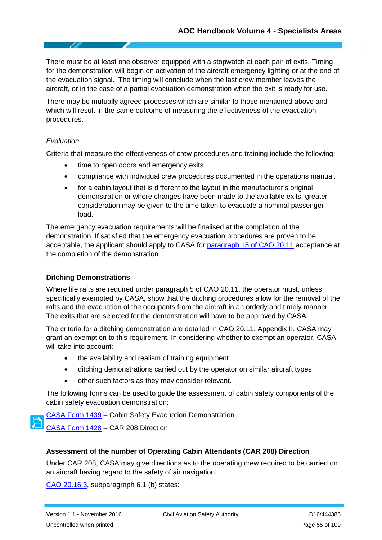There must be at least one observer equipped with a stopwatch at each pair of exits. Timing for the demonstration will begin on activation of the aircraft emergency lighting or at the end of the evacuation signal. The timing will conclude when the last crew member leaves the aircraft, or in the case of a partial evacuation demonstration when the exit is ready for use.

There may be mutually agreed processes which are similar to those mentioned above and which will result in the same outcome of measuring the effectiveness of the evacuation procedures.

# *Evaluation*

Criteria that measure the effectiveness of crew procedures and training include the following:

- time to open doors and emergency exits
- compliance with individual crew procedures documented in the operations manual.
- for a cabin layout that is different to the layout in the manufacturer's original demonstration or where changes have been made to the available exits, greater consideration may be given to the time taken to evacuate a nominal passenger load.

The emergency evacuation requirements will be finalised at the completion of the demonstration. If satisfied that the emergency evacuation procedures are proven to be acceptable, the applicant should apply to CASA for [paragraph 15 of CAO 20.11](https://www.casa.gov.au/rules-and-regulations/landing-page/current-rules) acceptance at the completion of the demonstration.

## **Ditching Demonstrations**

Where life rafts are required under paragraph 5 of CAO 20.11, the operator must, unless specifically exempted by CASA, show that the ditching procedures allow for the removal of the rafts and the evacuation of the occupants from the aircraft in an orderly and timely manner. The exits that are selected for the demonstration will have to be approved by CASA.

The criteria for a ditching demonstration are detailed in CAO 20.11, Appendix II. CASA may grant an exemption to this requirement. In considering whether to exempt an operator, CASA will take into account:

- the availability and realism of training equipment
- ditching demonstrations carried out by the operator on similar aircraft types
- other such factors as they may consider relevant.

The following forms can be used to guide the assessment of cabin safety components of the cabin safety evacuation demonstration:

[CASA Form 1439](http://casaconnect/manuals/oih/form1439.tr5) – Cabin Safety Evacuation Demonstration

[CASA Form 1428](http://casaconnect/manuals/oih/form1428.tr5) – CAR 208 Direction

# **Assessment of the number of Operating Cabin Attendants (CAR 208) Direction**

Under CAR 208, CASA may give directions as to the operating crew required to be carried on an aircraft having regard to the safety of air navigation.

[CAO 20.16.3,](https://www.casa.gov.au/rules-and-regulations/landing-page/current-rules) subparagraph 6.1 (b) states: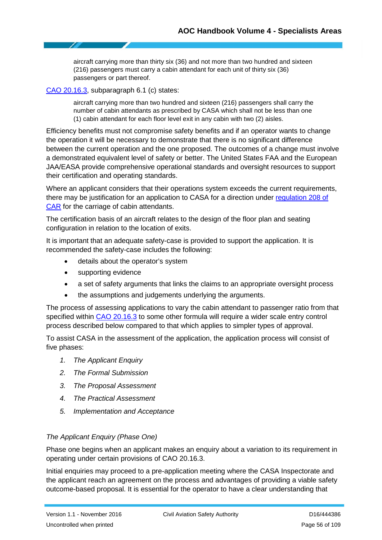aircraft carrying more than thirty six (36) and not more than two hundred and sixteen (216) passengers must carry a cabin attendant for each unit of thirty six (36) passengers or part thereof.

# [CAO 20.16.3,](https://www.casa.gov.au/rules-and-regulations/landing-page/current-rules) subparagraph 6.1 (c) states:

aircraft carrying more than two hundred and sixteen (216) passengers shall carry the number of cabin attendants as prescribed by CASA which shall not be less than one (1) cabin attendant for each floor level exit in any cabin with two (2) aisles.

Efficiency benefits must not compromise safety benefits and if an operator wants to change the operation it will be necessary to demonstrate that there is no significant difference between the current operation and the one proposed. The outcomes of a change must involve a demonstrated equivalent level of safety or better. The United States FAA and the European JAA/EASA provide comprehensive operational standards and oversight resources to support their certification and operating standards.

Where an applicant considers that their operations system exceeds the current requirements, there may be justification for an application to CASA for a direction under [regulation 208 of](https://www.casa.gov.au/rules-and-regulations/landing-page/current-rules)  [CAR](https://www.casa.gov.au/rules-and-regulations/landing-page/current-rules) for the carriage of cabin attendants.

The certification basis of an aircraft relates to the design of the floor plan and seating configuration in relation to the location of exits.

It is important that an adequate safety-case is provided to support the application. It is recommended the safety-case includes the following:

- details about the operator's system
- supporting evidence
- a set of safety arguments that links the claims to an appropriate oversight process
- the assumptions and judgements underlying the arguments.

The process of assessing applications to vary the cabin attendant to passenger ratio from that specified within [CAO 20.16.3](https://www.casa.gov.au/rules-and-regulations/landing-page/current-rules) to some other formula will require a wider scale entry control process described below compared to that which applies to simpler types of approval.

To assist CASA in the assessment of the application, the application process will consist of five phases:

- *1. The Applicant Enquiry*
- *2. The Formal Submission*
- *3. The Proposal Assessment*
- *4. The Practical Assessment*
- *5. Implementation and Acceptance*

## *The Applicant Enquiry (Phase One)*

Phase one begins when an applicant makes an enquiry about a variation to its requirement in operating under certain provisions of CAO 20.16.3.

Initial enquiries may proceed to a pre-application meeting where the CASA Inspectorate and the applicant reach an agreement on the process and advantages of providing a viable safety outcome-based proposal. It is essential for the operator to have a clear understanding that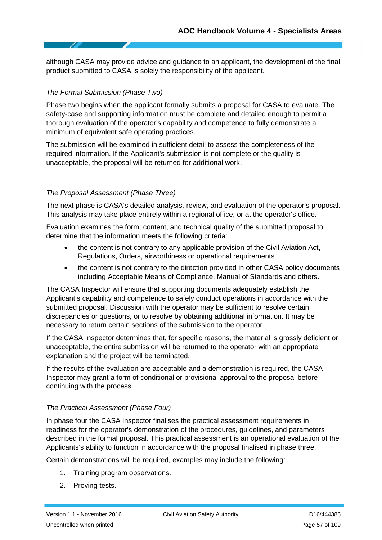although CASA may provide advice and guidance to an applicant, the development of the final product submitted to CASA is solely the responsibility of the applicant.

# *The Formal Submission (Phase Two)*

Phase two begins when the applicant formally submits a proposal for CASA to evaluate. The safety-case and supporting information must be complete and detailed enough to permit a thorough evaluation of the operator's capability and competence to fully demonstrate a minimum of equivalent safe operating practices.

The submission will be examined in sufficient detail to assess the completeness of the required information. If the Applicant's submission is not complete or the quality is unacceptable, the proposal will be returned for additional work.

# *The Proposal Assessment (Phase Three)*

The next phase is CASA's detailed analysis, review, and evaluation of the operator's proposal. This analysis may take place entirely within a regional office, or at the operator's office.

Evaluation examines the form, content, and technical quality of the submitted proposal to determine that the information meets the following criteria:

- the content is not contrary to any applicable provision of the Civil Aviation Act, Regulations, Orders, airworthiness or operational requirements
- the content is not contrary to the direction provided in other CASA policy documents including Acceptable Means of Compliance, Manual of Standards and others.

The CASA Inspector will ensure that supporting documents adequately establish the Applicant's capability and competence to safely conduct operations in accordance with the submitted proposal. Discussion with the operator may be sufficient to resolve certain discrepancies or questions, or to resolve by obtaining additional information. It may be necessary to return certain sections of the submission to the operator

If the CASA Inspector determines that, for specific reasons, the material is grossly deficient or unacceptable, the entire submission will be returned to the operator with an appropriate explanation and the project will be terminated.

If the results of the evaluation are acceptable and a demonstration is required, the CASA Inspector may grant a form of conditional or provisional approval to the proposal before continuing with the process.

## *The Practical Assessment (Phase Four)*

In phase four the CASA Inspector finalises the practical assessment requirements in readiness for the operator's demonstration of the procedures, guidelines, and parameters described in the formal proposal. This practical assessment is an operational evaluation of the Applicants's ability to function in accordance with the proposal finalised in phase three.

Certain demonstrations will be required, examples may include the following:

- 1. Training program observations.
- 2. Proving tests.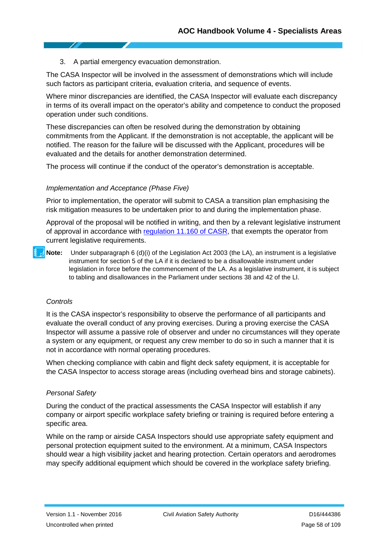3. A partial emergency evacuation demonstration.

The CASA Inspector will be involved in the assessment of demonstrations which will include such factors as participant criteria, evaluation criteria, and sequence of events.

Where minor discrepancies are identified, the CASA Inspector will evaluate each discrepancy in terms of its overall impact on the operator's ability and competence to conduct the proposed operation under such conditions.

These discrepancies can often be resolved during the demonstration by obtaining commitments from the Applicant. If the demonstration is not acceptable, the applicant will be notified. The reason for the failure will be discussed with the Applicant, procedures will be evaluated and the details for another demonstration determined.

The process will continue if the conduct of the operator's demonstration is acceptable.

## *Implementation and Acceptance (Phase Five)*

Prior to implementation, the operator will submit to CASA a transition plan emphasising the risk mitigation measures to be undertaken prior to and during the implementation phase.

Approval of the proposal will be notified in writing, and then by a relevant legislative instrument of approval in accordance with [regulation 11.160 of CASR,](https://www.casa.gov.au/rules-and-regulations/landing-page/current-rules) that exempts the operator from current legislative requirements.

**Note:** Under subparagraph 6 (d)(i) of the Legislation Act 2003 (the LA), an instrument is a legislative instrument for section 5 of the LA if it is declared to be a disallowable instrument under legislation in force before the commencement of the LA. As a legislative instrument, it is subject to tabling and disallowances in the Parliament under sections 38 and 42 of the LI.

#### *Controls*

It is the CASA inspector's responsibility to observe the performance of all participants and evaluate the overall conduct of any proving exercises. During a proving exercise the CASA Inspector will assume a passive role of observer and under no circumstances will they operate a system or any equipment, or request any crew member to do so in such a manner that it is not in accordance with normal operating procedures.

When checking compliance with cabin and flight deck safety equipment, it is acceptable for the CASA Inspector to access storage areas (including overhead bins and storage cabinets).

#### *Personal Safety*

During the conduct of the practical assessments the CASA Inspector will establish if any company or airport specific workplace safety briefing or training is required before entering a specific area.

While on the ramp or airside CASA Inspectors should use appropriate safety equipment and personal protection equipment suited to the environment. At a minimum, CASA Inspectors should wear a high visibility jacket and hearing protection. Certain operators and aerodromes may specify additional equipment which should be covered in the workplace safety briefing.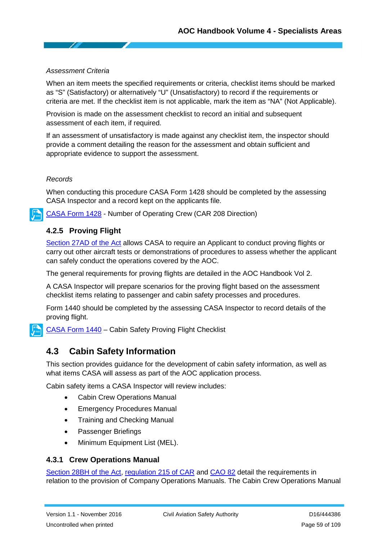## *Assessment Criteria*

When an item meets the specified requirements or criteria, checklist items should be marked as "S" (Satisfactory) or alternatively "U" (Unsatisfactory) to record if the requirements or criteria are met. If the checklist item is not applicable, mark the item as "NA" (Not Applicable).

Provision is made on the assessment checklist to record an initial and subsequent assessment of each item, if required.

If an assessment of unsatisfactory is made against any checklist item, the inspector should provide a comment detailing the reason for the assessment and obtain sufficient and appropriate evidence to support the assessment.

#### *Records*

When conducting this procedure CASA Form 1428 should be completed by the assessing CASA Inspector and a record kept on the applicants file.

[CASA Form 1428](http://casaconnect/manuals/oih/form1428.tr5) - Number of Operating Crew (CAR 208 Direction)

# **4.2.5 Proving Flight**

[Section 27AD of the Act](https://www.casa.gov.au/rules-and-regulations/landing-page/current-rules) allows CASA to require an Applicant to conduct proving flights or carry out other aircraft tests or demonstrations of procedures to assess whether the applicant can safely conduct the operations covered by the AOC.

The general requirements for proving flights are detailed in the AOC Handbook Vol 2.

A CASA Inspector will prepare scenarios for the proving flight based on the assessment checklist items relating to passenger and cabin safety processes and procedures.

Form 1440 should be completed by the assessing CASA Inspector to record details of the proving flight.

[CASA Form 1440](http://casaconnect/manuals/oih/form1440.tr5) – Cabin Safety Proving Flight Checklist

# **4.3 Cabin Safety Information**

This section provides guidance for the development of cabin safety information, as well as what items CASA will assess as part of the AOC application process.

Cabin safety items a CASA Inspector will review includes:

- Cabin Crew Operations Manual
- Emergency Procedures Manual
- Training and Checking Manual
- Passenger Briefings
- Minimum Equipment List (MEL).

## **4.3.1 Crew Operations Manual**

[Section 28BH of the Act, regulation 215 of CAR](https://www.casa.gov.au/rules-and-regulations/landing-page/current-rules) and [CAO 82](https://www.casa.gov.au/rules-and-regulations/landing-page/current-rules) detail the requirements in relation to the provision of Company Operations Manuals. The Cabin Crew Operations Manual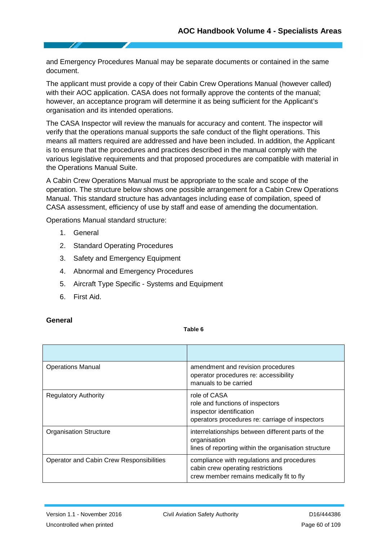and Emergency Procedures Manual may be separate documents or contained in the same document.

The applicant must provide a copy of their Cabin Crew Operations Manual (however called) with their AOC application. CASA does not formally approve the contents of the manual; however, an acceptance program will determine it as being sufficient for the Applicant's organisation and its intended operations.

The CASA Inspector will review the manuals for accuracy and content. The inspector will verify that the operations manual supports the safe conduct of the flight operations. This means all matters required are addressed and have been included. In addition, the Applicant is to ensure that the procedures and practices described in the manual comply with the various legislative requirements and that proposed procedures are compatible with material in the Operations Manual Suite.

A Cabin Crew Operations Manual must be appropriate to the scale and scope of the operation. The structure below shows one possible arrangement for a Cabin Crew Operations Manual. This standard structure has advantages including ease of compilation, speed of CASA assessment, efficiency of use by staff and ease of amending the documentation.

Operations Manual standard structure:

- 1. General
- 2. Standard Operating Procedures
- 3. Safety and Emergency Equipment
- 4. Abnormal and Emergency Procedures
- 5. Aircraft Type Specific Systems and Equipment
- 6. First Aid.

## **General**

#### **Table 6**

| <b>Operations Manual</b>                 | amendment and revision procedures<br>operator procedures re: accessibility<br>manuals to be carried                             |
|------------------------------------------|---------------------------------------------------------------------------------------------------------------------------------|
| <b>Regulatory Authority</b>              | role of CASA<br>role and functions of inspectors<br>inspector identification<br>operators procedures re: carriage of inspectors |
| <b>Organisation Structure</b>            | interrelationships between different parts of the<br>organisation<br>lines of reporting within the organisation structure       |
| Operator and Cabin Crew Responsibilities | compliance with regulations and procedures<br>cabin crew operating restrictions<br>crew member remains medically fit to fly     |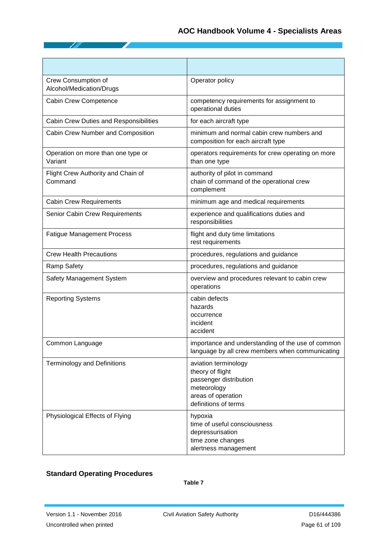| Crew Consumption of<br>Alcohol/Medication/Drugs | Operator policy                                                                                                                 |
|-------------------------------------------------|---------------------------------------------------------------------------------------------------------------------------------|
| <b>Cabin Crew Competence</b>                    | competency requirements for assignment to<br>operational duties                                                                 |
| Cabin Crew Duties and Responsibilities          | for each aircraft type                                                                                                          |
| Cabin Crew Number and Composition               | minimum and normal cabin crew numbers and<br>composition for each aircraft type                                                 |
| Operation on more than one type or<br>Variant   | operators requirements for crew operating on more<br>than one type                                                              |
| Flight Crew Authority and Chain of<br>Command   | authority of pilot in command<br>chain of command of the operational crew<br>complement                                         |
| <b>Cabin Crew Requirements</b>                  | minimum age and medical requirements                                                                                            |
| Senior Cabin Crew Requirements                  | experience and qualifications duties and<br>responsibilities                                                                    |
| <b>Fatigue Management Process</b>               | flight and duty time limitations<br>rest requirements                                                                           |
| <b>Crew Health Precautions</b>                  | procedures, regulations and guidance                                                                                            |
| <b>Ramp Safety</b>                              | procedures, regulations and guidance                                                                                            |
| Safety Management System                        | overview and procedures relevant to cabin crew<br>operations                                                                    |
| <b>Reporting Systems</b>                        | cabin defects<br>hazards<br>occurrence<br>incident<br>accident                                                                  |
| Common Language                                 | importance and understanding of the use of common<br>language by all crew members when communicating                            |
| <b>Terminology and Definitions</b>              | aviation terminology<br>theory of flight<br>passenger distribution<br>meteorology<br>areas of operation<br>definitions of terms |
| Physiological Effects of Flying                 | hypoxia<br>time of useful consciousness<br>depressurisation<br>time zone changes<br>alertness management                        |

# **Standard Operating Procedures**

**Table 7**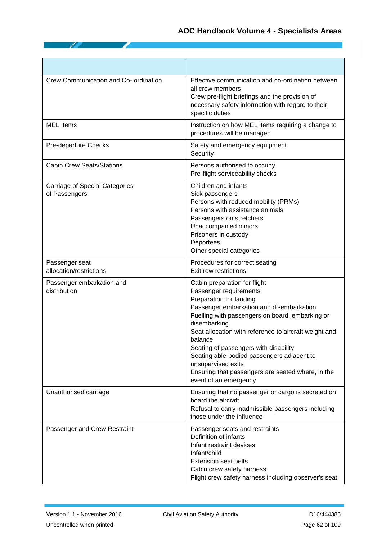| Crew Communication and Co- ordination                  | Effective communication and co-ordination between<br>all crew members<br>Crew pre-flight briefings and the provision of<br>necessary safety information with regard to their<br>specific duties                                                                                                                                                                                                                                                                 |
|--------------------------------------------------------|-----------------------------------------------------------------------------------------------------------------------------------------------------------------------------------------------------------------------------------------------------------------------------------------------------------------------------------------------------------------------------------------------------------------------------------------------------------------|
| <b>MEL</b> Items                                       | Instruction on how MEL items requiring a change to<br>procedures will be managed                                                                                                                                                                                                                                                                                                                                                                                |
| Pre-departure Checks                                   | Safety and emergency equipment<br>Security                                                                                                                                                                                                                                                                                                                                                                                                                      |
| <b>Cabin Crew Seats/Stations</b>                       | Persons authorised to occupy<br>Pre-flight serviceability checks                                                                                                                                                                                                                                                                                                                                                                                                |
| <b>Carriage of Special Categories</b><br>of Passengers | Children and infants<br>Sick passengers<br>Persons with reduced mobility (PRMs)<br>Persons with assistance animals<br>Passengers on stretchers<br>Unaccompanied minors<br>Prisoners in custody<br>Deportees<br>Other special categories                                                                                                                                                                                                                         |
| Passenger seat<br>allocation/restrictions              | Procedures for correct seating<br>Exit row restrictions                                                                                                                                                                                                                                                                                                                                                                                                         |
| Passenger embarkation and<br>distribution              | Cabin preparation for flight<br>Passenger requirements<br>Preparation for landing<br>Passenger embarkation and disembarkation<br>Fuelling with passengers on board, embarking or<br>disembarking<br>Seat allocation with reference to aircraft weight and<br>balance<br>Seating of passengers with disability<br>Seating able-bodied passengers adjacent to<br>unsupervised exits<br>Ensuring that passengers are seated where, in the<br>event of an emergency |
| Unauthorised carriage                                  | Ensuring that no passenger or cargo is secreted on<br>board the aircraft<br>Refusal to carry inadmissible passengers including<br>those under the influence                                                                                                                                                                                                                                                                                                     |
| Passenger and Crew Restraint                           | Passenger seats and restraints<br>Definition of infants<br>Infant restraint devices<br>Infant/child<br><b>Extension seat belts</b><br>Cabin crew safety harness<br>Flight crew safety harness including observer's seat                                                                                                                                                                                                                                         |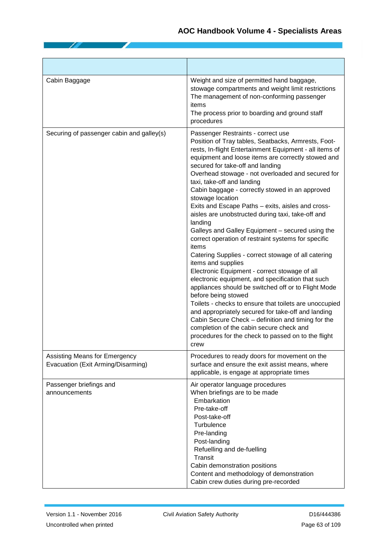| Cabin Baggage                                                       | Weight and size of permitted hand baggage,<br>stowage compartments and weight limit restrictions<br>The management of non-conforming passenger<br>items<br>The process prior to boarding and ground staff<br>procedures                                                                                                                                                                                                                                                                                                                                                                                                                                                                                                                                                                                                                                                                                                                                                                                                                                                                                                                                                                             |
|---------------------------------------------------------------------|-----------------------------------------------------------------------------------------------------------------------------------------------------------------------------------------------------------------------------------------------------------------------------------------------------------------------------------------------------------------------------------------------------------------------------------------------------------------------------------------------------------------------------------------------------------------------------------------------------------------------------------------------------------------------------------------------------------------------------------------------------------------------------------------------------------------------------------------------------------------------------------------------------------------------------------------------------------------------------------------------------------------------------------------------------------------------------------------------------------------------------------------------------------------------------------------------------|
| Securing of passenger cabin and galley(s)                           | Passenger Restraints - correct use<br>Position of Tray tables, Seatbacks, Armrests, Foot-<br>rests, In-flight Entertainment Equipment - all items of<br>equipment and loose items are correctly stowed and<br>secured for take-off and landing<br>Overhead stowage - not overloaded and secured for<br>taxi, take-off and landing<br>Cabin baggage - correctly stowed in an approved<br>stowage location<br>Exits and Escape Paths - exits, aisles and cross-<br>aisles are unobstructed during taxi, take-off and<br>landing<br>Galleys and Galley Equipment - secured using the<br>correct operation of restraint systems for specific<br>items<br>Catering Supplies - correct stowage of all catering<br>items and supplies<br>Electronic Equipment - correct stowage of all<br>electronic equipment, and specification that such<br>appliances should be switched off or to Flight Mode<br>before being stowed<br>Toilets - checks to ensure that toilets are unoccupied<br>and appropriately secured for take-off and landing<br>Cabin Secure Check - definition and timing for the<br>completion of the cabin secure check and<br>procedures for the check to passed on to the flight<br>crew |
| Assisting Means for Emergency<br>Evacuation (Exit Arming/Disarming) | Procedures to ready doors for movement on the<br>surface and ensure the exit assist means, where<br>applicable, is engage at appropriate times                                                                                                                                                                                                                                                                                                                                                                                                                                                                                                                                                                                                                                                                                                                                                                                                                                                                                                                                                                                                                                                      |
| Passenger briefings and<br>announcements                            | Air operator language procedures<br>When briefings are to be made<br>Embarkation<br>Pre-take-off<br>Post-take-off<br>Turbulence<br>Pre-landing<br>Post-landing<br>Refuelling and de-fuelling<br>Transit<br>Cabin demonstration positions<br>Content and methodology of demonstration<br>Cabin crew duties during pre-recorded                                                                                                                                                                                                                                                                                                                                                                                                                                                                                                                                                                                                                                                                                                                                                                                                                                                                       |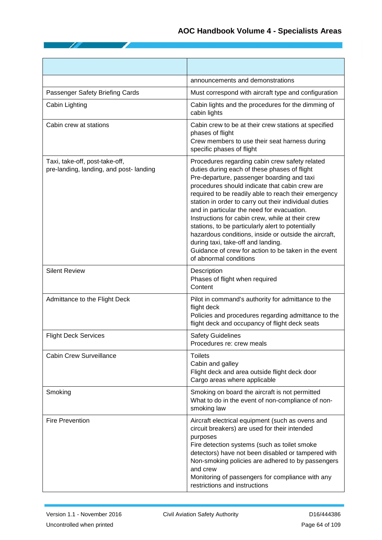

|                                                                          | announcements and demonstrations                                                                                                                                                                                                                                                                                                                                                                                                                                                                                                                                                                                                                        |
|--------------------------------------------------------------------------|---------------------------------------------------------------------------------------------------------------------------------------------------------------------------------------------------------------------------------------------------------------------------------------------------------------------------------------------------------------------------------------------------------------------------------------------------------------------------------------------------------------------------------------------------------------------------------------------------------------------------------------------------------|
| Passenger Safety Briefing Cards                                          | Must correspond with aircraft type and configuration                                                                                                                                                                                                                                                                                                                                                                                                                                                                                                                                                                                                    |
| Cabin Lighting                                                           | Cabin lights and the procedures for the dimming of<br>cabin lights                                                                                                                                                                                                                                                                                                                                                                                                                                                                                                                                                                                      |
| Cabin crew at stations                                                   | Cabin crew to be at their crew stations at specified<br>phases of flight<br>Crew members to use their seat harness during<br>specific phases of flight                                                                                                                                                                                                                                                                                                                                                                                                                                                                                                  |
| Taxi, take-off, post-take-off,<br>pre-landing, landing, and post-landing | Procedures regarding cabin crew safety related<br>duties during each of these phases of flight<br>Pre-departure, passenger boarding and taxi<br>procedures should indicate that cabin crew are<br>required to be readily able to reach their emergency<br>station in order to carry out their individual duties<br>and in particular the need for evacuation.<br>Instructions for cabin crew, while at their crew<br>stations, to be particularly alert to potentially<br>hazardous conditions, inside or outside the aircraft,<br>during taxi, take-off and landing.<br>Guidance of crew for action to be taken in the event<br>of abnormal conditions |
| <b>Silent Review</b>                                                     | Description<br>Phases of flight when required<br>Content                                                                                                                                                                                                                                                                                                                                                                                                                                                                                                                                                                                                |
| Admittance to the Flight Deck                                            | Pilot in command's authority for admittance to the<br>flight deck<br>Policies and procedures regarding admittance to the<br>flight deck and occupancy of flight deck seats                                                                                                                                                                                                                                                                                                                                                                                                                                                                              |
| <b>Flight Deck Services</b>                                              | <b>Safety Guidelines</b><br>Procedures re: crew meals                                                                                                                                                                                                                                                                                                                                                                                                                                                                                                                                                                                                   |
| <b>Cabin Crew Surveillance</b>                                           | <b>Toilets</b><br>Cabin and galley<br>Flight deck and area outside flight deck door<br>Cargo areas where applicable                                                                                                                                                                                                                                                                                                                                                                                                                                                                                                                                     |
| Smoking                                                                  | Smoking on board the aircraft is not permitted<br>What to do in the event of non-compliance of non-<br>smoking law                                                                                                                                                                                                                                                                                                                                                                                                                                                                                                                                      |
| <b>Fire Prevention</b>                                                   | Aircraft electrical equipment (such as ovens and<br>circuit breakers) are used for their intended<br>purposes<br>Fire detection systems (such as toilet smoke<br>detectors) have not been disabled or tampered with<br>Non-smoking policies are adhered to by passengers<br>and crew<br>Monitoring of passengers for compliance with any<br>restrictions and instructions                                                                                                                                                                                                                                                                               |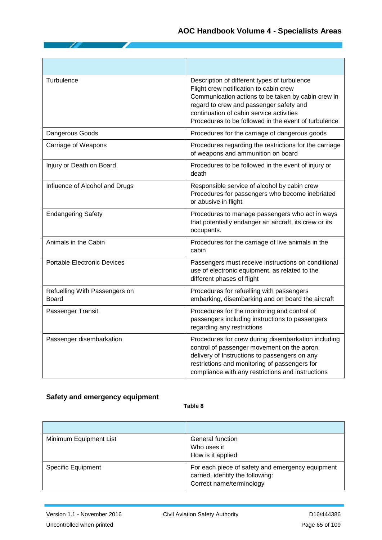| Turbulence                             | Description of different types of turbulence<br>Flight crew notification to cabin crew<br>Communication actions to be taken by cabin crew in<br>regard to crew and passenger safety and<br>continuation of cabin service activities<br>Procedures to be followed in the event of turbulence |
|----------------------------------------|---------------------------------------------------------------------------------------------------------------------------------------------------------------------------------------------------------------------------------------------------------------------------------------------|
| Dangerous Goods                        | Procedures for the carriage of dangerous goods                                                                                                                                                                                                                                              |
| <b>Carriage of Weapons</b>             | Procedures regarding the restrictions for the carriage<br>of weapons and ammunition on board                                                                                                                                                                                                |
| Injury or Death on Board               | Procedures to be followed in the event of injury or<br>death                                                                                                                                                                                                                                |
| Influence of Alcohol and Drugs         | Responsible service of alcohol by cabin crew<br>Procedures for passengers who become inebriated<br>or abusive in flight                                                                                                                                                                     |
| <b>Endangering Safety</b>              | Procedures to manage passengers who act in ways<br>that potentially endanger an aircraft, its crew or its<br>occupants.                                                                                                                                                                     |
| Animals in the Cabin                   | Procedures for the carriage of live animals in the<br>cabin                                                                                                                                                                                                                                 |
| <b>Portable Electronic Devices</b>     | Passengers must receive instructions on conditional<br>use of electronic equipment, as related to the<br>different phases of flight                                                                                                                                                         |
| Refuelling With Passengers on<br>Board | Procedures for refuelling with passengers<br>embarking, disembarking and on board the aircraft                                                                                                                                                                                              |
| Passenger Transit                      | Procedures for the monitoring and control of<br>passengers including instructions to passengers<br>regarding any restrictions                                                                                                                                                               |
| Passenger disembarkation               | Procedures for crew during disembarkation including<br>control of passenger movement on the apron,<br>delivery of Instructions to passengers on any<br>restrictions and monitoring of passengers for<br>compliance with any restrictions and instructions                                   |

# **Safety and emergency equipment**

1

## **Table 8**

| Minimum Equipment List    | General function<br>Who uses it<br>How is it applied                                                             |
|---------------------------|------------------------------------------------------------------------------------------------------------------|
| <b>Specific Equipment</b> | For each piece of safety and emergency equipment<br>carried, identify the following:<br>Correct name/terminology |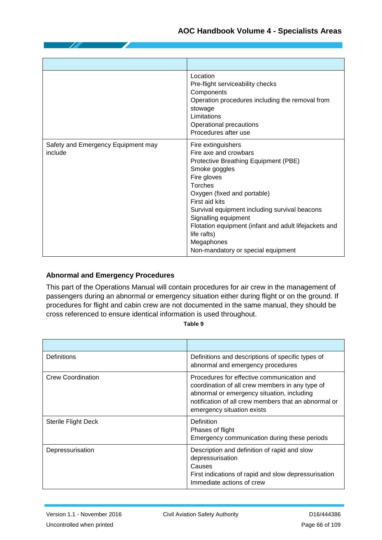|                                               | Location<br>Pre-flight serviceability checks<br>Components<br>Operation procedures including the removal from<br>stowage<br>Limitations<br>Operational precautions<br>Procedures after use                                                                                                                                                                                           |
|-----------------------------------------------|--------------------------------------------------------------------------------------------------------------------------------------------------------------------------------------------------------------------------------------------------------------------------------------------------------------------------------------------------------------------------------------|
| Safety and Emergency Equipment may<br>include | Fire extinguishers<br>Fire axe and crowbars<br>Protective Breathing Equipment (PBE)<br>Smoke goggles<br>Fire gloves<br>Torches<br>Oxygen (fixed and portable)<br>First aid kits<br>Survival equipment including survival beacons<br>Signalling equipment<br>Flotation equipment (infant and adult lifejackets and<br>life rafts)<br>Megaphones<br>Non-mandatory or special equipment |

# **Abnormal and Emergency Procedures**

18

This part of the Operations Manual will contain procedures for air crew in the management of passengers during an abnormal or emergency situation either during flight or on the ground. If procedures for flight and cabin crew are not documented in the same manual, they should be cross referenced to ensure identical information is used throughout.

**Table 9**

| Definitions              | Definitions and descriptions of specific types of<br>abnormal and emergency procedures                                                                                                                                            |
|--------------------------|-----------------------------------------------------------------------------------------------------------------------------------------------------------------------------------------------------------------------------------|
| <b>Crew Coordination</b> | Procedures for effective communication and<br>coordination of all crew members in any type of<br>abnormal or emergency situation, including<br>notification of all crew members that an abnormal or<br>emergency situation exists |
| Sterile Flight Deck      | Definition<br>Phases of flight<br>Emergency communication during these periods                                                                                                                                                    |
| Depressurisation         | Description and definition of rapid and slow<br>depressurisation<br>Causes<br>First indications of rapid and slow depressurisation<br>Immediate actions of crew                                                                   |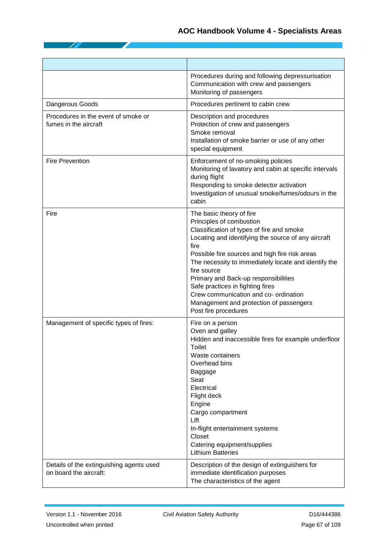

|                                                                    | Procedures during and following depressurisation<br>Communication with crew and passengers<br>Monitoring of passengers                                                                                                                                                                                                                                                                                                                                                            |
|--------------------------------------------------------------------|-----------------------------------------------------------------------------------------------------------------------------------------------------------------------------------------------------------------------------------------------------------------------------------------------------------------------------------------------------------------------------------------------------------------------------------------------------------------------------------|
| Dangerous Goods                                                    | Procedures pertinent to cabin crew                                                                                                                                                                                                                                                                                                                                                                                                                                                |
| Procedures in the event of smoke or<br>fumes in the aircraft       | Description and procedures<br>Protection of crew and passengers<br>Smoke removal<br>Installation of smoke barrier or use of any other<br>special equipment                                                                                                                                                                                                                                                                                                                        |
| <b>Fire Prevention</b>                                             | Enforcement of no-smoking policies<br>Monitoring of lavatory and cabin at specific intervals<br>during flight<br>Responding to smoke detector activation<br>Investigation of unusual smoke/fumes/odours in the<br>cabin                                                                                                                                                                                                                                                           |
| Fire                                                               | The basic theory of fire<br>Principles of combustion<br>Classification of types of fire and smoke<br>Locating and identifying the source of any aircraft<br>fire<br>Possible fire sources and high fire risk areas<br>The necessity to immediately locate and identify the<br>fire source<br>Primary and Back-up responsibilities<br>Safe practices in fighting fires<br>Crew communication and co- ordination<br>Management and protection of passengers<br>Post fire procedures |
| Management of specific types of fires:                             | Fire on a person<br>Oven and galley<br>Hidden and inaccessible fires for example underfloor<br>Toilet<br>Waste containers<br>Overhead bins<br>Baggage<br>Seat<br>Electrical<br>Flight deck<br>Engine<br>Cargo compartment<br>Lift<br>In-flight entertainment systems<br>Closet<br>Catering equipment/supplies<br><b>Lithium Batteries</b>                                                                                                                                         |
| Details of the extinguishing agents used<br>on board the aircraft: | Description of the design of extinguishers for<br>immediate identification purposes<br>The characteristics of the agent                                                                                                                                                                                                                                                                                                                                                           |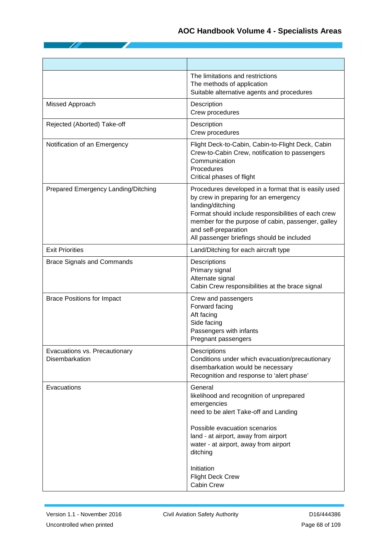|                                                        | The limitations and restrictions<br>The methods of application<br>Suitable alternative agents and procedures                                                                                                                                                                                         |
|--------------------------------------------------------|------------------------------------------------------------------------------------------------------------------------------------------------------------------------------------------------------------------------------------------------------------------------------------------------------|
| Missed Approach                                        | Description<br>Crew procedures                                                                                                                                                                                                                                                                       |
| Rejected (Aborted) Take-off                            | Description<br>Crew procedures                                                                                                                                                                                                                                                                       |
| Notification of an Emergency                           | Flight Deck-to-Cabin, Cabin-to-Flight Deck, Cabin<br>Crew-to-Cabin Crew, notification to passengers<br>Communication<br>Procedures<br>Critical phases of flight                                                                                                                                      |
| Prepared Emergency Landing/Ditching                    | Procedures developed in a format that is easily used<br>by crew in preparing for an emergency<br>landing/ditching<br>Format should include responsibilities of each crew<br>member for the purpose of cabin, passenger, galley<br>and self-preparation<br>All passenger briefings should be included |
| <b>Exit Priorities</b>                                 | Land/Ditching for each aircraft type                                                                                                                                                                                                                                                                 |
| <b>Brace Signals and Commands</b>                      | Descriptions<br>Primary signal<br>Alternate signal<br>Cabin Crew responsibilities at the brace signal                                                                                                                                                                                                |
| <b>Brace Positions for Impact</b>                      | Crew and passengers<br>Forward facing<br>Aft facing<br>Side facing<br>Passengers with infants<br>Pregnant passengers                                                                                                                                                                                 |
| Evacuations vs. Precautionary<br><b>Disembarkation</b> | Descriptions<br>Conditions under which evacuation/precautionary<br>disembarkation would be necessary<br>Recognition and response to 'alert phase'                                                                                                                                                    |
| Evacuations                                            | General<br>likelihood and recognition of unprepared<br>emergencies<br>need to be alert Take-off and Landing                                                                                                                                                                                          |
|                                                        | Possible evacuation scenarios<br>land - at airport, away from airport<br>water - at airport, away from airport<br>ditching                                                                                                                                                                           |
|                                                        | Initiation<br><b>Flight Deck Crew</b><br><b>Cabin Crew</b>                                                                                                                                                                                                                                           |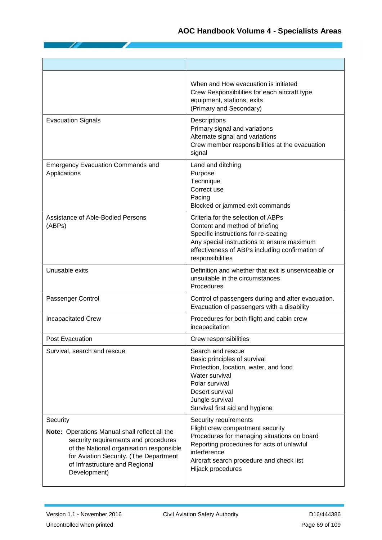|                                                                                                                                                                                                                                                  | When and How evacuation is initiated<br>Crew Responsibilities for each aircraft type<br>equipment, stations, exits<br>(Primary and Secondary)                                                                                          |
|--------------------------------------------------------------------------------------------------------------------------------------------------------------------------------------------------------------------------------------------------|----------------------------------------------------------------------------------------------------------------------------------------------------------------------------------------------------------------------------------------|
| <b>Evacuation Signals</b>                                                                                                                                                                                                                        | Descriptions<br>Primary signal and variations<br>Alternate signal and variations<br>Crew member responsibilities at the evacuation<br>signal                                                                                           |
| <b>Emergency Evacuation Commands and</b><br>Applications                                                                                                                                                                                         | Land and ditching<br>Purpose<br>Technique<br>Correct use<br>Pacing<br>Blocked or jammed exit commands                                                                                                                                  |
| <b>Assistance of Able-Bodied Persons</b><br>(ABPs)                                                                                                                                                                                               | Criteria for the selection of ABPs<br>Content and method of briefing<br>Specific instructions for re-seating<br>Any special instructions to ensure maximum<br>effectiveness of ABPs including confirmation of<br>responsibilities      |
| Unusable exits                                                                                                                                                                                                                                   | Definition and whether that exit is unserviceable or<br>unsuitable in the circumstances<br>Procedures                                                                                                                                  |
| Passenger Control                                                                                                                                                                                                                                | Control of passengers during and after evacuation.<br>Evacuation of passengers with a disability                                                                                                                                       |
| <b>Incapacitated Crew</b>                                                                                                                                                                                                                        | Procedures for both flight and cabin crew<br>incapacitation                                                                                                                                                                            |
| <b>Post Evacuation</b>                                                                                                                                                                                                                           | Crew responsibilities                                                                                                                                                                                                                  |
| Survival, search and rescue                                                                                                                                                                                                                      | Search and rescue<br>Basic principles of survival<br>Protection, location, water, and food<br>Water survival<br>Polar survival<br>Desert survival<br>Jungle survival<br>Survival first aid and hygiene                                 |
| Security<br><b>Note:</b> Operations Manual shall reflect all the<br>security requirements and procedures<br>of the National organisation responsible<br>for Aviation Security. (The Department<br>of Infrastructure and Regional<br>Development) | Security requirements<br>Flight crew compartment security<br>Procedures for managing situations on board<br>Reporting procedures for acts of unlawful<br>interference<br>Aircraft search procedure and check list<br>Hijack procedures |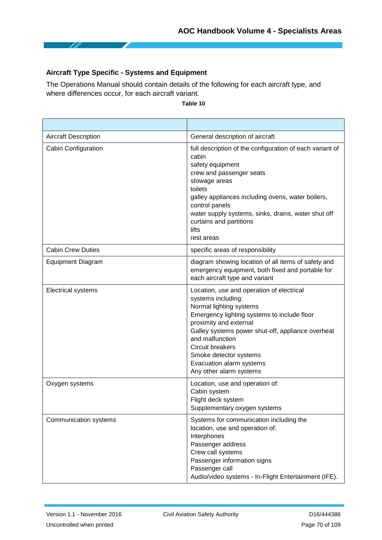# **Aircraft Type Specific - Systems and Equipment**

D

The Operations Manual should contain details of the following for each aircraft type, and where differences occur, for each aircraft variant.

**Table 10**

| <b>Aircraft Description</b> | General description of aircraft                                                                                                                                                                                                                                                                                                                  |
|-----------------------------|--------------------------------------------------------------------------------------------------------------------------------------------------------------------------------------------------------------------------------------------------------------------------------------------------------------------------------------------------|
| <b>Cabin Configuration</b>  | full description of the configuration of each variant of<br>cabin<br>safety equipment<br>crew and passenger seats<br>stowage areas<br>toilets<br>galley appliances including ovens, water boilers,<br>control panels<br>water supply systems, sinks, drains, water shut off<br>curtains and partitions<br>lifts<br>rest areas                    |
| <b>Cabin Crew Duties</b>    | specific areas of responsibility                                                                                                                                                                                                                                                                                                                 |
| <b>Equipment Diagram</b>    | diagram showing location of all items of safety and<br>emergency equipment, both fixed and portable for<br>each aircraft type and variant                                                                                                                                                                                                        |
| <b>Electrical systems</b>   | Location, use and operation of electrical<br>systems including:<br>Normal lighting systems<br>Emergency lighting systems to include floor<br>proximity and external<br>Galley systems power shut-off, appliance overheat<br>and malfunction<br>Circuit breakers<br>Smoke detector systems<br>Evacuation alarm systems<br>Any other alarm systems |
| Oxygen systems              | Location, use and operation of:<br>Cabin system<br>Flight deck system<br>Supplementary oxygen systems                                                                                                                                                                                                                                            |
| Communication systems       | Systems for communication including the<br>location, use and operation of:<br>Interphones<br>Passenger address<br>Crew call systems<br>Passenger information signs<br>Passenger call<br>Audio/video systems - In-Flight Entertainment (IFE).                                                                                                     |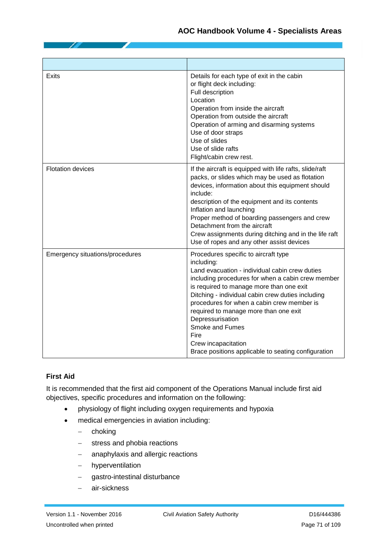| Exits                           | Details for each type of exit in the cabin<br>or flight deck including:<br>Full description<br>Location<br>Operation from inside the aircraft<br>Operation from outside the aircraft<br>Operation of arming and disarming systems<br>Use of door straps<br>Use of slides<br>Use of slide rafts<br>Flight/cabin crew rest.                                                                                                                                                             |
|---------------------------------|---------------------------------------------------------------------------------------------------------------------------------------------------------------------------------------------------------------------------------------------------------------------------------------------------------------------------------------------------------------------------------------------------------------------------------------------------------------------------------------|
| <b>Flotation devices</b>        | If the aircraft is equipped with life rafts, slide/raft<br>packs, or slides which may be used as flotation<br>devices, information about this equipment should<br>include:<br>description of the equipment and its contents<br>Inflation and launching<br>Proper method of boarding passengers and crew<br>Detachment from the aircraft<br>Crew assignments during ditching and in the life raft<br>Use of ropes and any other assist devices                                         |
| Emergency situations/procedures | Procedures specific to aircraft type<br>including:<br>Land evacuation - individual cabin crew duties<br>including procedures for when a cabin crew member<br>is required to manage more than one exit<br>Ditching - individual cabin crew duties including<br>procedures for when a cabin crew member is<br>required to manage more than one exit<br>Depressurisation<br><b>Smoke and Fumes</b><br>Fire<br>Crew incapacitation<br>Brace positions applicable to seating configuration |

# **First Aid**

It is recommended that the first aid component of the Operations Manual include first aid objectives, specific procedures and information on the following:

- physiology of flight including oxygen requirements and hypoxia
- medical emergencies in aviation including:
	- − choking
	- − stress and phobia reactions
	- − anaphylaxis and allergic reactions
	- − hyperventilation
	- − gastro-intestinal disturbance
	- − air-sickness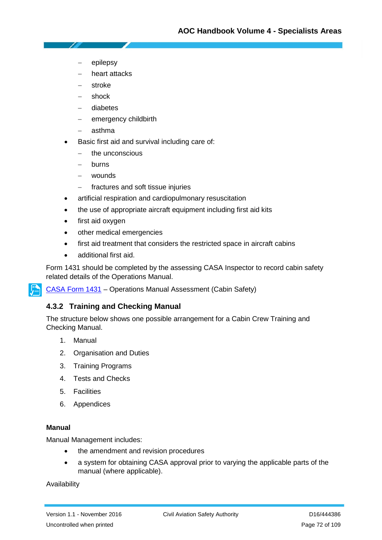- epilepsy
- − heart attacks
- stroke
- − shock
- − diabetes
- − emergency childbirth
- − asthma
- Basic first aid and survival including care of:
	- − the unconscious
	- − burns
	- wounds
	- fractures and soft tissue injuries
- artificial respiration and cardiopulmonary resuscitation
- the use of appropriate aircraft equipment including first aid kits
- first aid oxygen
- other medical emergencies
- first aid treatment that considers the restricted space in aircraft cabins
- additional first aid.

Form 1431 should be completed by the assessing CASA Inspector to record cabin safety related details of the Operations Manual.

烷 [CASA Form 1431](http://casaconnect/manuals/oih/form1431.tr5) – Operations Manual Assessment (Cabin Safety)

# **4.3.2 Training and Checking Manual**

The structure below shows one possible arrangement for a Cabin Crew Training and Checking Manual.

- 1. Manual
- 2. Organisation and Duties
- 3. Training Programs
- 4. Tests and Checks
- 5. Facilities
- 6. Appendices

#### **Manual**

Manual Management includes:

- the amendment and revision procedures
- a system for obtaining CASA approval prior to varying the applicable parts of the manual (where applicable).

Availability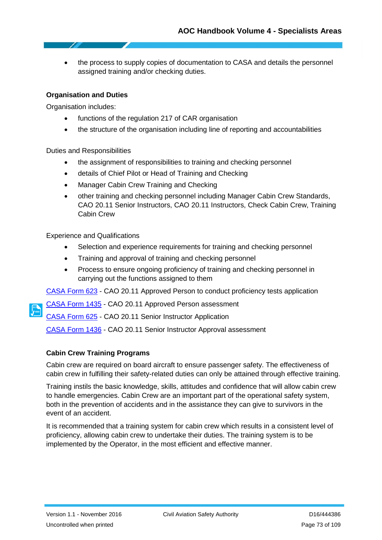• the process to supply copies of documentation to CASA and details the personnel assigned training and/or checking duties.

### **Organisation and Duties**

Organisation includes:

- functions of the regulation 217 of CAR organisation
- the structure of the organisation including line of reporting and accountabilities

Duties and Responsibilities

- the assignment of responsibilities to training and checking personnel
- details of Chief Pilot or Head of Training and Checking
- Manager Cabin Crew Training and Checking
- other training and checking personnel including Manager Cabin Crew Standards, CAO 20.11 Senior Instructors, CAO 20.11 Instructors, Check Cabin Crew, Training Cabin Crew

Experience and Qualifications

- Selection and experience requirements for training and checking personnel
- Training and approval of training and checking personnel
- Process to ensure ongoing proficiency of training and checking personnel in carrying out the functions assigned to them

[CASA Form 623](https://www.casa.gov.au/publications-and-resources/landing-page/forms-and-templates) - CAO 20.11 Approved Person to conduct proficiency tests application

[CASA Form 1435](http://casaconnect/manuals/oih/form1435.tr5) - CAO 20.11 Approved Person assessment

[CASA Form 625](https://www.casa.gov.au/publications-and-resources/landing-page/forms-and-templates) - CAO 20.11 Senior Instructor Application

[CASA Form 1436](http://casaconnect/manuals/oih/form1436.tr5) - CAO 20.11 Senior Instructor Approval assessment

### **Cabin Crew Training Programs**

Cabin crew are required on board aircraft to ensure passenger safety. The effectiveness of cabin crew in fulfilling their safety-related duties can only be attained through effective training.

Training instils the basic knowledge, skills, attitudes and confidence that will allow cabin crew to handle emergencies. Cabin Crew are an important part of the operational safety system, both in the prevention of accidents and in the assistance they can give to survivors in the event of an accident.

It is recommended that a training system for cabin crew which results in a consistent level of proficiency, allowing cabin crew to undertake their duties. The training system is to be implemented by the Operator, in the most efficient and effective manner.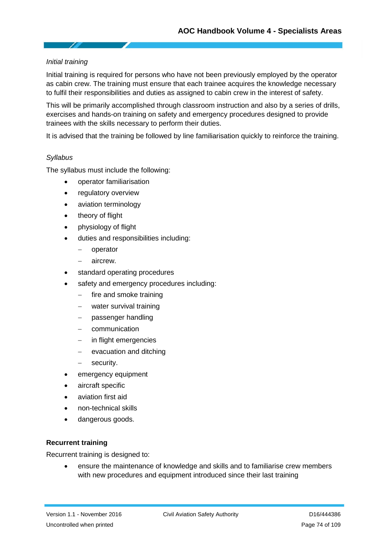### *Initial training*

Initial training is required for persons who have not been previously employed by the operator as cabin crew. The training must ensure that each trainee acquires the knowledge necessary to fulfil their responsibilities and duties as assigned to cabin crew in the interest of safety.

This will be primarily accomplished through classroom instruction and also by a series of drills, exercises and hands-on training on safety and emergency procedures designed to provide trainees with the skills necessary to perform their duties.

It is advised that the training be followed by line familiarisation quickly to reinforce the training.

### *Syllabus*

The syllabus must include the following:

- operator familiarisation
- regulatory overview
- aviation terminology
- theory of flight
- physiology of flight
- duties and responsibilities including:
	- − operator
	- aircrew.
- standard operating procedures
- safety and emergency procedures including:
	- − fire and smoke training
	- − water survival training
	- − passenger handling
	- − communication
	- − in flight emergencies
	- − evacuation and ditching
	- − security.
- emergency equipment
- aircraft specific
- aviation first aid
- non-technical skills
- dangerous goods.

### **Recurrent training**

Recurrent training is designed to:

• ensure the maintenance of knowledge and skills and to familiarise crew members with new procedures and equipment introduced since their last training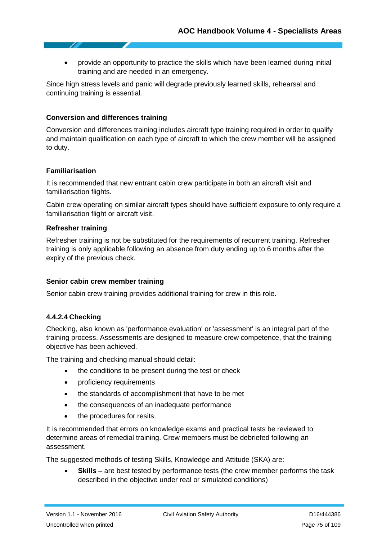• provide an opportunity to practice the skills which have been learned during initial training and are needed in an emergency.

Since high stress levels and panic will degrade previously learned skills, rehearsal and continuing training is essential.

### **Conversion and differences training**

Conversion and differences training includes aircraft type training required in order to qualify and maintain qualification on each type of aircraft to which the crew member will be assigned to duty.

### **Familiarisation**

It is recommended that new entrant cabin crew participate in both an aircraft visit and familiarisation flights.

Cabin crew operating on similar aircraft types should have sufficient exposure to only require a familiarisation flight or aircraft visit.

### **Refresher training**

Refresher training is not be substituted for the requirements of recurrent training. Refresher training is only applicable following an absence from duty ending up to 6 months after the expiry of the previous check.

### **Senior cabin crew member training**

Senior cabin crew training provides additional training for crew in this role.

### **4.4.2.4 Checking**

Checking, also known as 'performance evaluation' or 'assessment' is an integral part of the training process. Assessments are designed to measure crew competence, that the training objective has been achieved.

The training and checking manual should detail:

- the conditions to be present during the test or check
- proficiency requirements
- the standards of accomplishment that have to be met
- the consequences of an inadequate performance
- the procedures for resits.

It is recommended that errors on knowledge exams and practical tests be reviewed to determine areas of remedial training. Crew members must be debriefed following an assessment.

The suggested methods of testing Skills, Knowledge and Attitude (SKA) are:

**Skills** – are best tested by performance tests (the crew member performs the task described in the objective under real or simulated conditions)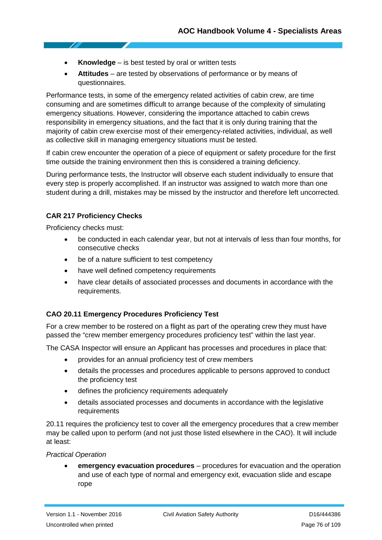- **Knowledge** is best tested by oral or written tests
- **Attitudes** are tested by observations of performance or by means of questionnaires.

Performance tests, in some of the emergency related activities of cabin crew, are time consuming and are sometimes difficult to arrange because of the complexity of simulating emergency situations. However, considering the importance attached to cabin crews responsibility in emergency situations, and the fact that it is only during training that the majority of cabin crew exercise most of their emergency-related activities, individual, as well as collective skill in managing emergency situations must be tested.

If cabin crew encounter the operation of a piece of equipment or safety procedure for the first time outside the training environment then this is considered a training deficiency.

During performance tests, the Instructor will observe each student individually to ensure that every step is properly accomplished. If an instructor was assigned to watch more than one student during a drill, mistakes may be missed by the instructor and therefore left uncorrected.

### **CAR 217 Proficiency Checks**

Proficiency checks must:

- be conducted in each calendar year, but not at intervals of less than four months, for consecutive checks
- be of a nature sufficient to test competency
- have well defined competency requirements
- have clear details of associated processes and documents in accordance with the requirements.

## **CAO 20.11 Emergency Procedures Proficiency Test**

For a crew member to be rostered on a flight as part of the operating crew they must have passed the "crew member emergency procedures proficiency test" within the last year.

The CASA Inspector will ensure an Applicant has processes and procedures in place that:

- provides for an annual proficiency test of crew members
- details the processes and procedures applicable to persons approved to conduct the proficiency test
- defines the proficiency requirements adequately
- details associated processes and documents in accordance with the legislative requirements

20.11 requires the proficiency test to cover all the emergency procedures that a crew member may be called upon to perform (and not just those listed elsewhere in the CAO). It will include at least:

### *Practical Operation*

• **emergency evacuation procedures** – procedures for evacuation and the operation and use of each type of normal and emergency exit, evacuation slide and escape rope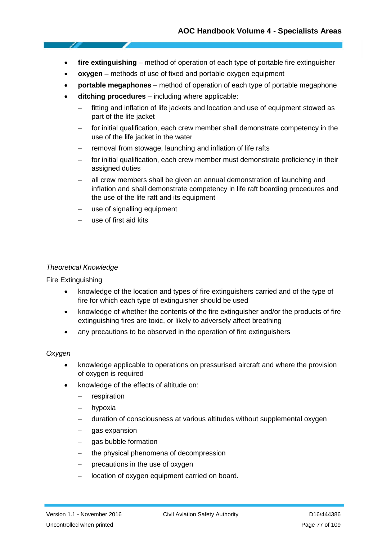- **fire extinguishing** method of operation of each type of portable fire extinguisher
- **oxygen** methods of use of fixed and portable oxygen equipment
- **portable megaphones**  method of operation of each type of portable megaphone
- **ditching procedures** including where applicable:
	- fitting and inflation of life jackets and location and use of equipment stowed as part of the life jacket
	- for initial qualification, each crew member shall demonstrate competency in the use of the life jacket in the water
	- − removal from stowage, launching and inflation of life rafts
	- − for initial qualification, each crew member must demonstrate proficiency in their assigned duties
	- all crew members shall be given an annual demonstration of launching and inflation and shall demonstrate competency in life raft boarding procedures and the use of the life raft and its equipment
	- use of signalling equipment
	- use of first aid kits

### *Theoretical Knowledge*

Fire Extinguishing

- knowledge of the location and types of fire extinguishers carried and of the type of fire for which each type of extinguisher should be used
- knowledge of whether the contents of the fire extinguisher and/or the products of fire extinguishing fires are toxic, or likely to adversely affect breathing
- any precautions to be observed in the operation of fire extinguishers

### *Oxygen*

- knowledge applicable to operations on pressurised aircraft and where the provision of oxygen is required
- knowledge of the effects of altitude on:
	- − respiration
	- − hypoxia
	- − duration of consciousness at various altitudes without supplemental oxygen
	- gas expansion
	- − gas bubble formation
	- the physical phenomena of decompression
	- precautions in the use of oxygen
	- − location of oxygen equipment carried on board.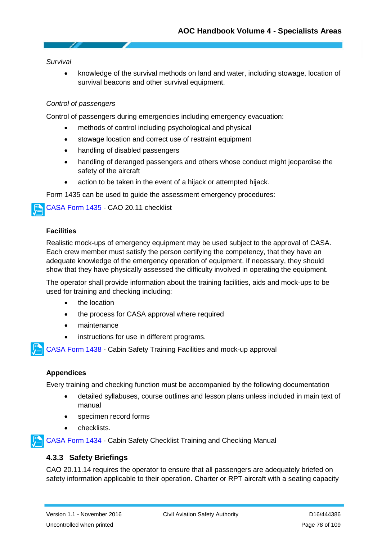### *Survival*

• knowledge of the survival methods on land and water, including stowage, location of survival beacons and other survival equipment.

### *Control of passengers*

Control of passengers during emergencies including emergency evacuation:

- methods of control including psychological and physical
- stowage location and correct use of restraint equipment
- handling of disabled passengers
- handling of deranged passengers and others whose conduct might jeopardise the safety of the aircraft
- action to be taken in the event of a hijack or attempted hijack.

Form 1435 can be used to guide the assessment emergency procedures:

[CASA Form 1435](http://casaconnect/manuals/oih/form1435.tr5) - CAO 20.11 checklist

### **Facilities**

Realistic mock-ups of emergency equipment may be used subject to the approval of CASA. Each crew member must satisfy the person certifying the competency, that they have an adequate knowledge of the emergency operation of equipment. If necessary, they should show that they have physically assessed the difficulty involved in operating the equipment.

The operator shall provide information about the training facilities, aids and mock-ups to be used for training and checking including:

- the location
- the process for CASA approval where required
- maintenance
- instructions for use in different programs.

[CASA Form 1438](https://www.casa.gov.au/publications-and-resources/landing-page/forms-and-templates) - Cabin Safety Training Facilities and mock-up approval

### **Appendices**

Every training and checking function must be accompanied by the following documentation

- detailed syllabuses, course outlines and lesson plans unless included in main text of manual
- specimen record forms
- checklists.

[CASA Form 1434](http://casaconnect/manuals/oih/form1434.tr5) - Cabin Safety Checklist Training and Checking Manual

### **4.3.3 Safety Briefings**

CAO 20.11.14 requires the operator to ensure that all passengers are adequately briefed on safety information applicable to their operation. Charter or RPT aircraft with a seating capacity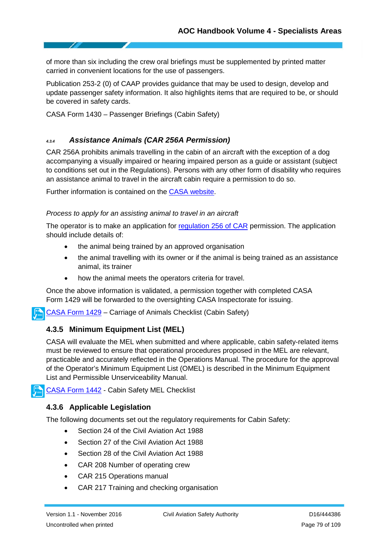of more than six including the crew oral briefings must be supplemented by printed matter carried in convenient locations for the use of passengers.

Publication 253-2 (0) of CAAP provides guidance that may be used to design, develop and update passenger safety information. It also highlights items that are required to be, or should be covered in safety cards.

CASA Form 1430 – Passenger Briefings (Cabin Safety)

# *4.3.4 Assistance Animals (CAR 256A Permission)*

CAR 256A prohibits animals travelling in the cabin of an aircraft with the exception of a dog accompanying a visually impaired or hearing impaired person as a guide or assistant (subject to conditions set out in the Regulations). Persons with any other form of disability who requires an assistance animal to travel in the aircraft cabin require a permission to do so.

Further information is contained on the [CASA website.](http://www.casa.gov.au/scripts/nc.dll?WCMS:STANDARD::pc=PC_90329)

### *Process to apply for an assisting animal to travel in an aircraft*

The operator is to make an application for [regulation 256 of CAR](https://www.casa.gov.au/rules-and-regulations/landing-page/current-rules) permission. The application should include details of:

- the animal being trained by an approved organisation
- the animal travelling with its owner or if the animal is being trained as an assistance animal, its trainer
- how the animal meets the operators criteria for travel.

Once the above information is validated, a permission together with completed CASA Form 1429 will be forwarded to the oversighting CASA Inspectorate for issuing.

[CASA Form 1429](http://casaconnect/manuals/oih/form1429.tr5) – Carriage of Animals Checklist (Cabin Safety)

# **4.3.5 Minimum Equipment List (MEL)**

CASA will evaluate the MEL when submitted and where applicable, cabin safety-related items must be reviewed to ensure that operational procedures proposed in the MEL are relevant, practicable and accurately reflected in the Operations Manual. The procedure for the approval of the Operator's Minimum Equipment List (OMEL) is described in the Minimum Equipment List and Permissible Unserviceability Manual.

[CASA Form 1442](https://www.casa.gov.au/publications-and-resources/landing-page/forms-and-templates) - Cabin Safety MEL Checklist

# **4.3.6 Applicable Legislation**

The following documents set out the regulatory requirements for Cabin Safety:

- Section 24 of the Civil Aviation Act 1988
- Section 27 of the Civil Aviation Act 1988
- Section 28 of the Civil Aviation Act 1988
- CAR 208 Number of operating crew
- CAR 215 Operations manual
- CAR 217 Training and checking organisation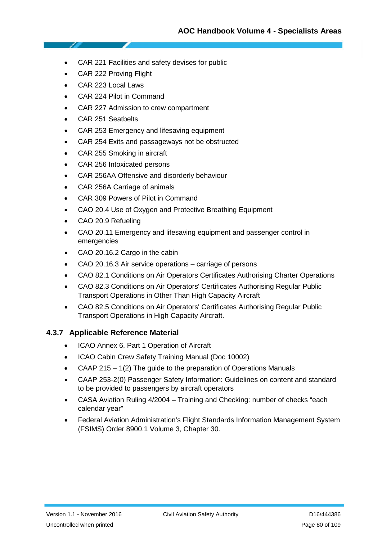- CAR 221 Facilities and safety devises for public
- CAR 222 Proving Flight
- CAR 223 Local Laws
- CAR 224 Pilot in Command
- CAR 227 Admission to crew compartment
- CAR 251 Seatbelts
- CAR 253 Emergency and lifesaving equipment
- CAR 254 Exits and passageways not be obstructed
- CAR 255 Smoking in aircraft
- CAR 256 Intoxicated persons
- CAR 256AA Offensive and disorderly behaviour
- CAR 256A Carriage of animals
- CAR 309 Powers of Pilot in Command
- CAO 20.4 Use of Oxygen and Protective Breathing Equipment
- CAO 20.9 Refueling
- CAO 20.11 Emergency and lifesaving equipment and passenger control in emergencies
- CAO 20.16.2 Cargo in the cabin
- CAO 20.16.3 Air service operations carriage of persons
- CAO 82.1 Conditions on Air Operators Certificates Authorising Charter Operations
- CAO 82.3 Conditions on Air Operators' Certificates Authorising Regular Public Transport Operations in Other Than High Capacity Aircraft
- CAO 82.5 Conditions on Air Operators' Certificates Authorising Regular Public Transport Operations in High Capacity Aircraft.

### **4.3.7 Applicable Reference Material**

- ICAO Annex 6, Part 1 Operation of Aircraft
- ICAO Cabin Crew Safety Training Manual (Doc 10002)
- CAAP 215  $-$  1(2) The guide to the preparation of Operations Manuals
- CAAP 253-2(0) Passenger Safety Information: Guidelines on content and standard to be provided to passengers by aircraft operators
- CASA Aviation Ruling 4/2004 Training and Checking: number of checks "each calendar year"
- Federal Aviation Administration's Flight Standards Information Management System (FSIMS) Order 8900.1 Volume 3, Chapter 30.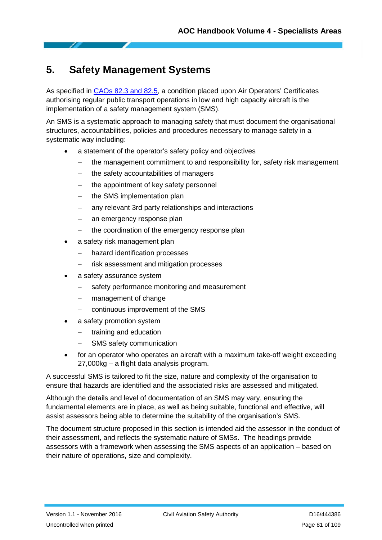# **5. Safety Management Systems**

As specified in [CAOs 82.3 and 82.5,](https://www.casa.gov.au/rules-and-regulations/landing-page/current-rules) a condition placed upon Air Operators' Certificates authorising regular public transport operations in low and high capacity aircraft is the implementation of a safety management system (SMS).

An SMS is a systematic approach to managing safety that must document the organisational structures, accountabilities, policies and procedures necessary to manage safety in a systematic way including:

- a statement of the operator's safety policy and objectives
	- − the management commitment to and responsibility for, safety risk management
	- − the safety accountabilities of managers
	- − the appointment of key safety personnel
	- − the SMS implementation plan
	- − any relevant 3rd party relationships and interactions
	- − an emergency response plan
	- the coordination of the emergency response plan
- a safety risk management plan
	- − hazard identification processes
	- − risk assessment and mitigation processes
- a safety assurance system
	- − safety performance monitoring and measurement
	- − management of change
	- − continuous improvement of the SMS
- a safety promotion system
	- − training and education
	- − SMS safety communication
- for an operator who operates an aircraft with a maximum take-off weight exceeding 27,000kg – a flight data analysis program.

A successful SMS is tailored to fit the size, nature and complexity of the organisation to ensure that hazards are identified and the associated risks are assessed and mitigated.

Although the details and level of documentation of an SMS may vary, ensuring the fundamental elements are in place, as well as being suitable, functional and effective, will assist assessors being able to determine the suitability of the organisation's SMS.

The document structure proposed in this section is intended aid the assessor in the conduct of their assessment, and reflects the systematic nature of SMSs. The headings provide assessors with a framework when assessing the SMS aspects of an application – based on their nature of operations, size and complexity.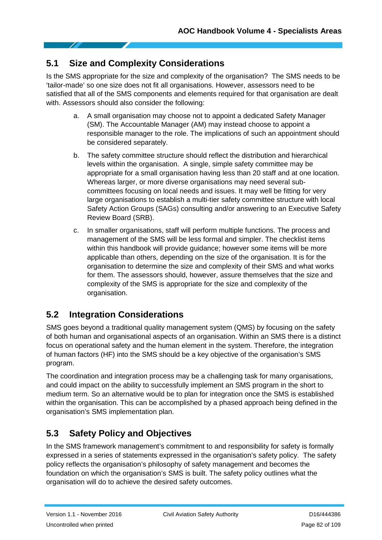# **5.1 Size and Complexity Considerations**

Is the SMS appropriate for the size and complexity of the organisation? The SMS needs to be 'tailor-made' so one size does not fit all organisations. However, assessors need to be satisfied that all of the SMS components and elements required for that organisation are dealt with. Assessors should also consider the following:

- a. A small organisation may choose not to appoint a dedicated Safety Manager (SM). The Accountable Manager (AM) may instead choose to appoint a responsible manager to the role. The implications of such an appointment should be considered separately.
- b. The safety committee structure should reflect the distribution and hierarchical levels within the organisation. A single, simple safety committee may be appropriate for a small organisation having less than 20 staff and at one location. Whereas larger, or more diverse organisations may need several subcommittees focusing on local needs and issues. It may well be fitting for very large organisations to establish a multi-tier safety committee structure with local Safety Action Groups (SAGs) consulting and/or answering to an Executive Safety Review Board (SRB).
- c. In smaller organisations, staff will perform multiple functions. The process and management of the SMS will be less formal and simpler. The checklist items within this handbook will provide guidance; however some items will be more applicable than others, depending on the size of the organisation. It is for the organisation to determine the size and complexity of their SMS and what works for them. The assessors should, however, assure themselves that the size and complexity of the SMS is appropriate for the size and complexity of the organisation.

# **5.2 Integration Considerations**

SMS goes beyond a traditional quality management system (QMS) by focusing on the safety of both human and organisational aspects of an organisation. Within an SMS there is a distinct focus on operational safety and the human element in the system. Therefore, the integration of human factors (HF) into the SMS should be a key objective of the organisation's SMS program.

The coordination and integration process may be a challenging task for many organisations, and could impact on the ability to successfully implement an SMS program in the short to medium term. So an alternative would be to plan for integration once the SMS is established within the organisation. This can be accomplished by a phased approach being defined in the organisation's SMS implementation plan.

# **5.3 Safety Policy and Objectives**

In the SMS framework management's commitment to and responsibility for safety is formally expressed in a series of statements expressed in the organisation's safety policy. The safety policy reflects the organisation's philosophy of safety management and becomes the foundation on which the organisation's SMS is built. The safety policy outlines what the organisation will do to achieve the desired safety outcomes.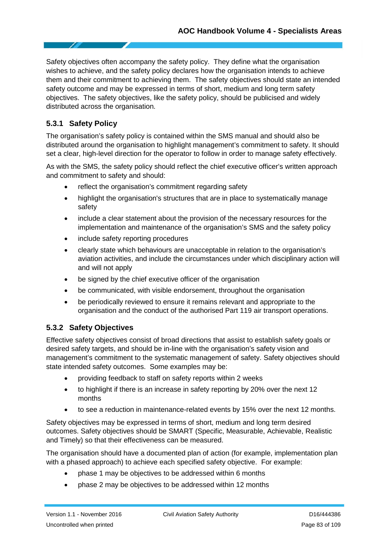Safety objectives often accompany the safety policy. They define what the organisation wishes to achieve, and the safety policy declares how the organisation intends to achieve them and their commitment to achieving them. The safety objectives should state an intended safety outcome and may be expressed in terms of short, medium and long term safety objectives. The safety objectives, like the safety policy, should be publicised and widely distributed across the organisation.

# **5.3.1 Safety Policy**

The organisation's safety policy is contained within the SMS manual and should also be distributed around the organisation to highlight management's commitment to safety. It should set a clear, high-level direction for the operator to follow in order to manage safety effectively.

As with the SMS, the safety policy should reflect the chief executive officer's written approach and commitment to safety and should:

- reflect the organisation's commitment regarding safety
- highlight the organisation's structures that are in place to systematically manage safety
- include a clear statement about the provision of the necessary resources for the implementation and maintenance of the organisation's SMS and the safety policy
- include safety reporting procedures
- clearly state which behaviours are unacceptable in relation to the organisation's aviation activities, and include the circumstances under which disciplinary action will and will not apply
- be signed by the chief executive officer of the organisation
- be communicated, with visible endorsement, throughout the organisation
- be periodically reviewed to ensure it remains relevant and appropriate to the organisation and the conduct of the authorised Part 119 air transport operations.

# **5.3.2 Safety Objectives**

Effective safety objectives consist of broad directions that assist to establish safety goals or desired safety targets, and should be in-line with the organisation's safety vision and management's commitment to the systematic management of safety. Safety objectives should state intended safety outcomes. Some examples may be:

- providing feedback to staff on safety reports within 2 weeks
- to highlight if there is an increase in safety reporting by 20% over the next 12 months
- to see a reduction in maintenance-related events by 15% over the next 12 months.

Safety objectives may be expressed in terms of short, medium and long term desired outcomes. Safety objectives should be SMART (Specific, Measurable, Achievable, Realistic and Timely) so that their effectiveness can be measured.

The organisation should have a documented plan of action (for example, implementation plan with a phased approach) to achieve each specified safety objective. For example:

- phase 1 may be objectives to be addressed within 6 months
- phase 2 may be objectives to be addressed within 12 months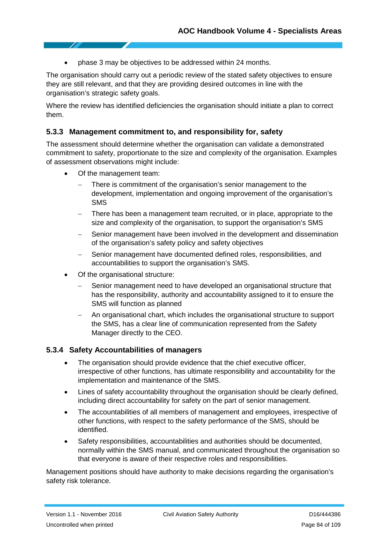• phase 3 may be objectives to be addressed within 24 months.

The organisation should carry out a periodic review of the stated safety objectives to ensure they are still relevant, and that they are providing desired outcomes in line with the organisation's strategic safety goals.

Where the review has identified deficiencies the organisation should initiate a plan to correct them.

### **5.3.3 Management commitment to, and responsibility for, safety**

The assessment should determine whether the organisation can validate a demonstrated commitment to safety, proportionate to the size and complexity of the organisation. Examples of assessment observations might include:

- Of the management team:
	- There is commitment of the organisation's senior management to the development, implementation and ongoing improvement of the organisation's SMS
	- − There has been a management team recruited, or in place, appropriate to the size and complexity of the organisation, to support the organisation's SMS
	- Senior management have been involved in the development and dissemination of the organisation's safety policy and safety objectives
	- − Senior management have documented defined roles, responsibilities, and accountabilities to support the organisation's SMS.
- Of the organisational structure:
	- Senior management need to have developed an organisational structure that has the responsibility, authority and accountability assigned to it to ensure the SMS will function as planned
	- − An organisational chart, which includes the organisational structure to support the SMS, has a clear line of communication represented from the Safety Manager directly to the CEO.

### **5.3.4 Safety Accountabilities of managers**

- The organisation should provide evidence that the chief executive officer, irrespective of other functions, has ultimate responsibility and accountability for the implementation and maintenance of the SMS.
- Lines of safety accountability throughout the organisation should be clearly defined, including direct accountability for safety on the part of senior management.
- The accountabilities of all members of management and employees, irrespective of other functions, with respect to the safety performance of the SMS, should be identified.
- Safety responsibilities, accountabilities and authorities should be documented, normally within the SMS manual, and communicated throughout the organisation so that everyone is aware of their respective roles and responsibilities.

Management positions should have authority to make decisions regarding the organisation's safety risk tolerance.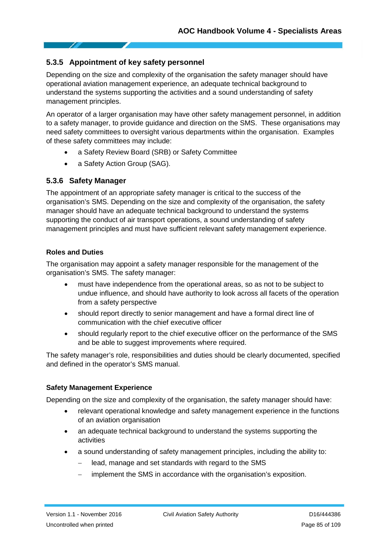# **5.3.5 Appointment of key safety personnel**

Depending on the size and complexity of the organisation the safety manager should have operational aviation management experience, an adequate technical background to understand the systems supporting the activities and a sound understanding of safety management principles.

An operator of a larger organisation may have other safety management personnel, in addition to a safety manager, to provide guidance and direction on the SMS. These organisations may need safety committees to oversight various departments within the organisation. Examples of these safety committees may include:

- a Safety Review Board (SRB) or Safety Committee
- a Safety Action Group (SAG).

### **5.3.6 Safety Manager**

The appointment of an appropriate safety manager is critical to the success of the organisation's SMS. Depending on the size and complexity of the organisation, the safety manager should have an adequate technical background to understand the systems supporting the conduct of air transport operations, a sound understanding of safety management principles and must have sufficient relevant safety management experience.

### **Roles and Duties**

The organisation may appoint a safety manager responsible for the management of the organisation's SMS. The safety manager:

- must have independence from the operational areas, so as not to be subject to undue influence, and should have authority to look across all facets of the operation from a safety perspective
- should report directly to senior management and have a formal direct line of communication with the chief executive officer
- should regularly report to the chief executive officer on the performance of the SMS and be able to suggest improvements where required.

The safety manager's role, responsibilities and duties should be clearly documented, specified and defined in the operator's SMS manual.

### **Safety Management Experience**

Depending on the size and complexity of the organisation, the safety manager should have:

- relevant operational knowledge and safety management experience in the functions of an aviation organisation
- an adequate technical background to understand the systems supporting the activities
- a sound understanding of safety management principles, including the ability to:
	- lead, manage and set standards with regard to the SMS
	- implement the SMS in accordance with the organisation's exposition.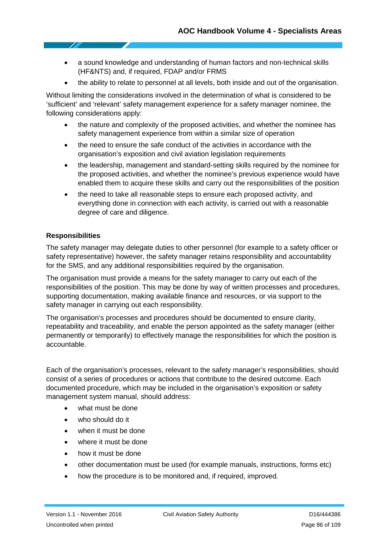- a sound knowledge and understanding of human factors and non-technical skills (HF&NTS) and, if required, FDAP and/or FRMS
- the ability to relate to personnel at all levels, both inside and out of the organisation.

Without limiting the considerations involved in the determination of what is considered to be 'sufficient' and 'relevant' safety management experience for a safety manager nominee, the following considerations apply:

- the nature and complexity of the proposed activities, and whether the nominee has safety management experience from within a similar size of operation
- the need to ensure the safe conduct of the activities in accordance with the organisation's exposition and civil aviation legislation requirements
- the leadership, management and standard-setting skills required by the nominee for the proposed activities, and whether the nominee's previous experience would have enabled them to acquire these skills and carry out the responsibilities of the position
- the need to take all reasonable steps to ensure each proposed activity, and everything done in connection with each activity, is carried out with a reasonable degree of care and diligence.

### **Responsibilities**

The safety manager may delegate duties to other personnel (for example to a safety officer or safety representative) however, the safety manager retains responsibility and accountability for the SMS, and any additional responsibilities required by the organisation.

The organisation must provide a means for the safety manager to carry out each of the responsibilities of the position. This may be done by way of written processes and procedures, supporting documentation, making available finance and resources, or via support to the safety manager in carrying out each responsibility.

The organisation's processes and procedures should be documented to ensure clarity, repeatability and traceability, and enable the person appointed as the safety manager (either permanently or temporarily) to effectively manage the responsibilities for which the position is accountable.

Each of the organisation's processes, relevant to the safety manager's responsibilities, should consist of a series of procedures or actions that contribute to the desired outcome. Each documented procedure, which may be included in the organisation's exposition or safety management system manual, should address:

- what must be done
- who should do it
- when it must be done
- where it must be done
- how it must be done
- other documentation must be used (for example manuals, instructions, forms etc)
- how the procedure is to be monitored and, if required, improved.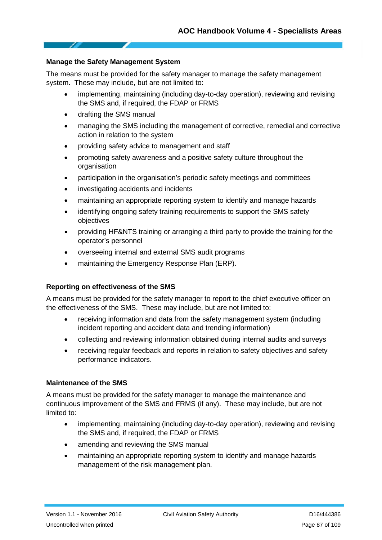### **Manage the Safety Management System**

The means must be provided for the safety manager to manage the safety management system. These may include, but are not limited to:

- implementing, maintaining (including day-to-day operation), reviewing and revising the SMS and, if required, the FDAP or FRMS
- drafting the SMS manual
- managing the SMS including the management of corrective, remedial and corrective action in relation to the system
- providing safety advice to management and staff
- promoting safety awareness and a positive safety culture throughout the organisation
- participation in the organisation's periodic safety meetings and committees
- investigating accidents and incidents
- maintaining an appropriate reporting system to identify and manage hazards
- identifying ongoing safety training requirements to support the SMS safety objectives
- providing HF&NTS training or arranging a third party to provide the training for the operator's personnel
- overseeing internal and external SMS audit programs
- maintaining the Emergency Response Plan (ERP).

### **Reporting on effectiveness of the SMS**

A means must be provided for the safety manager to report to the chief executive officer on the effectiveness of the SMS. These may include, but are not limited to:

- receiving information and data from the safety management system (including incident reporting and accident data and trending information)
- collecting and reviewing information obtained during internal audits and surveys
- receiving regular feedback and reports in relation to safety objectives and safety performance indicators.

### **Maintenance of the SMS**

A means must be provided for the safety manager to manage the maintenance and continuous improvement of the SMS and FRMS (if any). These may include, but are not limited to:

- implementing, maintaining (including day-to-day operation), reviewing and revising the SMS and, if required, the FDAP or FRMS
- amending and reviewing the SMS manual
- maintaining an appropriate reporting system to identify and manage hazards management of the risk management plan.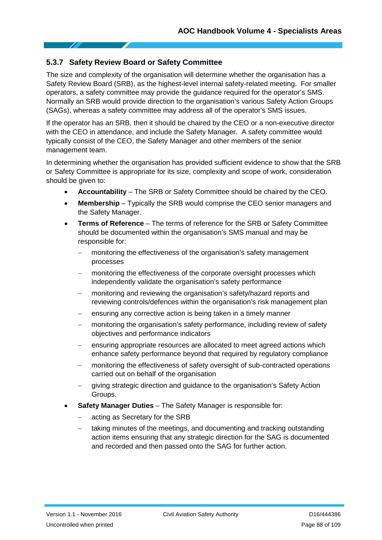# **5.3.7 Safety Review Board or Safety Committee**

The size and complexity of the organisation will determine whether the organisation has a Safety Review Board (SRB), as the highest-level internal safety-related meeting. For smaller operators, a safety committee may provide the guidance required for the operator's SMS. Normally an SRB would provide direction to the organisation's various Safety Action Groups (SAGs), whereas a safety committee may address all of the operator's SMS issues.

If the operator has an SRB, then it should be chaired by the CEO or a non-executive director with the CEO in attendance, and include the Safety Manager. A safety committee would typically consist of the CEO, the Safety Manager and other members of the senior management team.

In determining whether the organisation has provided sufficient evidence to show that the SRB or Safety Committee is appropriate for its size, complexity and scope of work, consideration should be given to:

- **Accountability** The SRB or Safety Committee should be chaired by the CEO.
- **Membership** Typically the SRB would comprise the CEO senior managers and the Safety Manager.
- **Terms of Reference** The terms of reference for the SRB or Safety Committee should be documented within the organisation's SMS manual and may be responsible for:
	- monitoring the effectiveness of the organisation's safety management processes
	- monitoring the effectiveness of the corporate oversight processes which independently validate the organisation's safety performance
	- − monitoring and reviewing the organisation's safety/hazard reports and reviewing controls/defences within the organisation's risk management plan
	- ensuring any corrective action is being taken in a timely manner
	- monitoring the organisation's safety performance, including review of safety objectives and performance indicators
	- ensuring appropriate resources are allocated to meet agreed actions which enhance safety performance beyond that required by regulatory compliance
	- monitoring the effectiveness of safety oversight of sub-contracted operations carried out on behalf of the organisation
	- giving strategic direction and guidance to the organisation's Safety Action Groups.
- **Safety Manager Duties** The Safety Manager is responsible for:
	- acting as Secretary for the SRB
	- taking minutes of the meetings, and documenting and tracking outstanding action items ensuring that any strategic direction for the SAG is documented and recorded and then passed onto the SAG for further action.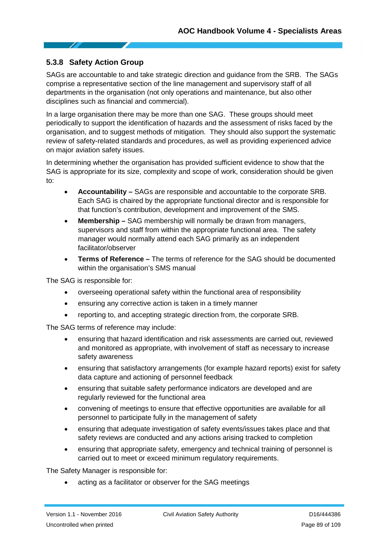# **5.3.8 Safety Action Group**

SAGs are accountable to and take strategic direction and guidance from the SRB. The SAGs comprise a representative section of the line management and supervisory staff of all departments in the organisation (not only operations and maintenance, but also other disciplines such as financial and commercial).

In a large organisation there may be more than one SAG. These groups should meet periodically to support the identification of hazards and the assessment of risks faced by the organisation, and to suggest methods of mitigation. They should also support the systematic review of safety-related standards and procedures, as well as providing experienced advice on major aviation safety issues.

In determining whether the organisation has provided sufficient evidence to show that the SAG is appropriate for its size, complexity and scope of work, consideration should be given to:

- **Accountability –** SAGs are responsible and accountable to the corporate SRB. Each SAG is chaired by the appropriate functional director and is responsible for that function's contribution, development and improvement of the SMS.
- **Membership –** SAG membership will normally be drawn from managers, supervisors and staff from within the appropriate functional area. The safety manager would normally attend each SAG primarily as an independent facilitator/observer
- **Terms of Reference –** The terms of reference for the SAG should be documented within the organisation's SMS manual

The SAG is responsible for:

- overseeing operational safety within the functional area of responsibility
- ensuring any corrective action is taken in a timely manner
- reporting to, and accepting strategic direction from, the corporate SRB.

The SAG terms of reference may include:

- ensuring that hazard identification and risk assessments are carried out, reviewed and monitored as appropriate, with involvement of staff as necessary to increase safety awareness
- ensuring that satisfactory arrangements (for example hazard reports) exist for safety data capture and actioning of personnel feedback
- ensuring that suitable safety performance indicators are developed and are regularly reviewed for the functional area
- convening of meetings to ensure that effective opportunities are available for all personnel to participate fully in the management of safety
- ensuring that adequate investigation of safety events/issues takes place and that safety reviews are conducted and any actions arising tracked to completion
- ensuring that appropriate safety, emergency and technical training of personnel is carried out to meet or exceed minimum regulatory requirements.

The Safety Manager is responsible for:

acting as a facilitator or observer for the SAG meetings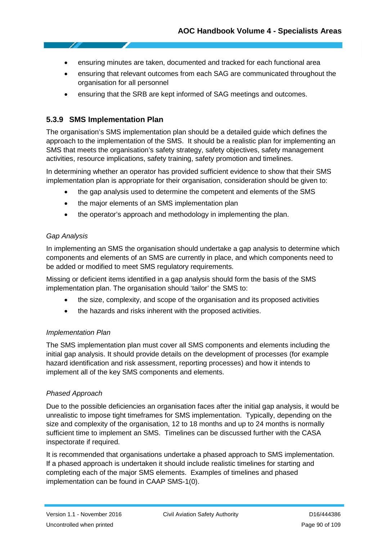- ensuring minutes are taken, documented and tracked for each functional area
- ensuring that relevant outcomes from each SAG are communicated throughout the organisation for all personnel
- ensuring that the SRB are kept informed of SAG meetings and outcomes.

### **5.3.9 SMS Implementation Plan**

The organisation's SMS implementation plan should be a detailed guide which defines the approach to the implementation of the SMS. It should be a realistic plan for implementing an SMS that meets the organisation's safety strategy, safety objectives, safety management activities, resource implications, safety training, safety promotion and timelines.

In determining whether an operator has provided sufficient evidence to show that their SMS implementation plan is appropriate for their organisation, consideration should be given to:

- the gap analysis used to determine the competent and elements of the SMS
- the major elements of an SMS implementation plan
- the operator's approach and methodology in implementing the plan.

### *Gap Analysis*

In implementing an SMS the organisation should undertake a gap analysis to determine which components and elements of an SMS are currently in place, and which components need to be added or modified to meet SMS regulatory requirements.

Missing or deficient items identified in a gap analysis should form the basis of the SMS implementation plan. The organisation should 'tailor' the SMS to:

- the size, complexity, and scope of the organisation and its proposed activities
- the hazards and risks inherent with the proposed activities.

### *Implementation Plan*

The SMS implementation plan must cover all SMS components and elements including the initial gap analysis. It should provide details on the development of processes (for example hazard identification and risk assessment, reporting processes) and how it intends to implement all of the key SMS components and elements.

### *Phased Approach*

Due to the possible deficiencies an organisation faces after the initial gap analysis, it would be unrealistic to impose tight timeframes for SMS implementation. Typically, depending on the size and complexity of the organisation, 12 to 18 months and up to 24 months is normally sufficient time to implement an SMS. Timelines can be discussed further with the CASA inspectorate if required.

It is recommended that organisations undertake a phased approach to SMS implementation. If a phased approach is undertaken it should include realistic timelines for starting and completing each of the major SMS elements. Examples of timelines and phased implementation can be found in CAAP SMS-1(0).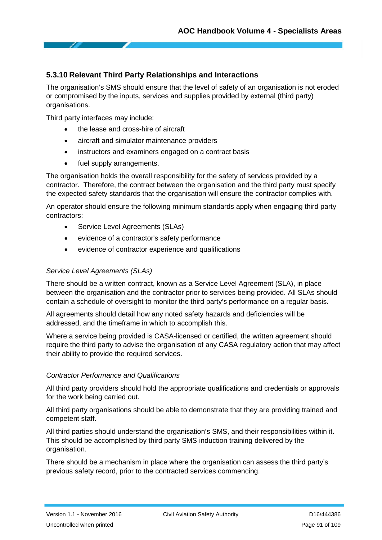# **5.3.10 Relevant Third Party Relationships and Interactions**

The organisation's SMS should ensure that the level of safety of an organisation is not eroded or compromised by the inputs, services and supplies provided by external (third party) organisations.

Third party interfaces may include:

- the lease and cross-hire of aircraft
- aircraft and simulator maintenance providers
- instructors and examiners engaged on a contract basis
- fuel supply arrangements.

The organisation holds the overall responsibility for the safety of services provided by a contractor. Therefore, the contract between the organisation and the third party must specify the expected safety standards that the organisation will ensure the contractor complies with.

An operator should ensure the following minimum standards apply when engaging third party contractors:

- Service Level Agreements (SLAs)
- evidence of a contractor's safety performance
- evidence of contractor experience and qualifications

### *Service Level Agreements (SLAs)*

There should be a written contract, known as a Service Level Agreement (SLA), in place between the organisation and the contractor prior to services being provided. All SLAs should contain a schedule of oversight to monitor the third party's performance on a regular basis.

All agreements should detail how any noted safety hazards and deficiencies will be addressed, and the timeframe in which to accomplish this.

Where a service being provided is CASA-licensed or certified, the written agreement should require the third party to advise the organisation of any CASA regulatory action that may affect their ability to provide the required services.

### *Contractor Performance and Qualifications*

All third party providers should hold the appropriate qualifications and credentials or approvals for the work being carried out.

All third party organisations should be able to demonstrate that they are providing trained and competent staff.

All third parties should understand the organisation's SMS, and their responsibilities within it. This should be accomplished by third party SMS induction training delivered by the organisation.

There should be a mechanism in place where the organisation can assess the third party's previous safety record, prior to the contracted services commencing.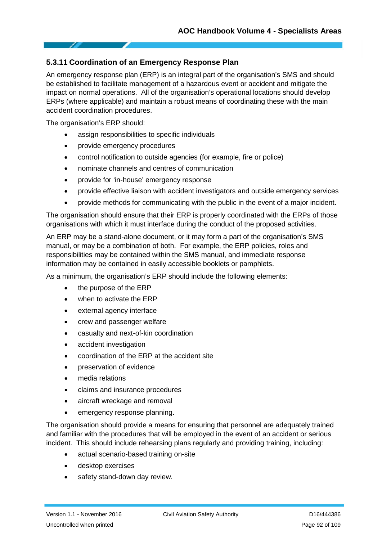## **5.3.11 Coordination of an Emergency Response Plan**

An emergency response plan (ERP) is an integral part of the organisation's SMS and should be established to facilitate management of a hazardous event or accident and mitigate the impact on normal operations. All of the organisation's operational locations should develop ERPs (where applicable) and maintain a robust means of coordinating these with the main accident coordination procedures.

The organisation's ERP should:

- assign responsibilities to specific individuals
- provide emergency procedures
- control notification to outside agencies (for example, fire or police)
- nominate channels and centres of communication
- provide for 'in-house' emergency response
- provide effective liaison with accident investigators and outside emergency services
- provide methods for communicating with the public in the event of a major incident.

The organisation should ensure that their ERP is properly coordinated with the ERPs of those organisations with which it must interface during the conduct of the proposed activities.

An ERP may be a stand-alone document, or it may form a part of the organisation's SMS manual, or may be a combination of both. For example, the ERP policies, roles and responsibilities may be contained within the SMS manual, and immediate response information may be contained in easily accessible booklets or pamphlets.

As a minimum, the organisation's ERP should include the following elements:

- the purpose of the ERP
- when to activate the ERP
- external agency interface
- crew and passenger welfare
- casualty and next-of-kin coordination
- accident investigation
- coordination of the ERP at the accident site
- preservation of evidence
- media relations
- claims and insurance procedures
- aircraft wreckage and removal
- emergency response planning.

The organisation should provide a means for ensuring that personnel are adequately trained and familiar with the procedures that will be employed in the event of an accident or serious incident. This should include rehearsing plans regularly and providing training, including:

- actual scenario-based training on-site
- desktop exercises
- safety stand-down day review.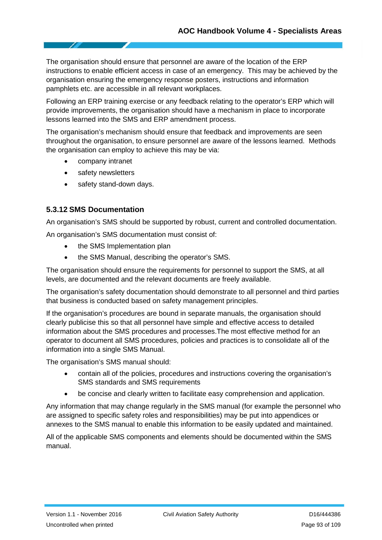The organisation should ensure that personnel are aware of the location of the ERP instructions to enable efficient access in case of an emergency. This may be achieved by the organisation ensuring the emergency response posters, instructions and information pamphlets etc. are accessible in all relevant workplaces.

Following an ERP training exercise or any feedback relating to the operator's ERP which will provide improvements, the organisation should have a mechanism in place to incorporate lessons learned into the SMS and ERP amendment process.

The organisation's mechanism should ensure that feedback and improvements are seen throughout the organisation, to ensure personnel are aware of the lessons learned. Methods the organisation can employ to achieve this may be via:

- company intranet
- safety newsletters
- safety stand-down days.

# **5.3.12 SMS Documentation**

An organisation's SMS should be supported by robust, current and controlled documentation.

An organisation's SMS documentation must consist of:

- the SMS Implementation plan
- the SMS Manual, describing the operator's SMS.

The organisation should ensure the requirements for personnel to support the SMS, at all levels, are documented and the relevant documents are freely available.

The organisation's safety documentation should demonstrate to all personnel and third parties that business is conducted based on safety management principles.

If the organisation's procedures are bound in separate manuals, the organisation should clearly publicise this so that all personnel have simple and effective access to detailed information about the SMS procedures and processes.The most effective method for an operator to document all SMS procedures, policies and practices is to consolidate all of the information into a single SMS Manual.

The organisation's SMS manual should:

- contain all of the policies, procedures and instructions covering the organisation's SMS standards and SMS requirements
- be concise and clearly written to facilitate easy comprehension and application.

Any information that may change regularly in the SMS manual (for example the personnel who are assigned to specific safety roles and responsibilities) may be put into appendices or annexes to the SMS manual to enable this information to be easily updated and maintained.

All of the applicable SMS components and elements should be documented within the SMS manual.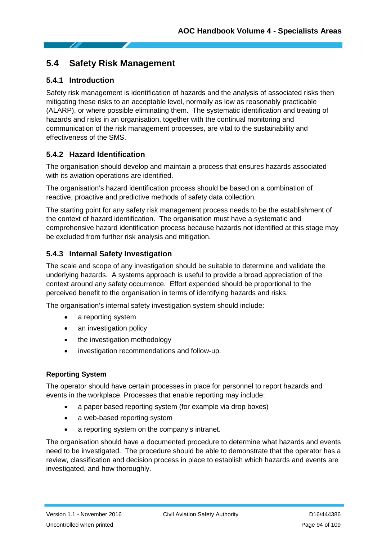# **5.4 Safety Risk Management**

# **5.4.1 Introduction**

Safety risk management is identification of hazards and the analysis of associated risks then mitigating these risks to an acceptable level, normally as low as reasonably practicable (ALARP), or where possible eliminating them. The systematic identification and treating of hazards and risks in an organisation, together with the continual monitoring and communication of the risk management processes, are vital to the sustainability and effectiveness of the SMS.

# **5.4.2 Hazard Identification**

The organisation should develop and maintain a process that ensures hazards associated with its aviation operations are identified.

The organisation's hazard identification process should be based on a combination of reactive, proactive and predictive methods of safety data collection.

The starting point for any safety risk management process needs to be the establishment of the context of hazard identification. The organisation must have a systematic and comprehensive hazard identification process because hazards not identified at this stage may be excluded from further risk analysis and mitigation.

# **5.4.3 Internal Safety Investigation**

The scale and scope of any investigation should be suitable to determine and validate the underlying hazards. A systems approach is useful to provide a broad appreciation of the context around any safety occurrence. Effort expended should be proportional to the perceived benefit to the organisation in terms of identifying hazards and risks.

The organisation's internal safety investigation system should include:

- a reporting system
- an investigation policy
- the investigation methodology
- investigation recommendations and follow-up.

### **Reporting System**

The operator should have certain processes in place for personnel to report hazards and events in the workplace. Processes that enable reporting may include:

- a paper based reporting system (for example via drop boxes)
- a web-based reporting system
- a reporting system on the company's intranet.

The organisation should have a documented procedure to determine what hazards and events need to be investigated. The procedure should be able to demonstrate that the operator has a review, classification and decision process in place to establish which hazards and events are investigated, and how thoroughly.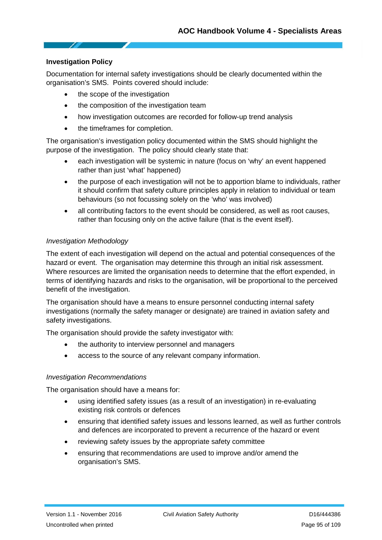### **Investigation Policy**

Documentation for internal safety investigations should be clearly documented within the organisation's SMS. Points covered should include:

- the scope of the investigation
- the composition of the investigation team
- how investigation outcomes are recorded for follow-up trend analysis
- the timeframes for completion.

The organisation's investigation policy documented within the SMS should highlight the purpose of the investigation. The policy should clearly state that:

- each investigation will be systemic in nature (focus on 'why' an event happened rather than just 'what' happened)
- the purpose of each investigation will not be to apportion blame to individuals, rather it should confirm that safety culture principles apply in relation to individual or team behaviours (so not focussing solely on the 'who' was involved)
- all contributing factors to the event should be considered, as well as root causes, rather than focusing only on the active failure (that is the event itself).

### *Investigation Methodology*

The extent of each investigation will depend on the actual and potential consequences of the hazard or event. The organisation may determine this through an initial risk assessment. Where resources are limited the organisation needs to determine that the effort expended, in terms of identifying hazards and risks to the organisation, will be proportional to the perceived benefit of the investigation.

The organisation should have a means to ensure personnel conducting internal safety investigations (normally the safety manager or designate) are trained in aviation safety and safety investigations.

The organisation should provide the safety investigator with:

- the authority to interview personnel and managers
- access to the source of any relevant company information.

### *Investigation Recommendations*

The organisation should have a means for:

- using identified safety issues (as a result of an investigation) in re-evaluating existing risk controls or defences
- ensuring that identified safety issues and lessons learned, as well as further controls and defences are incorporated to prevent a recurrence of the hazard or event
- reviewing safety issues by the appropriate safety committee
- ensuring that recommendations are used to improve and/or amend the organisation's SMS.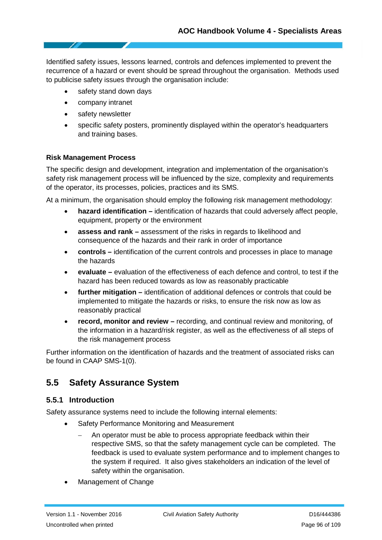Identified safety issues, lessons learned, controls and defences implemented to prevent the recurrence of a hazard or event should be spread throughout the organisation. Methods used to publicise safety issues through the organisation include:

- safety stand down days
- company intranet
- safety newsletter
- specific safety posters, prominently displayed within the operator's headquarters and training bases.

### **Risk Management Process**

The specific design and development, integration and implementation of the organisation's safety risk management process will be influenced by the size, complexity and requirements of the operator, its processes, policies, practices and its SMS.

At a minimum, the organisation should employ the following risk management methodology:

- **hazard identification –** identification of hazards that could adversely affect people, equipment, property or the environment
- **assess and rank –** assessment of the risks in regards to likelihood and consequence of the hazards and their rank in order of importance
- **controls –** identification of the current controls and processes in place to manage the hazards
- **evaluate –** evaluation of the effectiveness of each defence and control, to test if the hazard has been reduced towards as low as reasonably practicable
- **further mitigation –** identification of additional defences or controls that could be implemented to mitigate the hazards or risks, to ensure the risk now as low as reasonably practical
- **record, monitor and review –** recording, and continual review and monitoring, of the information in a hazard/risk register, as well as the effectiveness of all steps of the risk management process

Further information on the identification of hazards and the treatment of associated risks can be found in CAAP SMS-1(0).

# **5.5 Safety Assurance System**

### **5.5.1 Introduction**

Safety assurance systems need to include the following internal elements:

- Safety Performance Monitoring and Measurement
	- − An operator must be able to process appropriate feedback within their respective SMS, so that the safety management cycle can be completed. The feedback is used to evaluate system performance and to implement changes to the system if required. It also gives stakeholders an indication of the level of safety within the organisation.
- Management of Change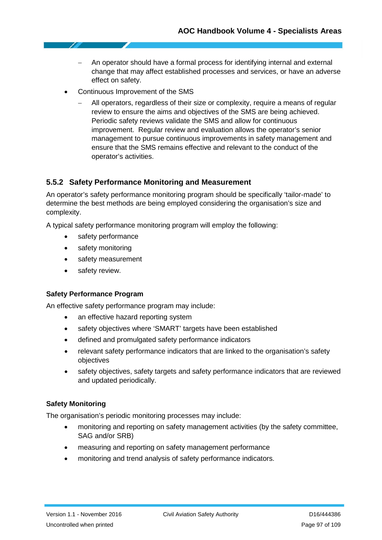- An operator should have a formal process for identifying internal and external change that may affect established processes and services, or have an adverse effect on safety.
- Continuous Improvement of the SMS
	- All operators, regardless of their size or complexity, require a means of regular review to ensure the aims and objectives of the SMS are being achieved. Periodic safety reviews validate the SMS and allow for continuous improvement. Regular review and evaluation allows the operator's senior management to pursue continuous improvements in safety management and ensure that the SMS remains effective and relevant to the conduct of the operator's activities.

# **5.5.2 Safety Performance Monitoring and Measurement**

An operator's safety performance monitoring program should be specifically 'tailor-made' to determine the best methods are being employed considering the organisation's size and complexity.

A typical safety performance monitoring program will employ the following:

- safety performance
- safety monitoring
- safety measurement
- safety review.

### **Safety Performance Program**

An effective safety performance program may include:

- an effective hazard reporting system
- safety objectives where 'SMART' targets have been established
- defined and promulgated safety performance indicators
- relevant safety performance indicators that are linked to the organisation's safety objectives
- safety objectives, safety targets and safety performance indicators that are reviewed and updated periodically.

### **Safety Monitoring**

The organisation's periodic monitoring processes may include:

- monitoring and reporting on safety management activities (by the safety committee, SAG and/or SRB)
- measuring and reporting on safety management performance
- monitoring and trend analysis of safety performance indicators.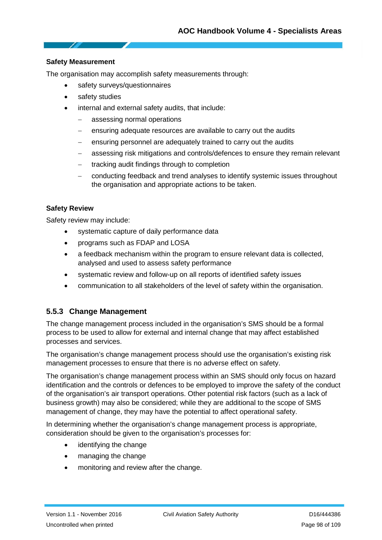### **Safety Measurement**

The organisation may accomplish safety measurements through:

- safety surveys/questionnaires
- safety studies
- internal and external safety audits, that include:
	- − assessing normal operations
	- − ensuring adequate resources are available to carry out the audits
	- − ensuring personnel are adequately trained to carry out the audits
	- assessing risk mitigations and controls/defences to ensure they remain relevant
	- tracking audit findings through to completion
	- − conducting feedback and trend analyses to identify systemic issues throughout the organisation and appropriate actions to be taken.

### **Safety Review**

Safety review may include:

- systematic capture of daily performance data
- programs such as FDAP and LOSA
- a feedback mechanism within the program to ensure relevant data is collected, analysed and used to assess safety performance
- systematic review and follow-up on all reports of identified safety issues
- communication to all stakeholders of the level of safety within the organisation.

### **5.5.3 Change Management**

The change management process included in the organisation's SMS should be a formal process to be used to allow for external and internal change that may affect established processes and services.

The organisation's change management process should use the organisation's existing risk management processes to ensure that there is no adverse effect on safety.

The organisation's change management process within an SMS should only focus on hazard identification and the controls or defences to be employed to improve the safety of the conduct of the organisation's air transport operations. Other potential risk factors (such as a lack of business growth) may also be considered; while they are additional to the scope of SMS management of change, they may have the potential to affect operational safety.

In determining whether the organisation's change management process is appropriate, consideration should be given to the organisation's processes for:

- identifying the change
- managing the change
- monitoring and review after the change.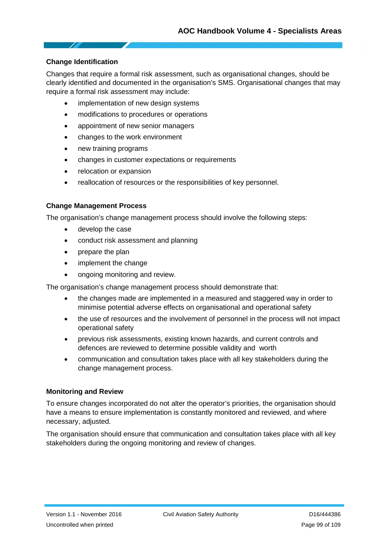### **Change Identification**

Changes that require a formal risk assessment, such as organisational changes, should be clearly identified and documented in the organisation's SMS. Organisational changes that may require a formal risk assessment may include:

- implementation of new design systems
- modifications to procedures or operations
- appointment of new senior managers
- changes to the work environment
- new training programs
- changes in customer expectations or requirements
- relocation or expansion
- reallocation of resources or the responsibilities of key personnel.

### **Change Management Process**

The organisation's change management process should involve the following steps:

- develop the case
- conduct risk assessment and planning
- prepare the plan
- implement the change
- ongoing monitoring and review.

The organisation's change management process should demonstrate that:

- the changes made are implemented in a measured and staggered way in order to minimise potential adverse effects on organisational and operational safety
- the use of resources and the involvement of personnel in the process will not impact operational safety
- previous risk assessments, existing known hazards, and current controls and defences are reviewed to determine possible validity and worth
- communication and consultation takes place with all key stakeholders during the change management process.

### **Monitoring and Review**

To ensure changes incorporated do not alter the operator's priorities, the organisation should have a means to ensure implementation is constantly monitored and reviewed, and where necessary, adjusted.

The organisation should ensure that communication and consultation takes place with all key stakeholders during the ongoing monitoring and review of changes.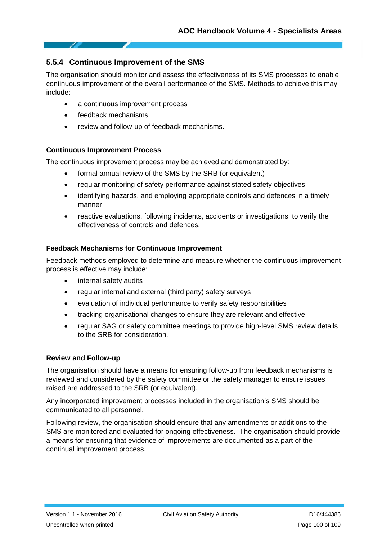## **5.5.4 Continuous Improvement of the SMS**

The organisation should monitor and assess the effectiveness of its SMS processes to enable continuous improvement of the overall performance of the SMS. Methods to achieve this may include:

- a continuous improvement process
- feedback mechanisms
- review and follow-up of feedback mechanisms.

### **Continuous Improvement Process**

The continuous improvement process may be achieved and demonstrated by:

- formal annual review of the SMS by the SRB (or equivalent)
- regular monitoring of safety performance against stated safety objectives
- identifying hazards, and employing appropriate controls and defences in a timely manner
- reactive evaluations, following incidents, accidents or investigations, to verify the effectiveness of controls and defences.

### **Feedback Mechanisms for Continuous Improvement**

Feedback methods employed to determine and measure whether the continuous improvement process is effective may include:

- internal safety audits
- regular internal and external (third party) safety surveys
- evaluation of individual performance to verify safety responsibilities
- tracking organisational changes to ensure they are relevant and effective
- regular SAG or safety committee meetings to provide high-level SMS review details to the SRB for consideration.

### **Review and Follow-up**

The organisation should have a means for ensuring follow-up from feedback mechanisms is reviewed and considered by the safety committee or the safety manager to ensure issues raised are addressed to the SRB (or equivalent).

Any incorporated improvement processes included in the organisation's SMS should be communicated to all personnel.

Following review, the organisation should ensure that any amendments or additions to the SMS are monitored and evaluated for ongoing effectiveness. The organisation should provide a means for ensuring that evidence of improvements are documented as a part of the continual improvement process.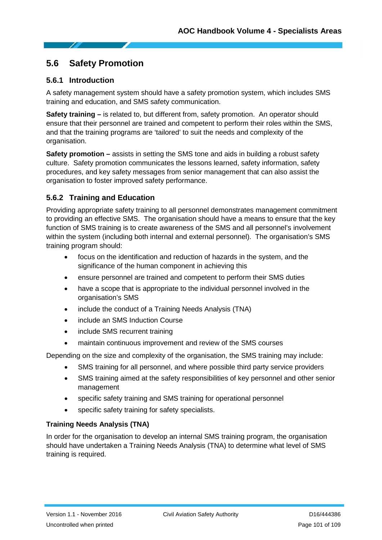# **5.6 Safety Promotion**

## **5.6.1 Introduction**

A safety management system should have a safety promotion system, which includes SMS training and education, and SMS safety communication.

**Safety training –** is related to, but different from, safety promotion. An operator should ensure that their personnel are trained and competent to perform their roles within the SMS, and that the training programs are 'tailored' to suit the needs and complexity of the organisation.

**Safety promotion –** assists in setting the SMS tone and aids in building a robust safety culture. Safety promotion communicates the lessons learned, safety information, safety procedures, and key safety messages from senior management that can also assist the organisation to foster improved safety performance.

# **5.6.2 Training and Education**

Providing appropriate safety training to all personnel demonstrates management commitment to providing an effective SMS. The organisation should have a means to ensure that the key function of SMS training is to create awareness of the SMS and all personnel's involvement within the system (including both internal and external personnel). The organisation's SMS training program should:

- focus on the identification and reduction of hazards in the system, and the significance of the human component in achieving this
- ensure personnel are trained and competent to perform their SMS duties
- have a scope that is appropriate to the individual personnel involved in the organisation's SMS
- include the conduct of a Training Needs Analysis (TNA)
- include an SMS Induction Course
- include SMS recurrent training
- maintain continuous improvement and review of the SMS courses

Depending on the size and complexity of the organisation, the SMS training may include:

- SMS training for all personnel, and where possible third party service providers
- SMS training aimed at the safety responsibilities of key personnel and other senior management
- specific safety training and SMS training for operational personnel
- specific safety training for safety specialists.

### **Training Needs Analysis (TNA)**

In order for the organisation to develop an internal SMS training program, the organisation should have undertaken a Training Needs Analysis (TNA) to determine what level of SMS training is required.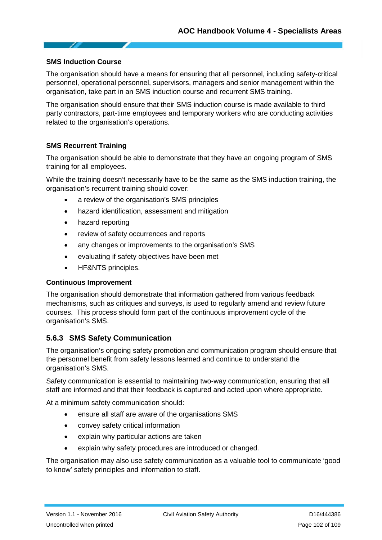### **SMS Induction Course**

The organisation should have a means for ensuring that all personnel, including safety-critical personnel, operational personnel, supervisors, managers and senior management within the organisation, take part in an SMS induction course and recurrent SMS training.

The organisation should ensure that their SMS induction course is made available to third party contractors, part-time employees and temporary workers who are conducting activities related to the organisation's operations.

### **SMS Recurrent Training**

The organisation should be able to demonstrate that they have an ongoing program of SMS training for all employees.

While the training doesn't necessarily have to be the same as the SMS induction training, the organisation's recurrent training should cover:

- a review of the organisation's SMS principles
- hazard identification, assessment and mitigation
- hazard reporting
- review of safety occurrences and reports
- any changes or improvements to the organisation's SMS
- evaluating if safety objectives have been met
- HF&NTS principles.

### **Continuous Improvement**

The organisation should demonstrate that information gathered from various feedback mechanisms, such as critiques and surveys, is used to regularly amend and review future courses. This process should form part of the continuous improvement cycle of the organisation's SMS.

### **5.6.3 SMS Safety Communication**

The organisation's ongoing safety promotion and communication program should ensure that the personnel benefit from safety lessons learned and continue to understand the organisation's SMS.

Safety communication is essential to maintaining two-way communication, ensuring that all staff are informed and that their feedback is captured and acted upon where appropriate.

At a minimum safety communication should:

- ensure all staff are aware of the organisations SMS
- convey safety critical information
- explain why particular actions are taken
- explain why safety procedures are introduced or changed.

The organisation may also use safety communication as a valuable tool to communicate 'good to know' safety principles and information to staff.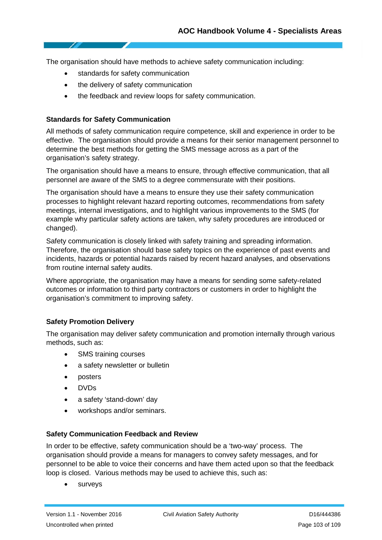The organisation should have methods to achieve safety communication including:

- standards for safety communication
- the delivery of safety communication
- the feedback and review loops for safety communication.

### **Standards for Safety Communication**

All methods of safety communication require competence, skill and experience in order to be effective. The organisation should provide a means for their senior management personnel to determine the best methods for getting the SMS message across as a part of the organisation's safety strategy.

The organisation should have a means to ensure, through effective communication, that all personnel are aware of the SMS to a degree commensurate with their positions.

The organisation should have a means to ensure they use their safety communication processes to highlight relevant hazard reporting outcomes, recommendations from safety meetings, internal investigations, and to highlight various improvements to the SMS (for example why particular safety actions are taken, why safety procedures are introduced or changed).

Safety communication is closely linked with safety training and spreading information. Therefore, the organisation should base safety topics on the experience of past events and incidents, hazards or potential hazards raised by recent hazard analyses, and observations from routine internal safety audits.

Where appropriate, the organisation may have a means for sending some safety-related outcomes or information to third party contractors or customers in order to highlight the organisation's commitment to improving safety.

### **Safety Promotion Delivery**

The organisation may deliver safety communication and promotion internally through various methods, such as:

- SMS training courses
- a safety newsletter or bulletin
- posters
- DVDs
- a safety 'stand-down' day
- workshops and/or seminars.

### **Safety Communication Feedback and Review**

In order to be effective, safety communication should be a 'two-way' process. The organisation should provide a means for managers to convey safety messages, and for personnel to be able to voice their concerns and have them acted upon so that the feedback loop is closed. Various methods may be used to achieve this, such as:

surveys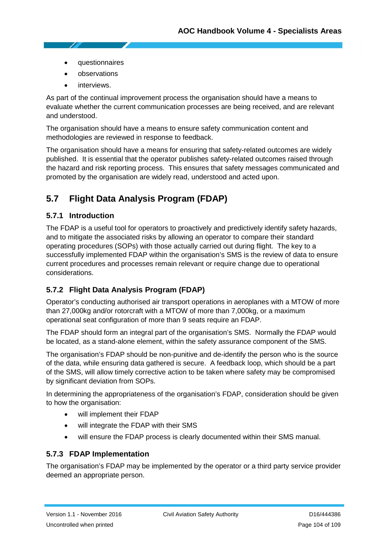- questionnaires
- observations
- interviews.

As part of the continual improvement process the organisation should have a means to evaluate whether the current communication processes are being received, and are relevant and understood.

The organisation should have a means to ensure safety communication content and methodologies are reviewed in response to feedback.

The organisation should have a means for ensuring that safety-related outcomes are widely published. It is essential that the operator publishes safety-related outcomes raised through the hazard and risk reporting process. This ensures that safety messages communicated and promoted by the organisation are widely read, understood and acted upon.

# **5.7 Flight Data Analysis Program (FDAP)**

# **5.7.1 Introduction**

The FDAP is a useful tool for operators to proactively and predictively identify safety hazards, and to mitigate the associated risks by allowing an operator to compare their standard operating procedures (SOPs) with those actually carried out during flight. The key to a successfully implemented FDAP within the organisation's SMS is the review of data to ensure current procedures and processes remain relevant or require change due to operational considerations.

# **5.7.2 Flight Data Analysis Program (FDAP)**

Operator's conducting authorised air transport operations in aeroplanes with a MTOW of more than 27,000kg and/or rotorcraft with a MTOW of more than 7,000kg, or a maximum operational seat configuration of more than 9 seats require an FDAP.

The FDAP should form an integral part of the organisation's SMS. Normally the FDAP would be located, as a stand-alone element, within the safety assurance component of the SMS.

The organisation's FDAP should be non-punitive and de-identify the person who is the source of the data, while ensuring data gathered is secure. A feedback loop, which should be a part of the SMS, will allow timely corrective action to be taken where safety may be compromised by significant deviation from SOPs.

In determining the appropriateness of the organisation's FDAP, consideration should be given to how the organisation:

- will implement their FDAP
- will integrate the FDAP with their SMS
- will ensure the FDAP process is clearly documented within their SMS manual.

## **5.7.3 FDAP Implementation**

The organisation's FDAP may be implemented by the operator or a third party service provider deemed an appropriate person.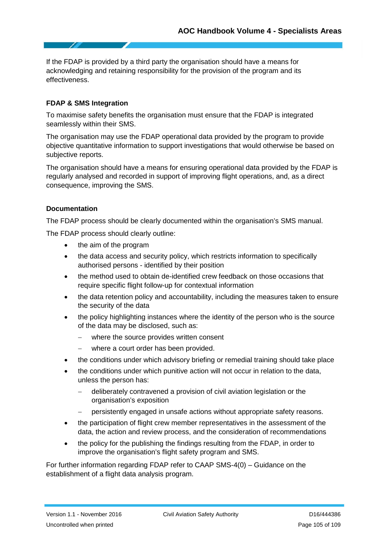If the FDAP is provided by a third party the organisation should have a means for acknowledging and retaining responsibility for the provision of the program and its effectiveness.

### **FDAP & SMS Integration**

To maximise safety benefits the organisation must ensure that the FDAP is integrated seamlessly within their SMS.

The organisation may use the FDAP operational data provided by the program to provide objective quantitative information to support investigations that would otherwise be based on subjective reports.

The organisation should have a means for ensuring operational data provided by the FDAP is regularly analysed and recorded in support of improving flight operations, and, as a direct consequence, improving the SMS.

### **Documentation**

The FDAP process should be clearly documented within the organisation's SMS manual.

The FDAP process should clearly outline:

- the aim of the program
- the data access and security policy, which restricts information to specifically authorised persons - identified by their position
- the method used to obtain de-identified crew feedback on those occasions that require specific flight follow-up for contextual information
- the data retention policy and accountability, including the measures taken to ensure the security of the data
- the policy highlighting instances where the identity of the person who is the source of the data may be disclosed, such as:
	- where the source provides written consent
	- where a court order has been provided.
- the conditions under which advisory briefing or remedial training should take place
- the conditions under which punitive action will not occur in relation to the data, unless the person has:
	- − deliberately contravened a provision of civil aviation legislation or the organisation's exposition
	- − persistently engaged in unsafe actions without appropriate safety reasons.
- the participation of flight crew member representatives in the assessment of the data, the action and review process, and the consideration of recommendations
- the policy for the publishing the findings resulting from the FDAP, in order to improve the organisation's flight safety program and SMS.

For further information regarding FDAP refer to CAAP SMS-4(0) – Guidance on the establishment of a flight data analysis program.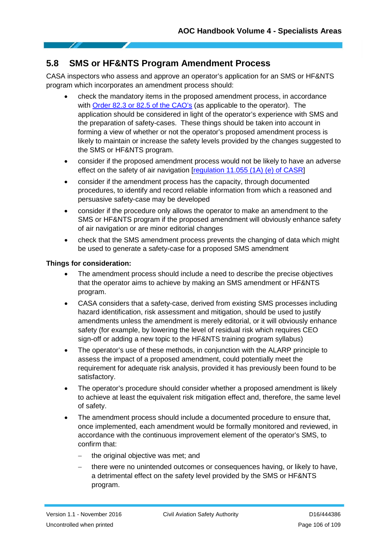# **5.8 SMS or HF&NTS Program Amendment Process**

CASA inspectors who assess and approve an operator's application for an SMS or HF&NTS program which incorporates an amendment process should:

- check the mandatory items in the proposed amendment process, in accordance with [Order 82.3 or 82.5 of the CAO's](https://www.casa.gov.au/rules-and-regulations/landing-page/current-rules) (as applicable to the operator). The application should be considered in light of the operator's experience with SMS and the preparation of safety-cases. These things should be taken into account in forming a view of whether or not the operator's proposed amendment process is likely to maintain or increase the safety levels provided by the changes suggested to the SMS or HF&NTS program.
- consider if the proposed amendment process would not be likely to have an adverse effect on the safety of air navigation [\[regulation 11.055 \(1A\) \(e\) of CASR\]](https://www.casa.gov.au/rules-and-regulations/landing-page/current-rules)
- consider if the amendment process has the capacity, through documented procedures, to identify and record reliable information from which a reasoned and persuasive safety-case may be developed
- consider if the procedure only allows the operator to make an amendment to the SMS or HF&NTS program if the proposed amendment will obviously enhance safety of air navigation or are minor editorial changes
- check that the SMS amendment process prevents the changing of data which might be used to generate a safety-case for a proposed SMS amendment

### **Things for consideration:**

- The amendment process should include a need to describe the precise objectives that the operator aims to achieve by making an SMS amendment or HF&NTS program.
- CASA considers that a safety-case, derived from existing SMS processes including hazard identification, risk assessment and mitigation, should be used to justify amendments unless the amendment is merely editorial, or it will obviously enhance safety (for example, by lowering the level of residual risk which requires CEO sign-off or adding a new topic to the HF&NTS training program syllabus)
- The operator's use of these methods, in conjunction with the ALARP principle to assess the impact of a proposed amendment, could potentially meet the requirement for adequate risk analysis, provided it has previously been found to be satisfactory.
- The operator's procedure should consider whether a proposed amendment is likely to achieve at least the equivalent risk mitigation effect and, therefore, the same level of safety.
- The amendment process should include a documented procedure to ensure that, once implemented, each amendment would be formally monitored and reviewed, in accordance with the continuous improvement element of the operator's SMS, to confirm that:
	- the original objective was met; and
	- − there were no unintended outcomes or consequences having, or likely to have, a detrimental effect on the safety level provided by the SMS or HF&NTS program.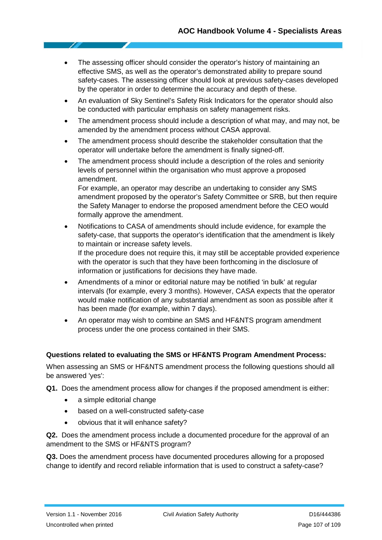- The assessing officer should consider the operator's history of maintaining an effective SMS, as well as the operator's demonstrated ability to prepare sound safety-cases. The assessing officer should look at previous safety-cases developed by the operator in order to determine the accuracy and depth of these.
- An evaluation of Sky Sentinel's Safety Risk Indicators for the operator should also be conducted with particular emphasis on safety management risks.
- The amendment process should include a description of what may, and may not, be amended by the amendment process without CASA approval.
- The amendment process should describe the stakeholder consultation that the operator will undertake before the amendment is finally signed-off.
- The amendment process should include a description of the roles and seniority levels of personnel within the organisation who must approve a proposed amendment.

For example, an operator may describe an undertaking to consider any SMS amendment proposed by the operator's Safety Committee or SRB, but then require the Safety Manager to endorse the proposed amendment before the CEO would formally approve the amendment.

- Notifications to CASA of amendments should include evidence, for example the safety-case, that supports the operator's identification that the amendment is likely to maintain or increase safety levels. If the procedure does not require this, it may still be acceptable provided experience with the operator is such that they have been forthcoming in the disclosure of information or justifications for decisions they have made.
- Amendments of a minor or editorial nature may be notified 'in bulk' at regular intervals (for example, every 3 months). However, CASA expects that the operator would make notification of any substantial amendment as soon as possible after it has been made (for example, within 7 days).
- An operator may wish to combine an SMS and HF&NTS program amendment process under the one process contained in their SMS.

## **Questions related to evaluating the SMS or HF&NTS Program Amendment Process:**

When assessing an SMS or HF&NTS amendment process the following questions should all be answered 'yes':

**Q1.** Does the amendment process allow for changes if the proposed amendment is either:

- a simple editorial change
- based on a well-constructed safety-case
- obvious that it will enhance safety?

**Q2.** Does the amendment process include a documented procedure for the approval of an amendment to the SMS or HF&NTS program?

**Q3.** Does the amendment process have documented procedures allowing for a proposed change to identify and record reliable information that is used to construct a safety-case?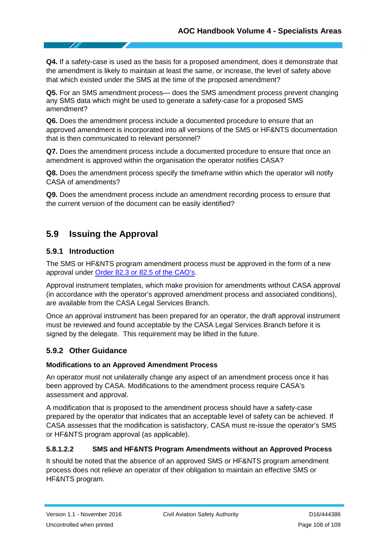**Q4.** If a safety-case is used as the basis for a proposed amendment, does it demonstrate that the amendment is likely to maintain at least the same, or increase, the level of safety above that which existed under the SMS at the time of the proposed amendment?

**Q5.** For an SMS amendment process— does the SMS amendment process prevent changing any SMS data which might be used to generate a safety-case for a proposed SMS amendment?

**Q6.** Does the amendment process include a documented procedure to ensure that an approved amendment is incorporated into all versions of the SMS or HF&NTS documentation that is then communicated to relevant personnel?

**Q7.** Does the amendment process include a documented procedure to ensure that once an amendment is approved within the organisation the operator notifies CASA?

**Q8.** Does the amendment process specify the timeframe within which the operator will notify CASA of amendments?

**Q9.** Does the amendment process include an amendment recording process to ensure that the current version of the document can be easily identified?

# **5.9 Issuing the Approval**

# **5.9.1 Introduction**

The SMS or HF&NTS program amendment process must be approved in the form of a new approval under [Order 82.3 or 82.5 of the CAO's.](https://www.casa.gov.au/rules-and-regulations/landing-page/current-rules)

Approval instrument templates, which make provision for amendments without CASA approval (in accordance with the operator's approved amendment process and associated conditions), are available from the CASA Legal Services Branch.

Once an approval instrument has been prepared for an operator, the draft approval instrument must be reviewed and found acceptable by the CASA Legal Services Branch before it is signed by the delegate. This requirement may be lifted in the future.

# **5.9.2 Other Guidance**

## **Modifications to an Approved Amendment Process**

An operator must not unilaterally change any aspect of an amendment process once it has been approved by CASA. Modifications to the amendment process require CASA's assessment and approval.

A modification that is proposed to the amendment process should have a safety-case prepared by the operator that indicates that an acceptable level of safety can be achieved. If CASA assesses that the modification is satisfactory, CASA must re-issue the operator's SMS or HF&NTS program approval (as applicable).

## **5.8.1.2.2 SMS and HF&NTS Program Amendments without an Approved Process**

It should be noted that the absence of an approved SMS or HF&NTS program amendment process does not relieve an operator of their obligation to maintain an effective SMS or HF&NTS program.